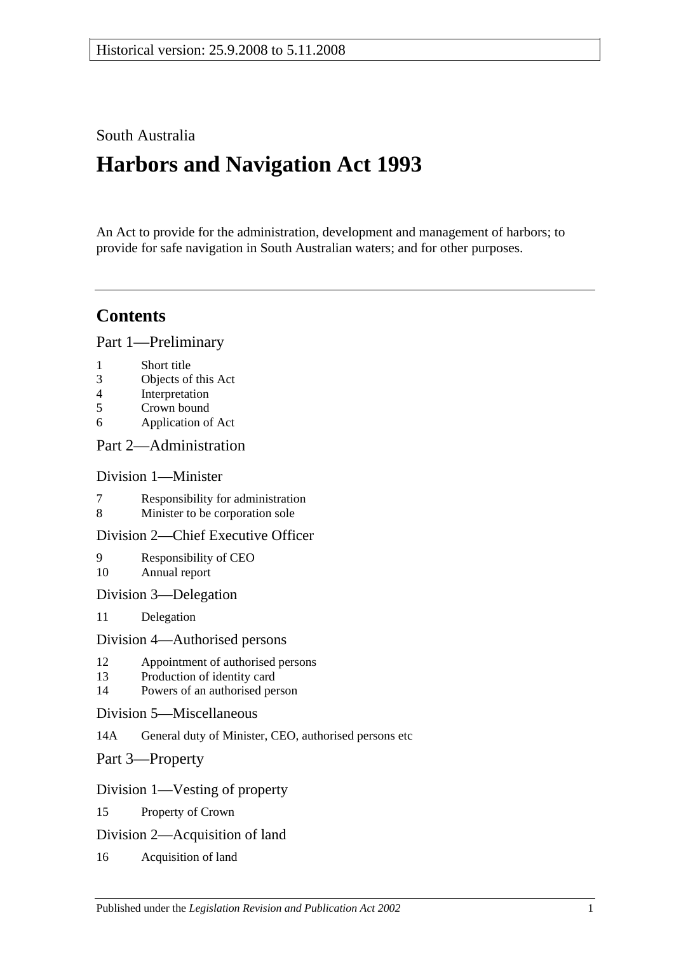# South Australia

# **Harbors and Navigation Act 1993**

An Act to provide for the administration, development and management of harbors; to provide for safe navigation in South Australian waters; and for other purposes.

# **Contents**

[Part 1—Preliminary](#page-6-0)

- 1 [Short title](#page-6-1)
- 3 [Objects of this Act](#page-6-2)
- 4 [Interpretation](#page-6-3)
- 5 [Crown bound](#page-9-0)
- 6 [Application of Act](#page-9-1)

## [Part 2—Administration](#page-10-0)

## [Division 1—Minister](#page-10-1)

- 7 [Responsibility for administration](#page-10-2)<br>8 Minister to be corporation sole
- [Minister to be corporation sole](#page-10-3)

## [Division 2—Chief Executive Officer](#page-10-4)

- 9 [Responsibility of CEO](#page-10-5) 10 [Annual report](#page-10-6)
- [Division 3—Delegation](#page-10-7)
- 11 [Delegation](#page-10-8)

#### [Division 4—Authorised persons](#page-10-9)

- 12 [Appointment of authorised persons](#page-10-10)
- 13 [Production of identity card](#page-11-0)
- 14 [Powers of an authorised person](#page-11-1)
- [Division 5—Miscellaneous](#page-13-0)
- 14A [General duty of Minister, CEO, authorised persons etc](#page-13-1)
- [Part 3—Property](#page-14-0)

## [Division 1—Vesting of property](#page-14-1)

- 15 [Property of Crown](#page-14-2)
- [Division 2—Acquisition of land](#page-14-3)
- 16 [Acquisition of land](#page-14-4)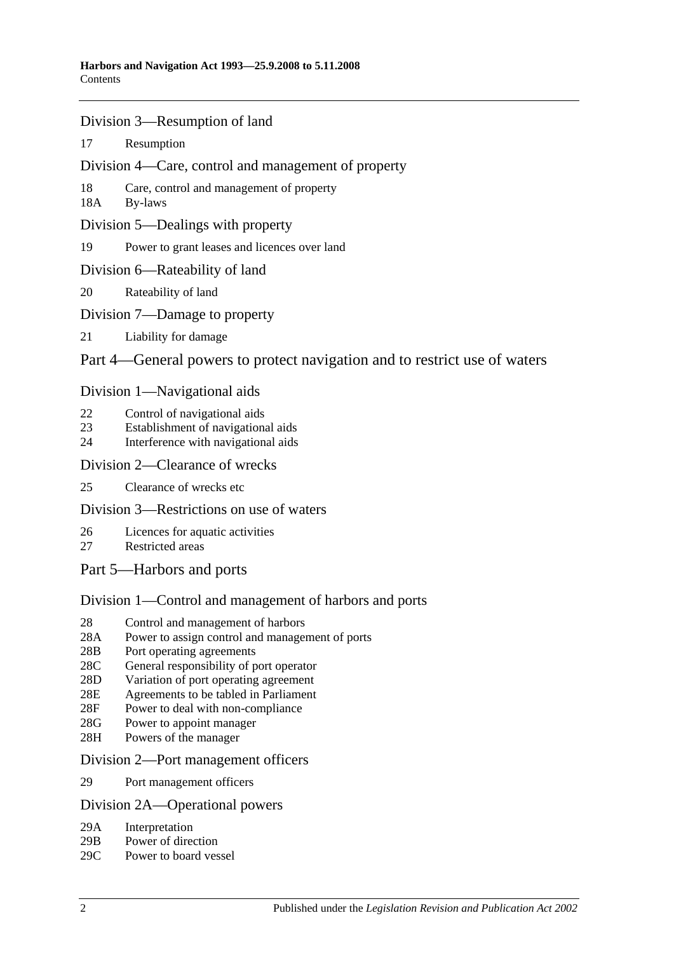- [Division 3—Resumption of land](#page-14-5)
- 17 [Resumption](#page-14-6)
- [Division 4—Care, control and management of property](#page-15-0)
- 18 [Care, control and management of property](#page-15-1)
- 18A [By-laws](#page-15-2)
- [Division 5—Dealings with property](#page-16-0)
- 19 [Power to grant leases and licences over land](#page-16-1)
- [Division 6—Rateability of land](#page-16-2)
- 20 [Rateability of land](#page-16-3)
- [Division 7—Damage to property](#page-16-4)
- 21 [Liability for damage](#page-16-5)

## [Part 4—General powers to protect navigation and to restrict use of waters](#page-18-0)

## [Division 1—Navigational aids](#page-18-1)

- 22 [Control of navigational aids](#page-18-2)
- 23 [Establishment of navigational aids](#page-18-3)
- 24 [Interference with navigational aids](#page-18-4)

#### [Division 2—Clearance of wrecks](#page-19-0)

25 [Clearance of wrecks etc](#page-19-1)

## [Division 3—Restrictions on use of waters](#page-19-2)

- 26 [Licences for aquatic activities](#page-19-3)
- 27 [Restricted areas](#page-20-0)
- [Part 5—Harbors and ports](#page-22-0)

# [Division 1—Control and management of harbors and ports](#page-22-1)

- 28 [Control and management of harbors](#page-22-2)
- 28A [Power to assign control and management of ports](#page-22-3)
- 28B [Port operating agreements](#page-22-4)
- 28C [General responsibility of port operator](#page-23-0)
- 28D [Variation of port operating agreement](#page-23-1)
- 28E [Agreements to be tabled in Parliament](#page-23-2)
- 28F [Power to deal with non-compliance](#page-23-3)
- 28G [Power to appoint manager](#page-24-0)
- 28H [Powers of the manager](#page-24-1)

#### [Division 2—Port management officers](#page-25-0)

29 [Port management officers](#page-25-1)

## [Division 2A—Operational powers](#page-25-2)

- 29A [Interpretation](#page-25-3)
- 29B [Power of direction](#page-25-4)
- 29C [Power to board vessel](#page-26-0)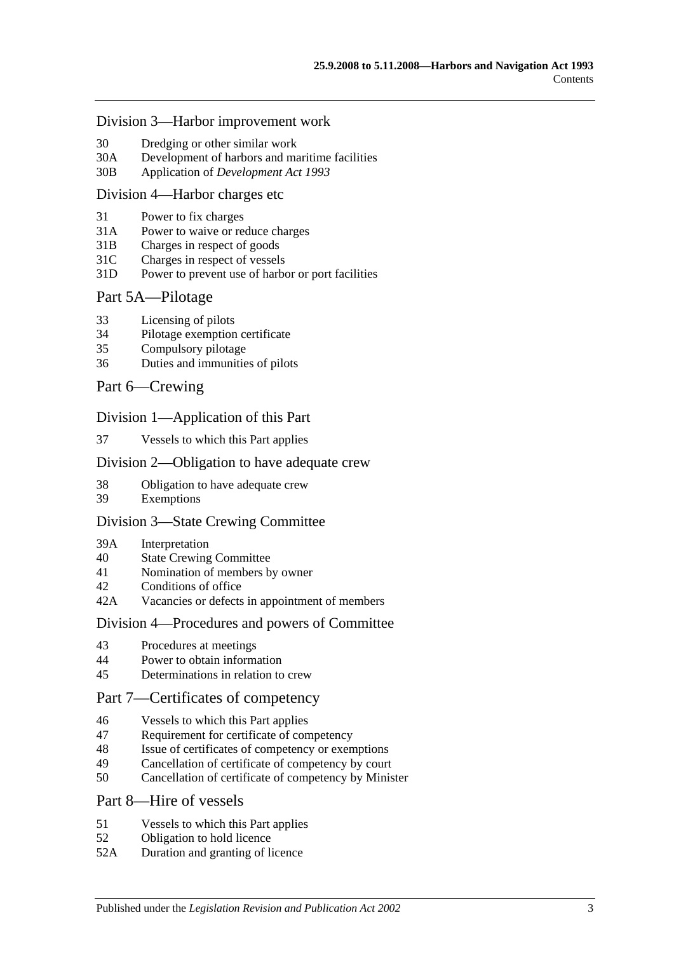#### [Division 3—Harbor improvement work](#page-26-1)

- 30 [Dredging or other similar work](#page-26-2)
- 30A [Development of harbors and maritime facilities](#page-26-3)
- 30B Application of *[Development Act](#page-27-0) 1993*

#### [Division 4—Harbor charges etc](#page-27-1)

- 31 [Power to fix charges](#page-27-2)
- 31A Power to waive [or reduce charges](#page-27-3)
- 31B [Charges in respect of goods](#page-27-4)
- 31C [Charges in respect of vessels](#page-28-0)
- 31D [Power to prevent use of harbor or port facilities](#page-28-1)

#### [Part 5A—Pilotage](#page-30-0)

- 33 [Licensing of pilots](#page-30-1)
- 34 [Pilotage exemption certificate](#page-30-2)
- 35 [Compulsory pilotage](#page-31-0)
- 36 [Duties and immunities of pilots](#page-31-1)

#### [Part 6—Crewing](#page-32-0)

#### [Division 1—Application of this Part](#page-32-1)

37 [Vessels to which this Part applies](#page-32-2)

#### [Division 2—Obligation to have adequate crew](#page-32-3)

- 38 [Obligation to have adequate crew](#page-32-4)
- 39 [Exemptions](#page-32-5)

#### [Division 3—State Crewing Committee](#page-32-6)

- 39A [Interpretation](#page-32-7)
- 40 [State Crewing Committee](#page-33-0)
- 41 [Nomination of members by owner](#page-33-1)
- 42 [Conditions of office](#page-34-0)
- 42A [Vacancies or defects in appointment of members](#page-34-1)

#### [Division 4—Procedures and powers of Committee](#page-34-2)

- 43 [Procedures at meetings](#page-34-3)
- 44 [Power to obtain information](#page-35-0)
- 45 [Determinations in relation to crew](#page-35-1)

## [Part 7—Certificates of competency](#page-36-0)

- 46 [Vessels to which this Part applies](#page-36-1)
- 47 [Requirement for certificate of competency](#page-36-2)
- 48 [Issue of certificates of competency or exemptions](#page-37-0)
- 49 [Cancellation of certificate of competency by court](#page-38-0)
- 50 [Cancellation of certificate of competency by Minister](#page-38-1)

#### [Part 8—Hire of vessels](#page-40-0)

- 51 [Vessels to which this Part applies](#page-40-1)
- 52 [Obligation to hold licence](#page-40-2)
- 52A [Duration and granting of licence](#page-40-3)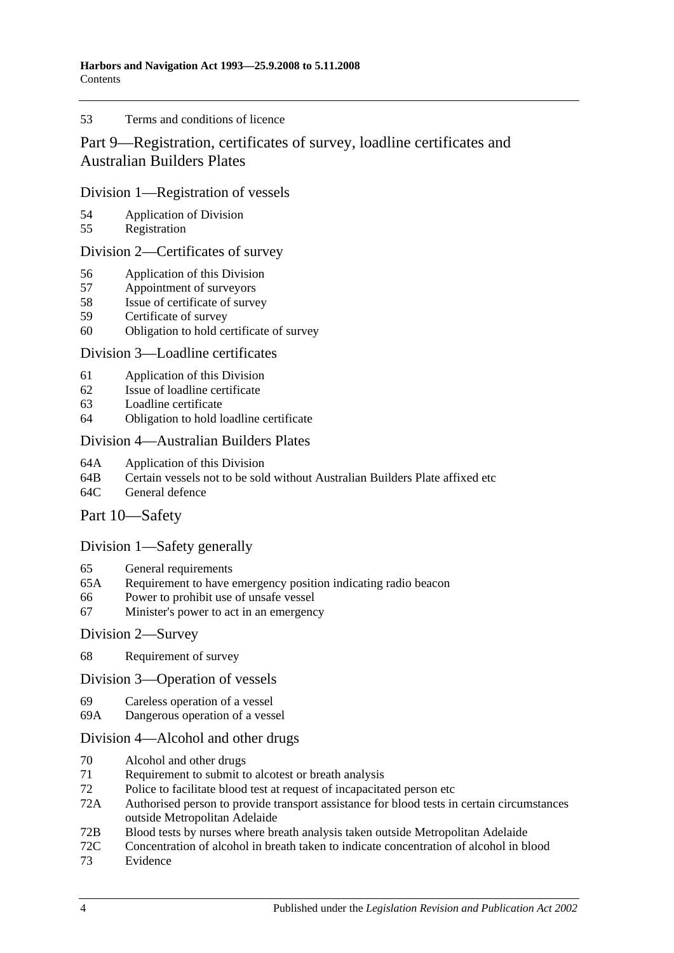#### 53 [Terms and conditions of licence](#page-40-4)

# [Part 9—Registration, certificates of survey, loadline certificates and](#page-42-0)  [Australian Builders Plates](#page-42-0)

#### [Division 1—Registration of vessels](#page-42-1)

- 54 [Application of Division](#page-42-2)<br>55 Registration
- [Registration](#page-42-3)

#### [Division 2—Certificates of survey](#page-42-4)

- 56 [Application of this Division](#page-42-5)
- 57 [Appointment of surveyors](#page-42-6)
- 58 [Issue of certificate of survey](#page-43-0)
- 59 [Certificate of survey](#page-43-1)
- 60 [Obligation to hold certificate of survey](#page-43-2)

#### [Division 3—Loadline certificates](#page-44-0)

- 61 [Application of this Division](#page-44-1)<br>62 Issue of loadline certificate
- [Issue of loadline certificate](#page-44-2)
- 63 [Loadline certificate](#page-44-3)
- 64 [Obligation to hold loadline certificate](#page-44-4)

#### [Division 4—Australian Builders Plates](#page-45-0)

- 64A [Application of this Division](#page-45-1)
- 64B [Certain vessels not to be sold without Australian Builders Plate affixed etc](#page-45-2)
- 64C [General defence](#page-46-0)

## [Part 10—Safety](#page-48-0)

## [Division 1—Safety generally](#page-48-1)

- 65 [General requirements](#page-48-2)
- 65A [Requirement to have emergency position indicating radio beacon](#page-48-3)
- 66 [Power to prohibit use of unsafe vessel](#page-48-4)
- 67 [Minister's power to act in an emergency](#page-49-0)

#### [Division 2—Survey](#page-49-1)

68 [Requirement of survey](#page-49-2)

#### [Division 3—Operation of vessels](#page-50-0)

- 69 [Careless operation of a vessel](#page-50-1)
- 69A [Dangerous operation of a vessel](#page-50-2)

## [Division 4—Alcohol and other drugs](#page-50-3)

- 70 [Alcohol and other drugs](#page-50-4)
- 71 [Requirement to submit to alcotest or breath analysis](#page-52-0)
- 72 [Police to facilitate blood test at request of incapacitated person etc](#page-53-0)
- 72A [Authorised person to provide transport assistance for blood tests in certain circumstances](#page-54-0)  [outside Metropolitan Adelaide](#page-54-0)
- 72B [Blood tests by nurses where breath analysis taken outside Metropolitan Adelaide](#page-54-1)
- 72C [Concentration of alcohol in breath taken to indicate concentration of alcohol in blood](#page-55-0)
- 73 [Evidence](#page-55-1)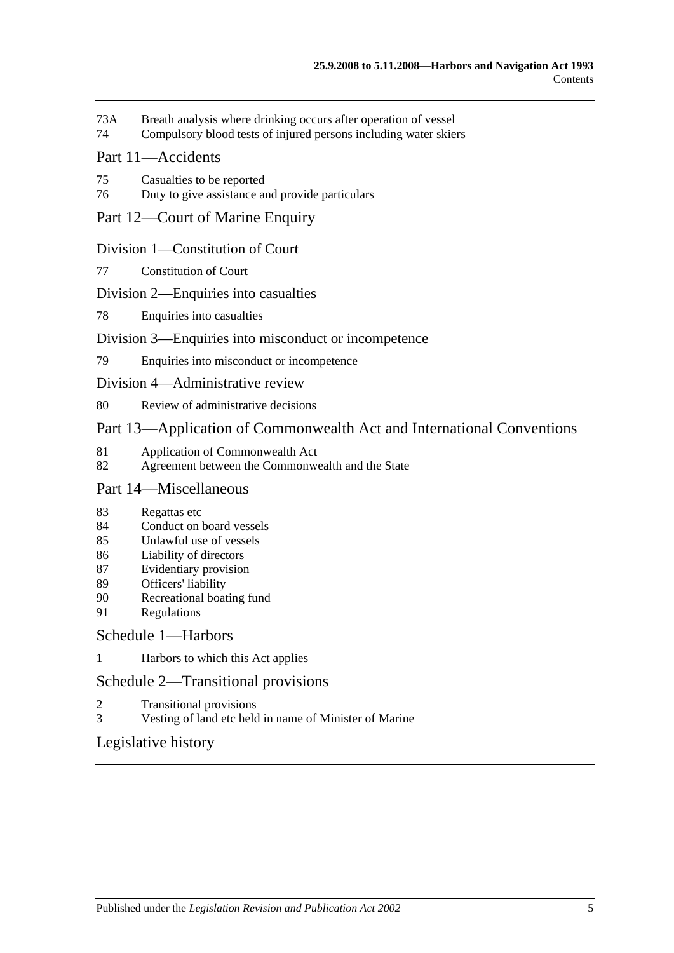- 73A [Breath analysis where drinking occurs after operation of vessel](#page-57-0)
- 74 [Compulsory blood tests of injured persons including water skiers](#page-58-0)

## [Part 11—Accidents](#page-62-0)

- 75 [Casualties to be reported](#page-62-1)
- 76 [Duty to give assistance and provide particulars](#page-62-2)

## [Part 12—Court of Marine Enquiry](#page-64-0)

#### [Division 1—Constitution of Court](#page-64-1)

77 [Constitution of Court](#page-64-2)

#### [Division 2—Enquiries into casualties](#page-64-3)

78 [Enquiries into casualties](#page-64-4)

#### [Division 3—Enquiries into misconduct or incompetence](#page-64-5)

79 [Enquiries into misconduct or incompetence](#page-64-6)

#### [Division 4—Administrative review](#page-65-0)

80 [Review of administrative decisions](#page-65-1)

## [Part 13—Application of Commonwealth Act and International Conventions](#page-66-0)

- 81 [Application of Commonwealth Act](#page-66-1)<br>82 Agreement between the Commonwe
- [Agreement between the Commonwealth and the State](#page-66-2)

## [Part 14—Miscellaneous](#page-68-0)

- 83 [Regattas etc](#page-68-1)
- 84 [Conduct on board vessels](#page-68-2)
- 85 [Unlawful use of vessels](#page-68-3)
- 86 [Liability of directors](#page-68-4)
- 87 [Evidentiary provision](#page-69-0)
- 89 [Officers' liability](#page-69-1)
- 90 [Recreational boating fund](#page-70-0)
- 91 [Regulations](#page-70-1)

## [Schedule 1—Harbors](#page-74-0)

1 [Harbors to which this Act applies](#page-74-1)

## [Schedule 2—Transitional provisions](#page-75-0)

- 2 [Transitional provisions](#page-75-1)
- 3 [Vesting of land etc held in name of Minister of Marine](#page-75-2)

# [Legislative history](#page-78-0)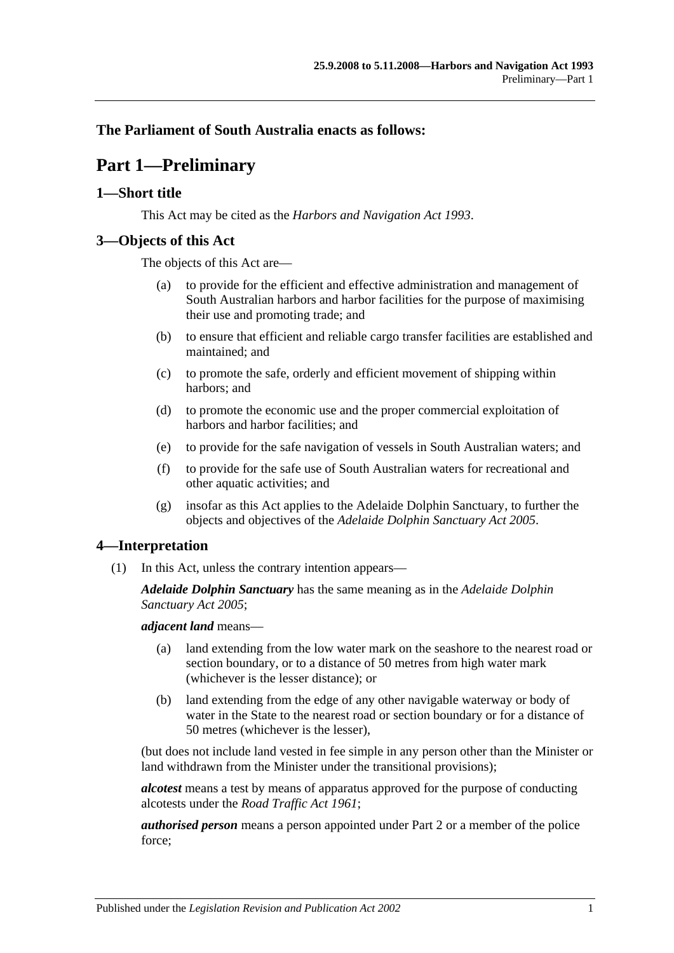## <span id="page-6-0"></span>**The Parliament of South Australia enacts as follows:**

# **Part 1—Preliminary**

## <span id="page-6-1"></span>**1—Short title**

This Act may be cited as the *Harbors and Navigation Act 1993*.

## <span id="page-6-2"></span>**3—Objects of this Act**

The objects of this Act are—

- (a) to provide for the efficient and effective administration and management of South Australian harbors and harbor facilities for the purpose of maximising their use and promoting trade; and
- (b) to ensure that efficient and reliable cargo transfer facilities are established and maintained; and
- (c) to promote the safe, orderly and efficient movement of shipping within harbors; and
- (d) to promote the economic use and the proper commercial exploitation of harbors and harbor facilities; and
- (e) to provide for the safe navigation of vessels in South Australian waters; and
- (f) to provide for the safe use of South Australian waters for recreational and other aquatic activities; and
- (g) insofar as this Act applies to the Adelaide Dolphin Sanctuary, to further the objects and objectives of the *[Adelaide Dolphin Sanctuary Act](http://www.legislation.sa.gov.au/index.aspx?action=legref&type=act&legtitle=Adelaide%20Dolphin%20Sanctuary%20Act%202005) 2005*.

## <span id="page-6-3"></span>**4—Interpretation**

(1) In this Act, unless the contrary intention appears—

*Adelaide Dolphin Sanctuary* has the same meaning as in the *[Adelaide Dolphin](http://www.legislation.sa.gov.au/index.aspx?action=legref&type=act&legtitle=Adelaide%20Dolphin%20Sanctuary%20Act%202005)  [Sanctuary Act](http://www.legislation.sa.gov.au/index.aspx?action=legref&type=act&legtitle=Adelaide%20Dolphin%20Sanctuary%20Act%202005) 2005*;

*adjacent land* means—

- (a) land extending from the low water mark on the seashore to the nearest road or section boundary, or to a distance of 50 metres from high water mark (whichever is the lesser distance); or
- (b) land extending from the edge of any other navigable waterway or body of water in the State to the nearest road or section boundary or for a distance of 50 metres (whichever is the lesser),

(but does not include land vested in fee simple in any person other than the Minister or land withdrawn from the Minister under the transitional provisions);

*alcotest* means a test by means of apparatus approved for the purpose of conducting alcotests under the *[Road Traffic Act](http://www.legislation.sa.gov.au/index.aspx?action=legref&type=act&legtitle=Road%20Traffic%20Act%201961) 1961*;

*authorised person* means a person appointed under [Part 2](#page-10-0) or a member of the police force;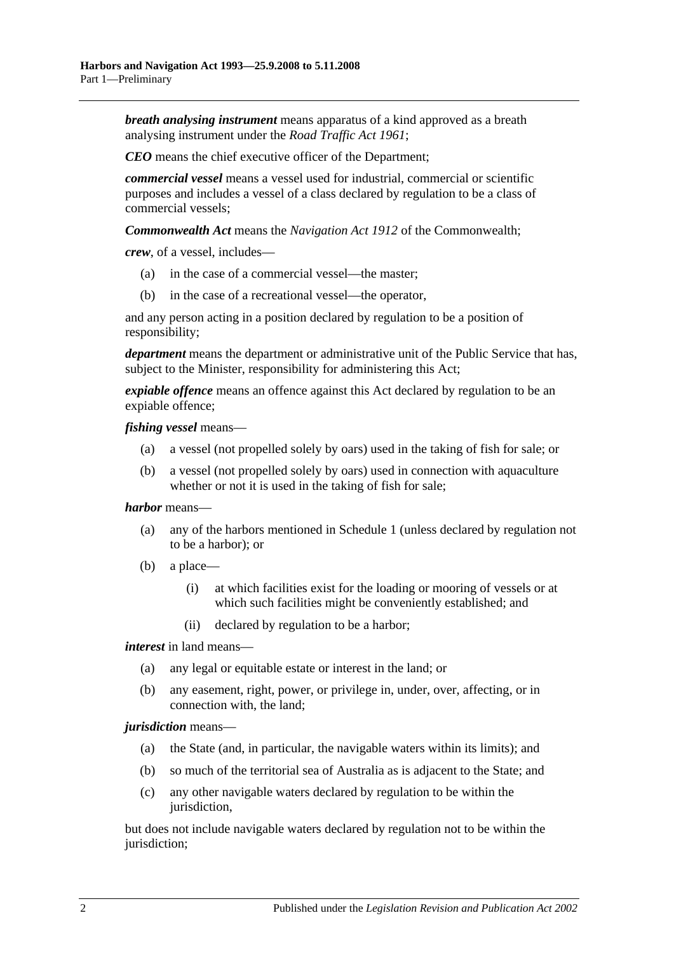*breath analysing instrument* means apparatus of a kind approved as a breath analysing instrument under the *[Road Traffic Act](http://www.legislation.sa.gov.au/index.aspx?action=legref&type=act&legtitle=Road%20Traffic%20Act%201961) 1961*;

*CEO* means the chief executive officer of the Department;

*commercial vessel* means a vessel used for industrial, commercial or scientific purposes and includes a vessel of a class declared by regulation to be a class of commercial vessels;

*Commonwealth Act* means the *Navigation Act 1912* of the Commonwealth;

*crew*, of a vessel, includes—

- (a) in the case of a commercial vessel—the master;
- (b) in the case of a recreational vessel—the operator,

and any person acting in a position declared by regulation to be a position of responsibility;

*department* means the department or administrative unit of the Public Service that has, subject to the Minister, responsibility for administering this Act;

*expiable offence* means an offence against this Act declared by regulation to be an expiable offence;

*fishing vessel* means—

- (a) a vessel (not propelled solely by oars) used in the taking of fish for sale; or
- (b) a vessel (not propelled solely by oars) used in connection with aquaculture whether or not it is used in the taking of fish for sale;

#### *harbor* means—

- (a) any of the harbors mentioned in [Schedule 1](#page-74-0) (unless declared by regulation not to be a harbor); or
- (b) a place—
	- (i) at which facilities exist for the loading or mooring of vessels or at which such facilities might be conveniently established; and
	- (ii) declared by regulation to be a harbor;

*interest* in land means—

- (a) any legal or equitable estate or interest in the land; or
- (b) any easement, right, power, or privilege in, under, over, affecting, or in connection with, the land;

#### *jurisdiction* means—

- (a) the State (and, in particular, the navigable waters within its limits); and
- (b) so much of the territorial sea of Australia as is adjacent to the State; and
- (c) any other navigable waters declared by regulation to be within the jurisdiction,

but does not include navigable waters declared by regulation not to be within the jurisdiction;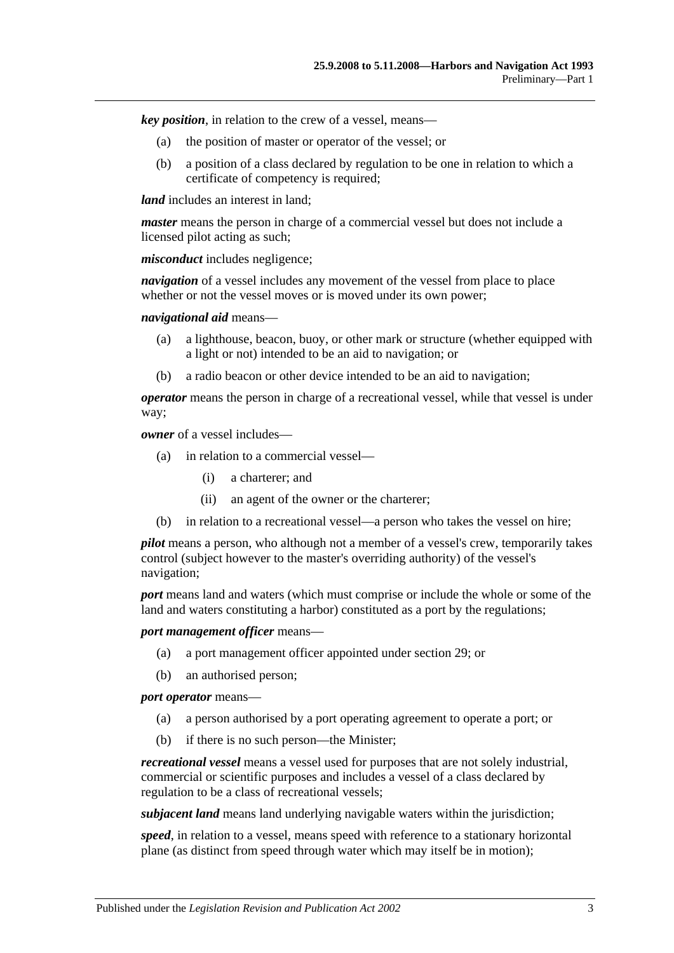*key position*, in relation to the crew of a vessel, means—

- (a) the position of master or operator of the vessel; or
- (b) a position of a class declared by regulation to be one in relation to which a certificate of competency is required;

*land* includes an interest in land:

*master* means the person in charge of a commercial vessel but does not include a licensed pilot acting as such;

*misconduct* includes negligence;

*navigation* of a vessel includes any movement of the vessel from place to place whether or not the vessel moves or is moved under its own power:

*navigational aid* means—

- (a) a lighthouse, beacon, buoy, or other mark or structure (whether equipped with a light or not) intended to be an aid to navigation; or
- (b) a radio beacon or other device intended to be an aid to navigation;

*operator* means the person in charge of a recreational vessel, while that vessel is under way;

*owner* of a vessel includes—

- (a) in relation to a commercial vessel—
	- (i) a charterer; and
	- (ii) an agent of the owner or the charterer;
- (b) in relation to a recreational vessel—a person who takes the vessel on hire;

*pilot* means a person, who although not a member of a vessel's crew, temporarily takes control (subject however to the master's overriding authority) of the vessel's navigation;

*port* means land and waters (which must comprise or include the whole or some of the land and waters constituting a harbor) constituted as a port by the regulations;

*port management officer* means—

- (a) a port management officer appointed under [section](#page-25-1) 29; or
- (b) an authorised person;

*port operator* means—

- (a) a person authorised by a port operating agreement to operate a port; or
- (b) if there is no such person—the Minister;

*recreational vessel* means a vessel used for purposes that are not solely industrial, commercial or scientific purposes and includes a vessel of a class declared by regulation to be a class of recreational vessels;

*subjacent land* means land underlying navigable waters within the jurisdiction;

*speed*, in relation to a vessel, means speed with reference to a stationary horizontal plane (as distinct from speed through water which may itself be in motion);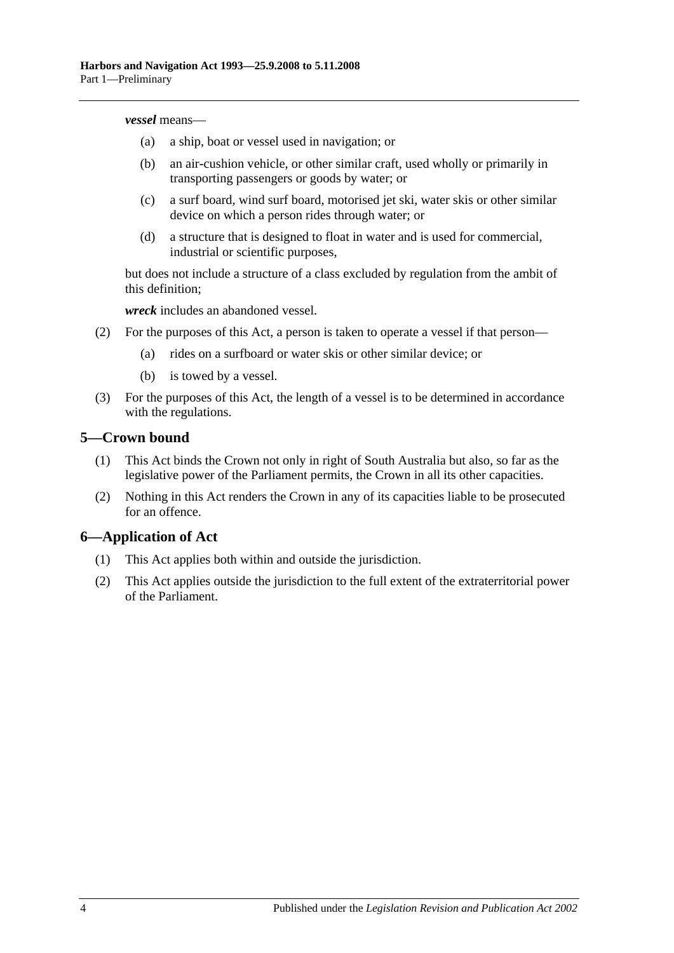#### *vessel* means—

- (a) a ship, boat or vessel used in navigation; or
- (b) an air-cushion vehicle, or other similar craft, used wholly or primarily in transporting passengers or goods by water; or
- (c) a surf board, wind surf board, motorised jet ski, water skis or other similar device on which a person rides through water; or
- (d) a structure that is designed to float in water and is used for commercial, industrial or scientific purposes,

but does not include a structure of a class excluded by regulation from the ambit of this definition;

*wreck* includes an abandoned vessel.

- (2) For the purposes of this Act, a person is taken to operate a vessel if that person—
	- (a) rides on a surfboard or water skis or other similar device; or
	- (b) is towed by a vessel.
- (3) For the purposes of this Act, the length of a vessel is to be determined in accordance with the regulations.

#### <span id="page-9-0"></span>**5—Crown bound**

- (1) This Act binds the Crown not only in right of South Australia but also, so far as the legislative power of the Parliament permits, the Crown in all its other capacities.
- (2) Nothing in this Act renders the Crown in any of its capacities liable to be prosecuted for an offence.

## <span id="page-9-1"></span>**6—Application of Act**

- (1) This Act applies both within and outside the jurisdiction.
- (2) This Act applies outside the jurisdiction to the full extent of the extraterritorial power of the Parliament.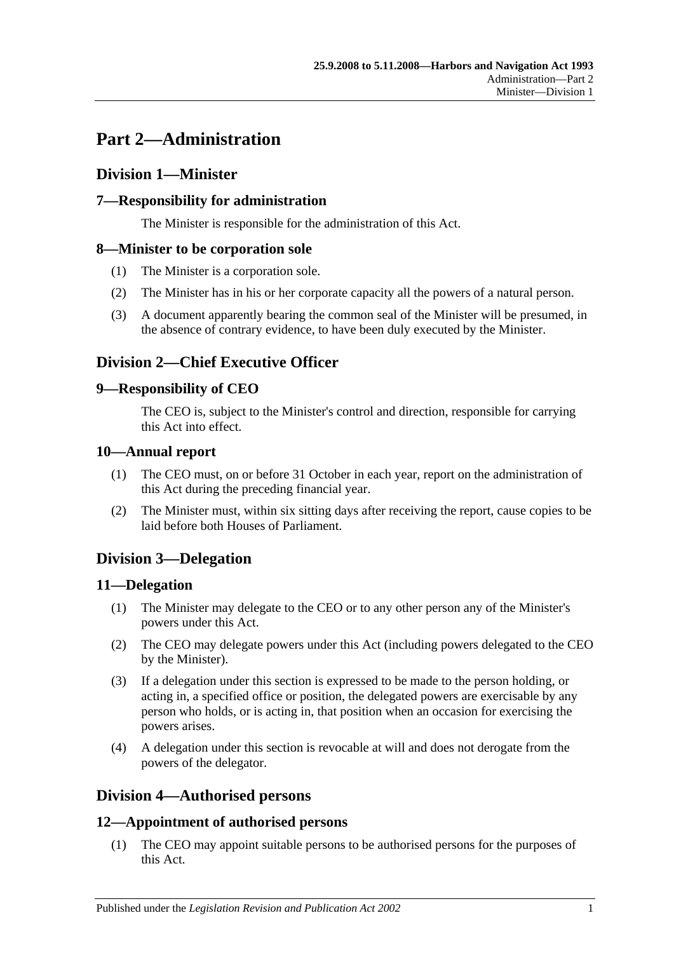# <span id="page-10-0"></span>**Part 2—Administration**

# <span id="page-10-1"></span>**Division 1—Minister**

# <span id="page-10-2"></span>**7—Responsibility for administration**

The Minister is responsible for the administration of this Act.

## <span id="page-10-3"></span>**8—Minister to be corporation sole**

- (1) The Minister is a corporation sole.
- (2) The Minister has in his or her corporate capacity all the powers of a natural person.
- (3) A document apparently bearing the common seal of the Minister will be presumed, in the absence of contrary evidence, to have been duly executed by the Minister.

# <span id="page-10-4"></span>**Division 2—Chief Executive Officer**

## <span id="page-10-5"></span>**9—Responsibility of CEO**

The CEO is, subject to the Minister's control and direction, responsible for carrying this Act into effect.

## <span id="page-10-6"></span>**10—Annual report**

- (1) The CEO must, on or before 31 October in each year, report on the administration of this Act during the preceding financial year.
- (2) The Minister must, within six sitting days after receiving the report, cause copies to be laid before both Houses of Parliament.

# <span id="page-10-7"></span>**Division 3—Delegation**

## <span id="page-10-8"></span>**11—Delegation**

- (1) The Minister may delegate to the CEO or to any other person any of the Minister's powers under this Act.
- (2) The CEO may delegate powers under this Act (including powers delegated to the CEO by the Minister).
- (3) If a delegation under this section is expressed to be made to the person holding, or acting in, a specified office or position, the delegated powers are exercisable by any person who holds, or is acting in, that position when an occasion for exercising the powers arises.
- (4) A delegation under this section is revocable at will and does not derogate from the powers of the delegator.

# <span id="page-10-9"></span>**Division 4—Authorised persons**

# <span id="page-10-10"></span>**12—Appointment of authorised persons**

(1) The CEO may appoint suitable persons to be authorised persons for the purposes of this Act.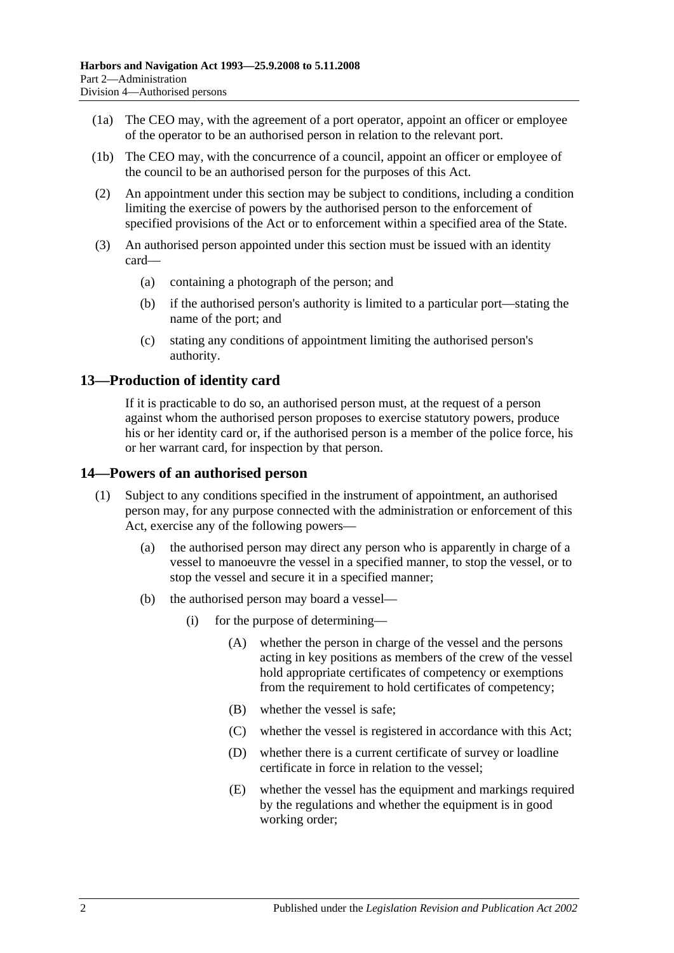- (1a) The CEO may, with the agreement of a port operator, appoint an officer or employee of the operator to be an authorised person in relation to the relevant port.
- (1b) The CEO may, with the concurrence of a council, appoint an officer or employee of the council to be an authorised person for the purposes of this Act.
- (2) An appointment under this section may be subject to conditions, including a condition limiting the exercise of powers by the authorised person to the enforcement of specified provisions of the Act or to enforcement within a specified area of the State.
- (3) An authorised person appointed under this section must be issued with an identity card—
	- (a) containing a photograph of the person; and
	- (b) if the authorised person's authority is limited to a particular port—stating the name of the port; and
	- (c) stating any conditions of appointment limiting the authorised person's authority.

## <span id="page-11-0"></span>**13—Production of identity card**

If it is practicable to do so, an authorised person must, at the request of a person against whom the authorised person proposes to exercise statutory powers, produce his or her identity card or, if the authorised person is a member of the police force, his or her warrant card, for inspection by that person.

#### <span id="page-11-1"></span>**14—Powers of an authorised person**

- (1) Subject to any conditions specified in the instrument of appointment, an authorised person may, for any purpose connected with the administration or enforcement of this Act, exercise any of the following powers—
	- (a) the authorised person may direct any person who is apparently in charge of a vessel to manoeuvre the vessel in a specified manner, to stop the vessel, or to stop the vessel and secure it in a specified manner;
	- (b) the authorised person may board a vessel—
		- (i) for the purpose of determining—
			- (A) whether the person in charge of the vessel and the persons acting in key positions as members of the crew of the vessel hold appropriate certificates of competency or exemptions from the requirement to hold certificates of competency;
			- (B) whether the vessel is safe;
			- (C) whether the vessel is registered in accordance with this Act;
			- (D) whether there is a current certificate of survey or loadline certificate in force in relation to the vessel;
			- (E) whether the vessel has the equipment and markings required by the regulations and whether the equipment is in good working order;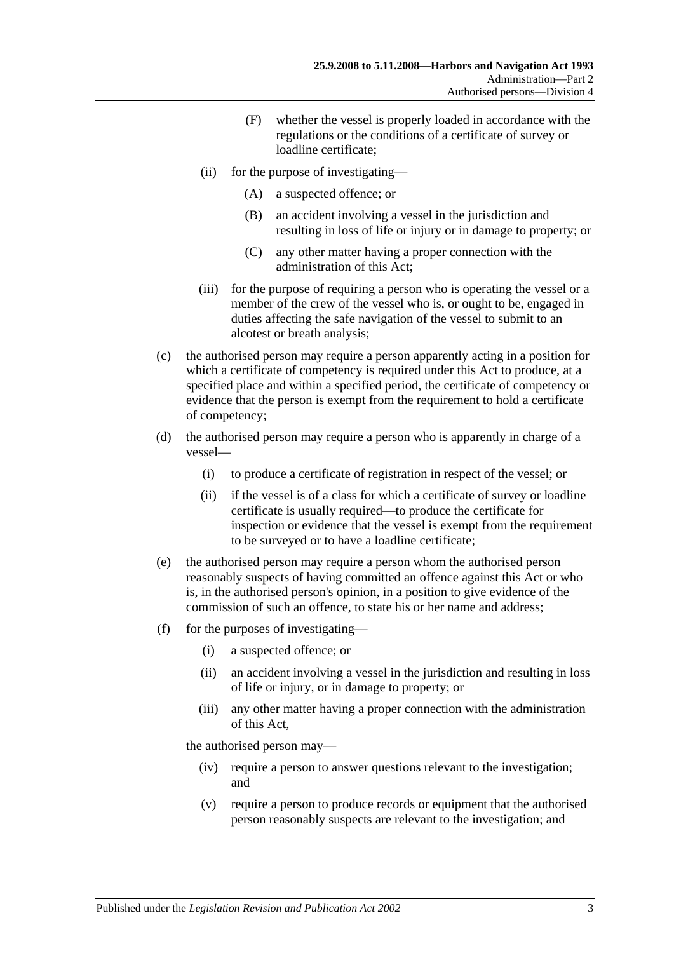- (F) whether the vessel is properly loaded in accordance with the regulations or the conditions of a certificate of survey or loadline certificate;
- (ii) for the purpose of investigating—
	- (A) a suspected offence; or
	- (B) an accident involving a vessel in the jurisdiction and resulting in loss of life or injury or in damage to property; or
	- (C) any other matter having a proper connection with the administration of this Act;
- (iii) for the purpose of requiring a person who is operating the vessel or a member of the crew of the vessel who is, or ought to be, engaged in duties affecting the safe navigation of the vessel to submit to an alcotest or breath analysis;
- (c) the authorised person may require a person apparently acting in a position for which a certificate of competency is required under this Act to produce, at a specified place and within a specified period, the certificate of competency or evidence that the person is exempt from the requirement to hold a certificate of competency;
- (d) the authorised person may require a person who is apparently in charge of a vessel—
	- (i) to produce a certificate of registration in respect of the vessel; or
	- (ii) if the vessel is of a class for which a certificate of survey or loadline certificate is usually required—to produce the certificate for inspection or evidence that the vessel is exempt from the requirement to be surveyed or to have a loadline certificate;
- (e) the authorised person may require a person whom the authorised person reasonably suspects of having committed an offence against this Act or who is, in the authorised person's opinion, in a position to give evidence of the commission of such an offence, to state his or her name and address;
- (f) for the purposes of investigating—
	- (i) a suspected offence; or
	- (ii) an accident involving a vessel in the jurisdiction and resulting in loss of life or injury, or in damage to property; or
	- (iii) any other matter having a proper connection with the administration of this Act,

the authorised person may—

- (iv) require a person to answer questions relevant to the investigation; and
- (v) require a person to produce records or equipment that the authorised person reasonably suspects are relevant to the investigation; and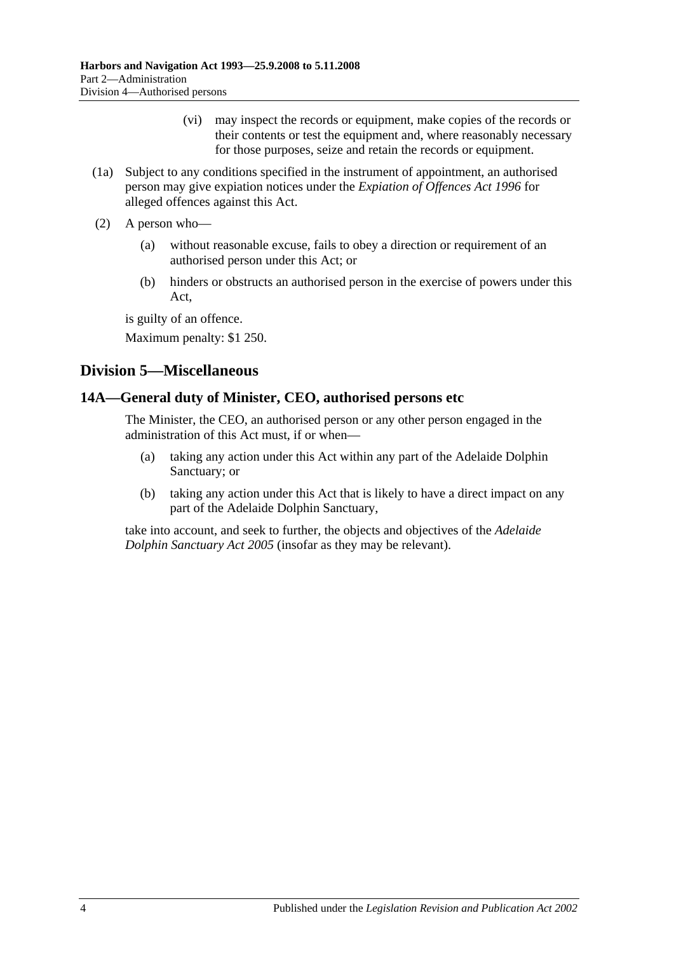- (vi) may inspect the records or equipment, make copies of the records or their contents or test the equipment and, where reasonably necessary for those purposes, seize and retain the records or equipment.
- (1a) Subject to any conditions specified in the instrument of appointment, an authorised person may give expiation notices under the *[Expiation of Offences Act](http://www.legislation.sa.gov.au/index.aspx?action=legref&type=act&legtitle=Expiation%20of%20Offences%20Act%201996) 1996* for alleged offences against this Act.
- (2) A person who—
	- (a) without reasonable excuse, fails to obey a direction or requirement of an authorised person under this Act; or
	- (b) hinders or obstructs an authorised person in the exercise of powers under this Act,

is guilty of an offence.

Maximum penalty: \$1 250.

# <span id="page-13-0"></span>**Division 5—Miscellaneous**

## <span id="page-13-1"></span>**14A—General duty of Minister, CEO, authorised persons etc**

The Minister, the CEO, an authorised person or any other person engaged in the administration of this Act must, if or when—

- (a) taking any action under this Act within any part of the Adelaide Dolphin Sanctuary; or
- (b) taking any action under this Act that is likely to have a direct impact on any part of the Adelaide Dolphin Sanctuary,

take into account, and seek to further, the objects and objectives of the *[Adelaide](http://www.legislation.sa.gov.au/index.aspx?action=legref&type=act&legtitle=Adelaide%20Dolphin%20Sanctuary%20Act%202005)  [Dolphin Sanctuary Act](http://www.legislation.sa.gov.au/index.aspx?action=legref&type=act&legtitle=Adelaide%20Dolphin%20Sanctuary%20Act%202005) 2005* (insofar as they may be relevant).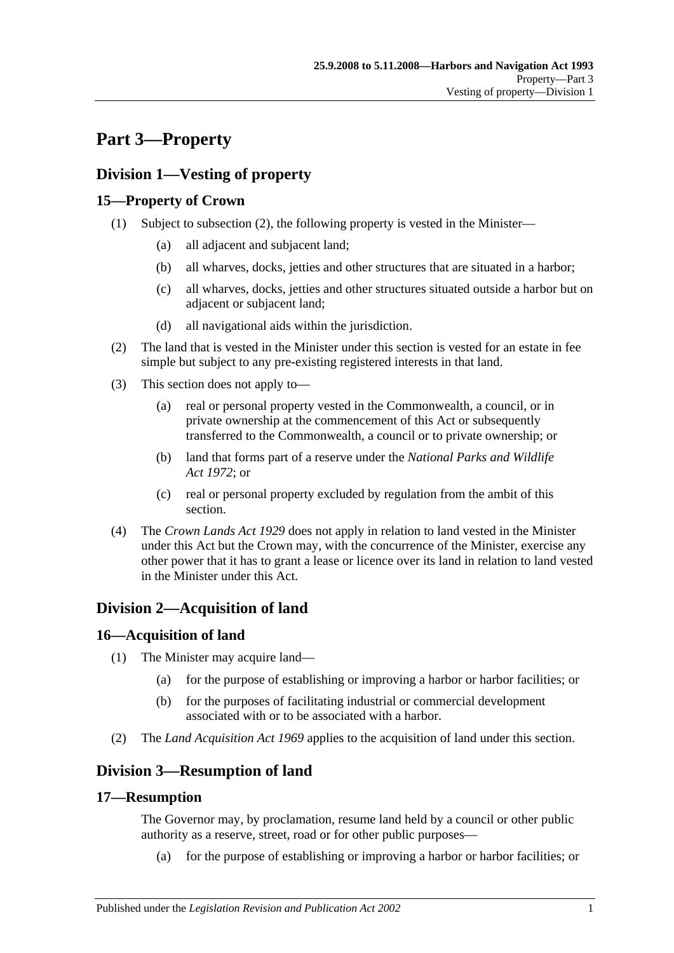# <span id="page-14-0"></span>**Part 3—Property**

# <span id="page-14-1"></span>**Division 1—Vesting of property**

# <span id="page-14-2"></span>**15—Property of Crown**

- (1) Subject to [subsection](#page-14-7) (2), the following property is vested in the Minister—
	- (a) all adjacent and subjacent land;
	- (b) all wharves, docks, jetties and other structures that are situated in a harbor;
	- (c) all wharves, docks, jetties and other structures situated outside a harbor but on adjacent or subjacent land;
	- (d) all navigational aids within the jurisdiction.
- <span id="page-14-7"></span>(2) The land that is vested in the Minister under this section is vested for an estate in fee simple but subject to any pre-existing registered interests in that land.
- (3) This section does not apply to—
	- (a) real or personal property vested in the Commonwealth, a council, or in private ownership at the commencement of this Act or subsequently transferred to the Commonwealth, a council or to private ownership; or
	- (b) land that forms part of a reserve under the *[National Parks and Wildlife](http://www.legislation.sa.gov.au/index.aspx?action=legref&type=act&legtitle=National%20Parks%20and%20Wildlife%20Act%201972)  Act [1972](http://www.legislation.sa.gov.au/index.aspx?action=legref&type=act&legtitle=National%20Parks%20and%20Wildlife%20Act%201972)*; or
	- (c) real or personal property excluded by regulation from the ambit of this section.
- (4) The *[Crown Lands Act](http://www.legislation.sa.gov.au/index.aspx?action=legref&type=act&legtitle=Crown%20Lands%20Act%201929) 1929* does not apply in relation to land vested in the Minister under this Act but the Crown may, with the concurrence of the Minister, exercise any other power that it has to grant a lease or licence over its land in relation to land vested in the Minister under this Act.

# <span id="page-14-3"></span>**Division 2—Acquisition of land**

# <span id="page-14-4"></span>**16—Acquisition of land**

- (1) The Minister may acquire land—
	- (a) for the purpose of establishing or improving a harbor or harbor facilities; or
	- (b) for the purposes of facilitating industrial or commercial development associated with or to be associated with a harbor.
- (2) The *[Land Acquisition Act](http://www.legislation.sa.gov.au/index.aspx?action=legref&type=act&legtitle=Land%20Acquisition%20Act%201969) 1969* applies to the acquisition of land under this section.

# <span id="page-14-5"></span>**Division 3—Resumption of land**

# <span id="page-14-6"></span>**17—Resumption**

The Governor may, by proclamation, resume land held by a council or other public authority as a reserve, street, road or for other public purposes—

(a) for the purpose of establishing or improving a harbor or harbor facilities; or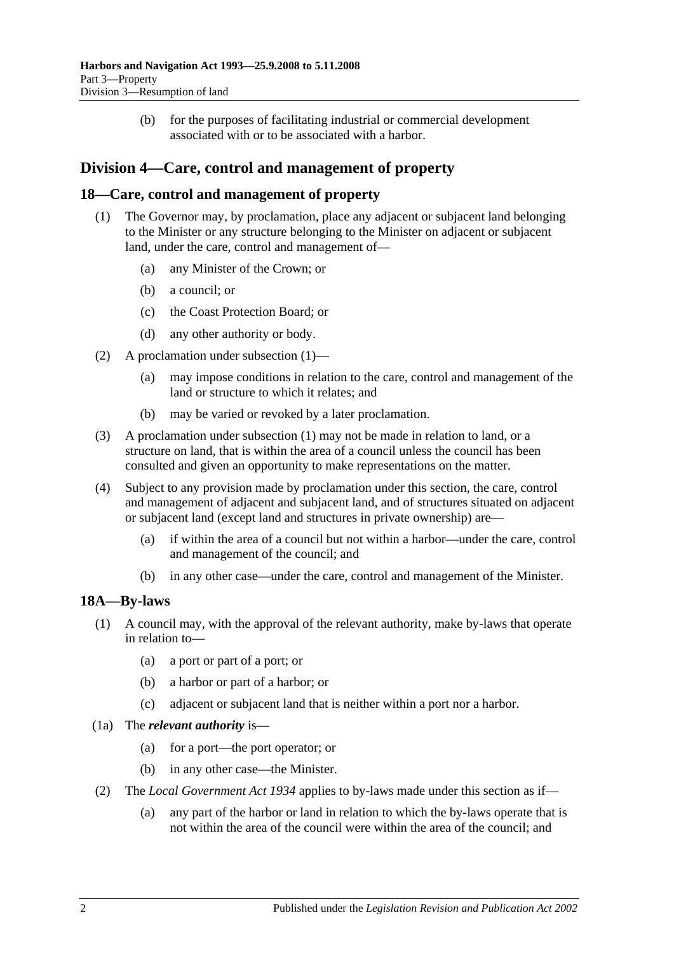(b) for the purposes of facilitating industrial or commercial development associated with or to be associated with a harbor.

# <span id="page-15-0"></span>**Division 4—Care, control and management of property**

## <span id="page-15-3"></span><span id="page-15-1"></span>**18—Care, control and management of property**

- (1) The Governor may, by proclamation, place any adjacent or subjacent land belonging to the Minister or any structure belonging to the Minister on adjacent or subjacent land, under the care, control and management of—
	- (a) any Minister of the Crown; or
	- (b) a council; or
	- (c) the Coast Protection Board; or
	- (d) any other authority or body.
- (2) A proclamation under [subsection](#page-15-3) (1)—
	- (a) may impose conditions in relation to the care, control and management of the land or structure to which it relates; and
	- (b) may be varied or revoked by a later proclamation.
- (3) A proclamation under [subsection](#page-15-3) (1) may not be made in relation to land, or a structure on land, that is within the area of a council unless the council has been consulted and given an opportunity to make representations on the matter.
- (4) Subject to any provision made by proclamation under this section, the care, control and management of adjacent and subjacent land, and of structures situated on adjacent or subjacent land (except land and structures in private ownership) are—
	- (a) if within the area of a council but not within a harbor—under the care, control and management of the council; and
	- (b) in any other case—under the care, control and management of the Minister.

# <span id="page-15-2"></span>**18A—By-laws**

- (1) A council may, with the approval of the relevant authority, make by-laws that operate in relation to—
	- (a) a port or part of a port; or
	- (b) a harbor or part of a harbor; or
	- (c) adjacent or subjacent land that is neither within a port nor a harbor.
- (1a) The *relevant authority* is—
	- (a) for a port—the port operator; or
	- (b) in any other case—the Minister.
- (2) The *[Local Government Act](http://www.legislation.sa.gov.au/index.aspx?action=legref&type=act&legtitle=Local%20Government%20Act%201934) 1934* applies to by-laws made under this section as if—
	- (a) any part of the harbor or land in relation to which the by-laws operate that is not within the area of the council were within the area of the council; and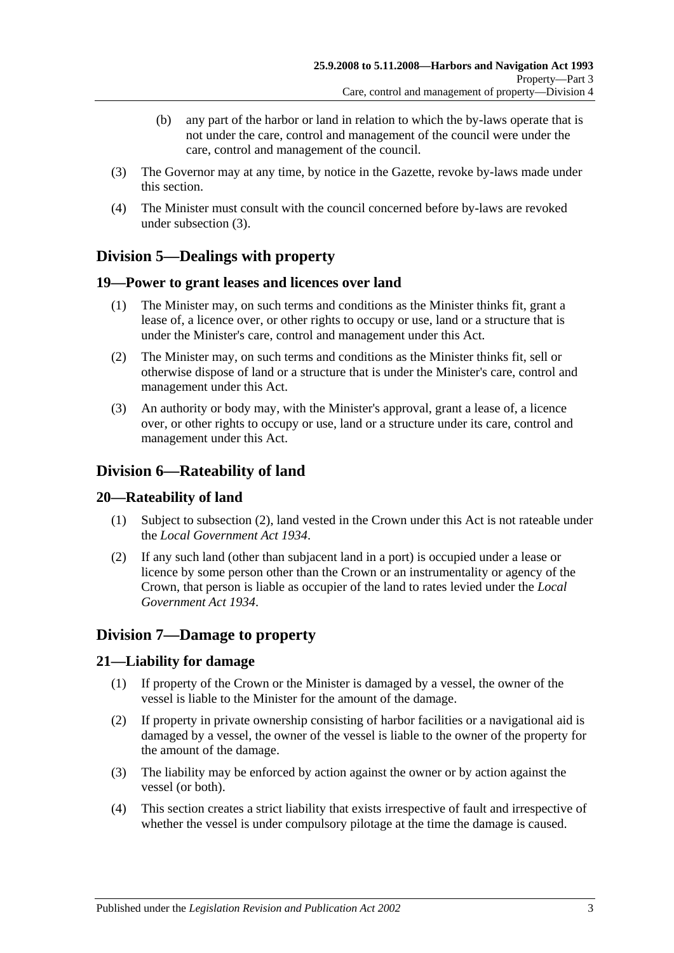- (b) any part of the harbor or land in relation to which the by-laws operate that is not under the care, control and management of the council were under the care, control and management of the council.
- <span id="page-16-6"></span>(3) The Governor may at any time, by notice in the Gazette, revoke by-laws made under this section.
- (4) The Minister must consult with the council concerned before by-laws are revoked under [subsection](#page-16-6) (3).

# <span id="page-16-0"></span>**Division 5—Dealings with property**

## <span id="page-16-1"></span>**19—Power to grant leases and licences over land**

- (1) The Minister may, on such terms and conditions as the Minister thinks fit, grant a lease of, a licence over, or other rights to occupy or use, land or a structure that is under the Minister's care, control and management under this Act.
- (2) The Minister may, on such terms and conditions as the Minister thinks fit, sell or otherwise dispose of land or a structure that is under the Minister's care, control and management under this Act.
- (3) An authority or body may, with the Minister's approval, grant a lease of, a licence over, or other rights to occupy or use, land or a structure under its care, control and management under this Act.

# <span id="page-16-2"></span>**Division 6—Rateability of land**

## <span id="page-16-3"></span>**20—Rateability of land**

- (1) Subject to [subsection](#page-16-7) (2), land vested in the Crown under this Act is not rateable under the *[Local Government Act](http://www.legislation.sa.gov.au/index.aspx?action=legref&type=act&legtitle=Local%20Government%20Act%201934) 1934*.
- <span id="page-16-7"></span>(2) If any such land (other than subjacent land in a port) is occupied under a lease or licence by some person other than the Crown or an instrumentality or agency of the Crown, that person is liable as occupier of the land to rates levied under the *[Local](http://www.legislation.sa.gov.au/index.aspx?action=legref&type=act&legtitle=Local%20Government%20Act%201934)  [Government Act](http://www.legislation.sa.gov.au/index.aspx?action=legref&type=act&legtitle=Local%20Government%20Act%201934) 1934*.

# <span id="page-16-4"></span>**Division 7—Damage to property**

## <span id="page-16-5"></span>**21—Liability for damage**

- (1) If property of the Crown or the Minister is damaged by a vessel, the owner of the vessel is liable to the Minister for the amount of the damage.
- (2) If property in private ownership consisting of harbor facilities or a navigational aid is damaged by a vessel, the owner of the vessel is liable to the owner of the property for the amount of the damage.
- (3) The liability may be enforced by action against the owner or by action against the vessel (or both).
- (4) This section creates a strict liability that exists irrespective of fault and irrespective of whether the vessel is under compulsory pilotage at the time the damage is caused.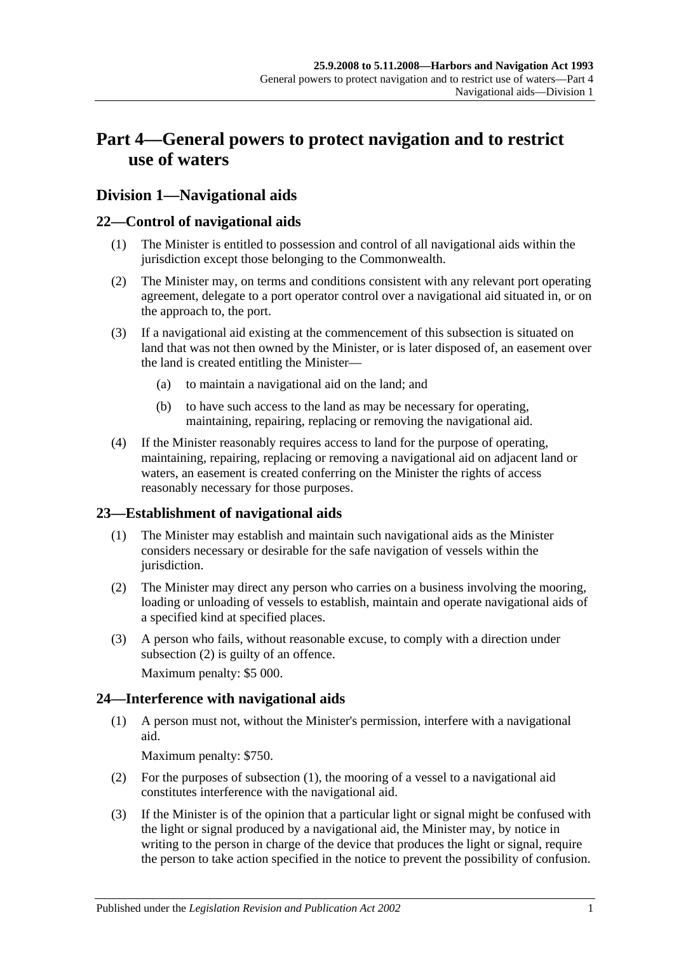# <span id="page-18-0"></span>**Part 4—General powers to protect navigation and to restrict use of waters**

# <span id="page-18-1"></span>**Division 1—Navigational aids**

## <span id="page-18-2"></span>**22—Control of navigational aids**

- (1) The Minister is entitled to possession and control of all navigational aids within the jurisdiction except those belonging to the Commonwealth.
- (2) The Minister may, on terms and conditions consistent with any relevant port operating agreement, delegate to a port operator control over a navigational aid situated in, or on the approach to, the port.
- (3) If a navigational aid existing at the commencement of this subsection is situated on land that was not then owned by the Minister, or is later disposed of, an easement over the land is created entitling the Minister—
	- (a) to maintain a navigational aid on the land; and
	- (b) to have such access to the land as may be necessary for operating, maintaining, repairing, replacing or removing the navigational aid.
- (4) If the Minister reasonably requires access to land for the purpose of operating, maintaining, repairing, replacing or removing a navigational aid on adjacent land or waters, an easement is created conferring on the Minister the rights of access reasonably necessary for those purposes.

## <span id="page-18-3"></span>**23—Establishment of navigational aids**

- (1) The Minister may establish and maintain such navigational aids as the Minister considers necessary or desirable for the safe navigation of vessels within the jurisdiction.
- <span id="page-18-5"></span>(2) The Minister may direct any person who carries on a business involving the mooring, loading or unloading of vessels to establish, maintain and operate navigational aids of a specified kind at specified places.
- (3) A person who fails, without reasonable excuse, to comply with a direction under [subsection](#page-18-5) (2) is guilty of an offence.

Maximum penalty: \$5 000.

# <span id="page-18-6"></span><span id="page-18-4"></span>**24—Interference with navigational aids**

(1) A person must not, without the Minister's permission, interfere with a navigational aid.

Maximum penalty: \$750.

- (2) For the purposes of [subsection](#page-18-6) (1), the mooring of a vessel to a navigational aid constitutes interference with the navigational aid.
- <span id="page-18-7"></span>(3) If the Minister is of the opinion that a particular light or signal might be confused with the light or signal produced by a navigational aid, the Minister may, by notice in writing to the person in charge of the device that produces the light or signal, require the person to take action specified in the notice to prevent the possibility of confusion.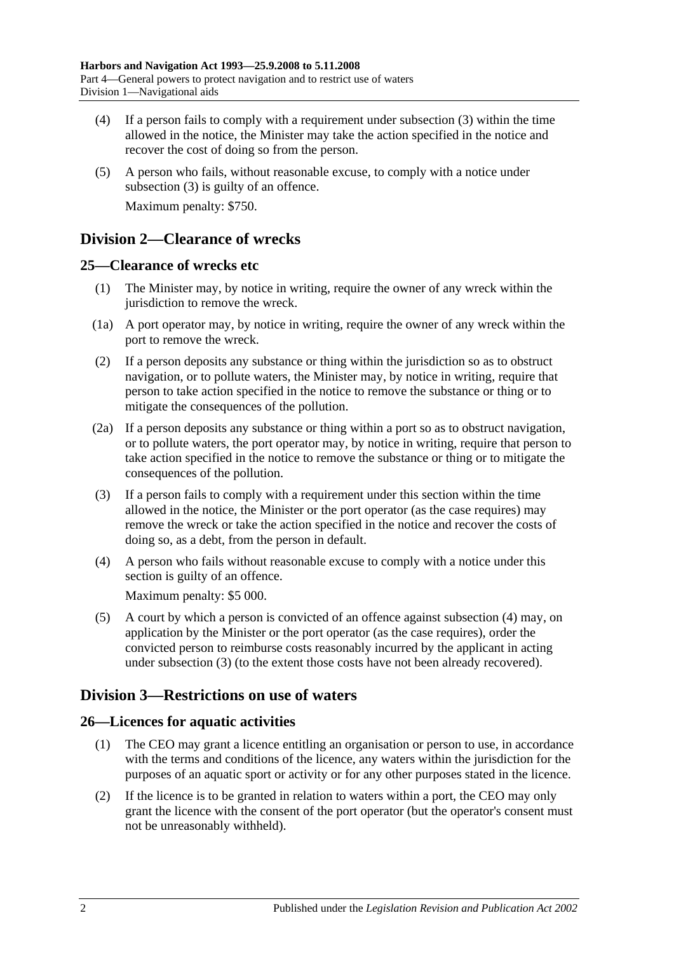- (4) If a person fails to comply with a requirement under [subsection](#page-18-7) (3) within the time allowed in the notice, the Minister may take the action specified in the notice and recover the cost of doing so from the person.
- (5) A person who fails, without reasonable excuse, to comply with a notice under [subsection](#page-18-7) (3) is guilty of an offence. Maximum penalty: \$750.

# <span id="page-19-0"></span>**Division 2—Clearance of wrecks**

## <span id="page-19-1"></span>**25—Clearance of wrecks etc**

- (1) The Minister may, by notice in writing, require the owner of any wreck within the jurisdiction to remove the wreck.
- (1a) A port operator may, by notice in writing, require the owner of any wreck within the port to remove the wreck.
- (2) If a person deposits any substance or thing within the jurisdiction so as to obstruct navigation, or to pollute waters, the Minister may, by notice in writing, require that person to take action specified in the notice to remove the substance or thing or to mitigate the consequences of the pollution.
- (2a) If a person deposits any substance or thing within a port so as to obstruct navigation, or to pollute waters, the port operator may, by notice in writing, require that person to take action specified in the notice to remove the substance or thing or to mitigate the consequences of the pollution.
- <span id="page-19-5"></span>(3) If a person fails to comply with a requirement under this section within the time allowed in the notice, the Minister or the port operator (as the case requires) may remove the wreck or take the action specified in the notice and recover the costs of doing so, as a debt, from the person in default.
- <span id="page-19-4"></span>(4) A person who fails without reasonable excuse to comply with a notice under this section is guilty of an offence.

Maximum penalty: \$5 000.

(5) A court by which a person is convicted of an offence against [subsection](#page-19-4) (4) may, on application by the Minister or the port operator (as the case requires), order the convicted person to reimburse costs reasonably incurred by the applicant in acting under [subsection](#page-19-5) (3) (to the extent those costs have not been already recovered).

# <span id="page-19-2"></span>**Division 3—Restrictions on use of waters**

# <span id="page-19-3"></span>**26—Licences for aquatic activities**

- (1) The CEO may grant a licence entitling an organisation or person to use, in accordance with the terms and conditions of the licence, any waters within the jurisdiction for the purposes of an aquatic sport or activity or for any other purposes stated in the licence.
- (2) If the licence is to be granted in relation to waters within a port, the CEO may only grant the licence with the consent of the port operator (but the operator's consent must not be unreasonably withheld).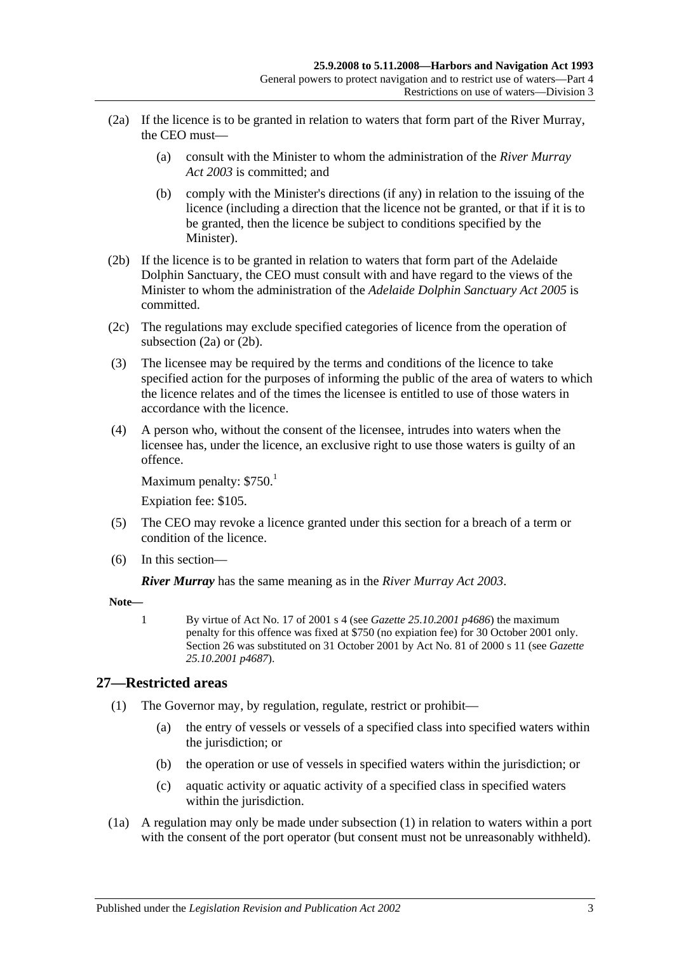- <span id="page-20-1"></span>(2a) If the licence is to be granted in relation to waters that form part of the River Murray, the CEO must—
	- (a) consult with the Minister to whom the administration of the *[River Murray](http://www.legislation.sa.gov.au/index.aspx?action=legref&type=act&legtitle=River%20Murray%20Act%202003)  Act [2003](http://www.legislation.sa.gov.au/index.aspx?action=legref&type=act&legtitle=River%20Murray%20Act%202003)* is committed; and
	- (b) comply with the Minister's directions (if any) in relation to the issuing of the licence (including a direction that the licence not be granted, or that if it is to be granted, then the licence be subject to conditions specified by the Minister).
- <span id="page-20-2"></span>(2b) If the licence is to be granted in relation to waters that form part of the Adelaide Dolphin Sanctuary, the CEO must consult with and have regard to the views of the Minister to whom the administration of the *[Adelaide Dolphin Sanctuary Act](http://www.legislation.sa.gov.au/index.aspx?action=legref&type=act&legtitle=Adelaide%20Dolphin%20Sanctuary%20Act%202005) 2005* is committed.
- (2c) The regulations may exclude specified categories of licence from the operation of [subsection](#page-20-1) (2a) or [\(2b\).](#page-20-2)
- (3) The licensee may be required by the terms and conditions of the licence to take specified action for the purposes of informing the public of the area of waters to which the licence relates and of the times the licensee is entitled to use of those waters in accordance with the licence.
- (4) A person who, without the consent of the licensee, intrudes into waters when the licensee has, under the licence, an exclusive right to use those waters is guilty of an offence.

Maximum penalty:  $$750.<sup>1</sup>$ 

Expiation fee: \$105.

- (5) The CEO may revoke a licence granted under this section for a breach of a term or condition of the licence.
- (6) In this section—

*River Murray* has the same meaning as in the *[River Murray Act](http://www.legislation.sa.gov.au/index.aspx?action=legref&type=act&legtitle=River%20Murray%20Act%202003) 2003*.

**Note—**

1 By virtue of Act No. 17 of 2001 s 4 (see *Gazette 25.10.2001 p4686*) the maximum penalty for this offence was fixed at \$750 (no expiation fee) for 30 October 2001 only. Section 26 was substituted on 31 October 2001 by Act No. 81 of 2000 s 11 (see *Gazette 25.10.2001 p4687*).

## <span id="page-20-3"></span><span id="page-20-0"></span>**27—Restricted areas**

- (1) The Governor may, by regulation, regulate, restrict or prohibit—
	- (a) the entry of vessels or vessels of a specified class into specified waters within the jurisdiction; or
	- (b) the operation or use of vessels in specified waters within the jurisdiction; or
	- (c) aquatic activity or aquatic activity of a specified class in specified waters within the jurisdiction.
- (1a) A regulation may only be made under [subsection](#page-20-3) (1) in relation to waters within a port with the consent of the port operator (but consent must not be unreasonably withheld).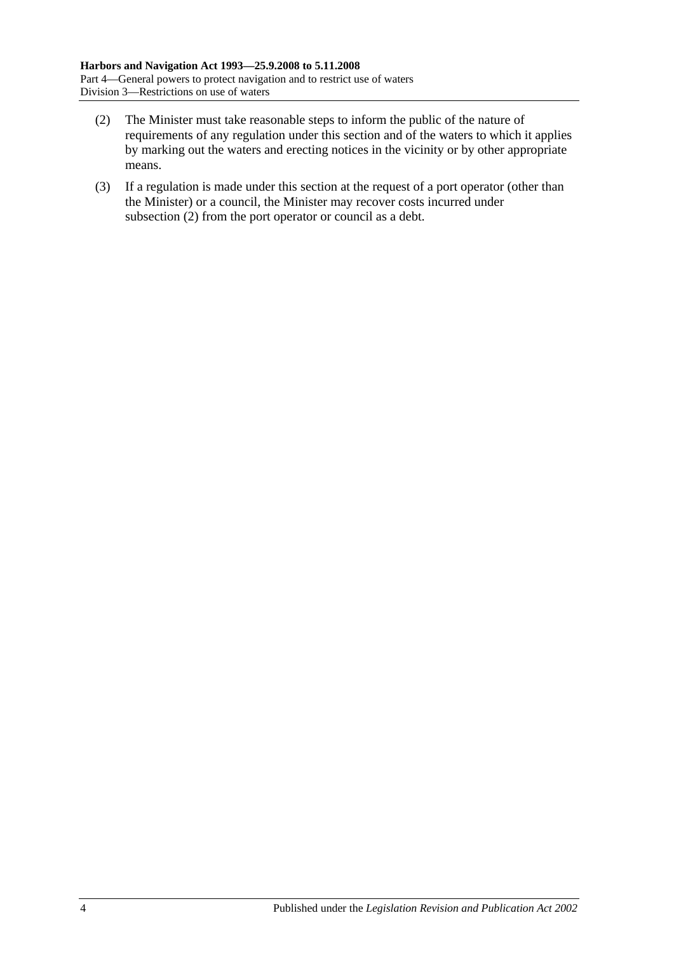- <span id="page-21-0"></span>(2) The Minister must take reasonable steps to inform the public of the nature of requirements of any regulation under this section and of the waters to which it applies by marking out the waters and erecting notices in the vicinity or by other appropriate means.
- (3) If a regulation is made under this section at the request of a port operator (other than the Minister) or a council, the Minister may recover costs incurred under [subsection](#page-21-0) (2) from the port operator or council as a debt.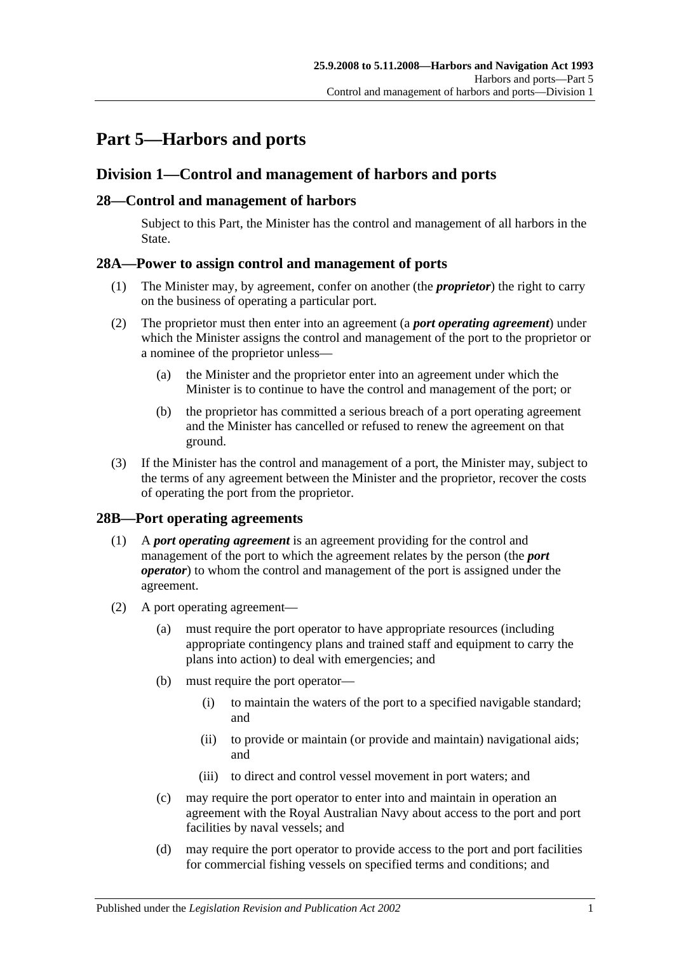# <span id="page-22-0"></span>**Part 5—Harbors and ports**

# <span id="page-22-1"></span>**Division 1—Control and management of harbors and ports**

## <span id="page-22-2"></span>**28—Control and management of harbors**

Subject to this Part, the Minister has the control and management of all harbors in the State.

## <span id="page-22-3"></span>**28A—Power to assign control and management of ports**

- (1) The Minister may, by agreement, confer on another (the *proprietor*) the right to carry on the business of operating a particular port.
- (2) The proprietor must then enter into an agreement (a *port operating agreement*) under which the Minister assigns the control and management of the port to the proprietor or a nominee of the proprietor unless—
	- (a) the Minister and the proprietor enter into an agreement under which the Minister is to continue to have the control and management of the port; or
	- (b) the proprietor has committed a serious breach of a port operating agreement and the Minister has cancelled or refused to renew the agreement on that ground.
- (3) If the Minister has the control and management of a port, the Minister may, subject to the terms of any agreement between the Minister and the proprietor, recover the costs of operating the port from the proprietor.

## <span id="page-22-4"></span>**28B—Port operating agreements**

- (1) A *port operating agreement* is an agreement providing for the control and management of the port to which the agreement relates by the person (the *port operator*) to whom the control and management of the port is assigned under the agreement.
- (2) A port operating agreement—
	- (a) must require the port operator to have appropriate resources (including appropriate contingency plans and trained staff and equipment to carry the plans into action) to deal with emergencies; and
	- (b) must require the port operator—
		- (i) to maintain the waters of the port to a specified navigable standard; and
		- (ii) to provide or maintain (or provide and maintain) navigational aids; and
		- (iii) to direct and control vessel movement in port waters; and
	- (c) may require the port operator to enter into and maintain in operation an agreement with the Royal Australian Navy about access to the port and port facilities by naval vessels; and
	- (d) may require the port operator to provide access to the port and port facilities for commercial fishing vessels on specified terms and conditions; and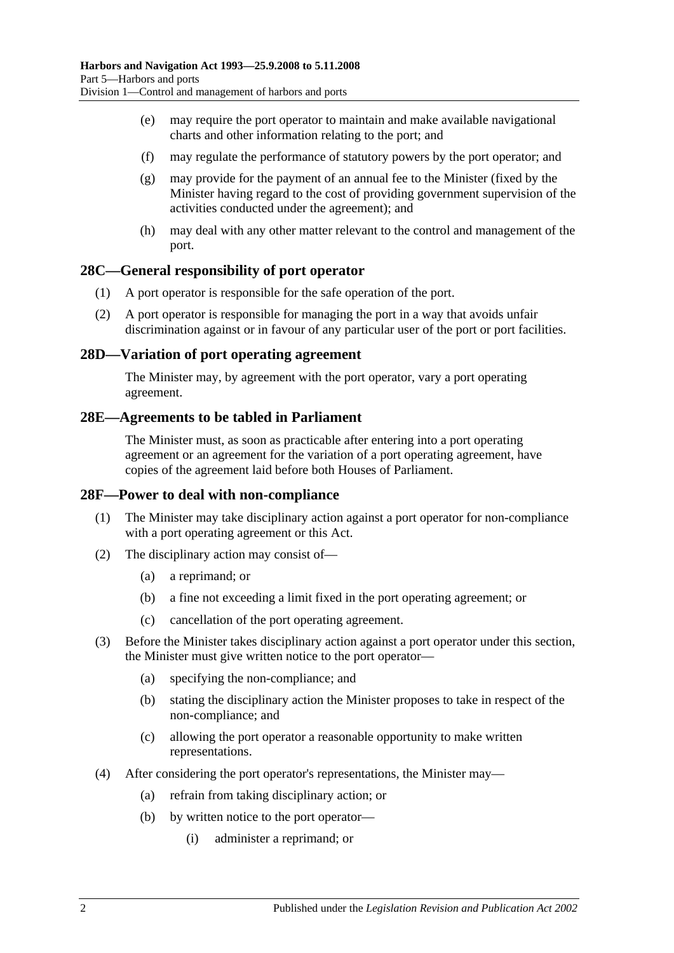- (e) may require the port operator to maintain and make available navigational charts and other information relating to the port; and
- (f) may regulate the performance of statutory powers by the port operator; and
- (g) may provide for the payment of an annual fee to the Minister (fixed by the Minister having regard to the cost of providing government supervision of the activities conducted under the agreement); and
- (h) may deal with any other matter relevant to the control and management of the port.

#### <span id="page-23-0"></span>**28C—General responsibility of port operator**

- (1) A port operator is responsible for the safe operation of the port.
- (2) A port operator is responsible for managing the port in a way that avoids unfair discrimination against or in favour of any particular user of the port or port facilities.

#### <span id="page-23-1"></span>**28D—Variation of port operating agreement**

The Minister may, by agreement with the port operator, vary a port operating agreement.

#### <span id="page-23-2"></span>**28E—Agreements to be tabled in Parliament**

The Minister must, as soon as practicable after entering into a port operating agreement or an agreement for the variation of a port operating agreement, have copies of the agreement laid before both Houses of Parliament.

#### <span id="page-23-3"></span>**28F—Power to deal with non-compliance**

- (1) The Minister may take disciplinary action against a port operator for non-compliance with a port operating agreement or this Act.
- (2) The disciplinary action may consist of—
	- (a) a reprimand; or
	- (b) a fine not exceeding a limit fixed in the port operating agreement; or
	- (c) cancellation of the port operating agreement.
- (3) Before the Minister takes disciplinary action against a port operator under this section, the Minister must give written notice to the port operator—
	- (a) specifying the non-compliance; and
	- (b) stating the disciplinary action the Minister proposes to take in respect of the non-compliance; and
	- (c) allowing the port operator a reasonable opportunity to make written representations.
- (4) After considering the port operator's representations, the Minister may—
	- (a) refrain from taking disciplinary action; or
	- (b) by written notice to the port operator—
		- (i) administer a reprimand; or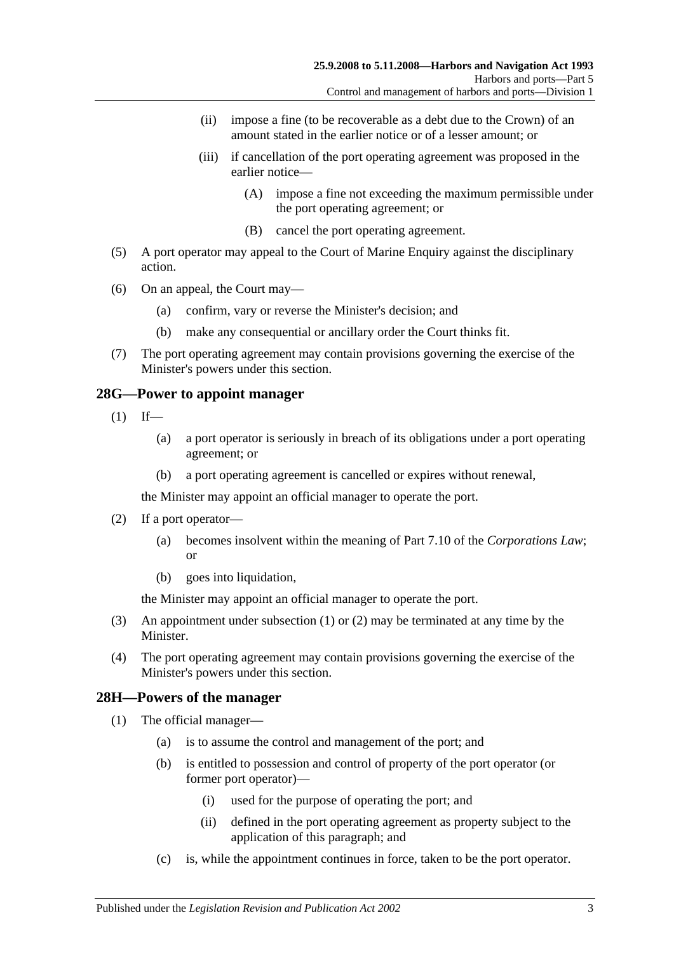- (ii) impose a fine (to be recoverable as a debt due to the Crown) of an amount stated in the earlier notice or of a lesser amount; or
- (iii) if cancellation of the port operating agreement was proposed in the earlier notice—
	- (A) impose a fine not exceeding the maximum permissible under the port operating agreement; or
	- (B) cancel the port operating agreement.
- (5) A port operator may appeal to the Court of Marine Enquiry against the disciplinary action.
- (6) On an appeal, the Court may—
	- (a) confirm, vary or reverse the Minister's decision; and
	- (b) make any consequential or ancillary order the Court thinks fit.
- (7) The port operating agreement may contain provisions governing the exercise of the Minister's powers under this section.

#### <span id="page-24-2"></span><span id="page-24-0"></span>**28G—Power to appoint manager**

- $(1)$  If—
	- (a) a port operator is seriously in breach of its obligations under a port operating agreement; or
	- (b) a port operating agreement is cancelled or expires without renewal,

the Minister may appoint an official manager to operate the port.

- <span id="page-24-3"></span>(2) If a port operator—
	- (a) becomes insolvent within the meaning of Part 7.10 of the *Corporations Law*; or
	- (b) goes into liquidation,

the Minister may appoint an official manager to operate the port.

- (3) An appointment under [subsection](#page-24-2) (1) or [\(2\)](#page-24-3) may be terminated at any time by the Minister.
- (4) The port operating agreement may contain provisions governing the exercise of the Minister's powers under this section.

## <span id="page-24-4"></span><span id="page-24-1"></span>**28H—Powers of the manager**

- (1) The official manager—
	- (a) is to assume the control and management of the port; and
	- (b) is entitled to possession and control of property of the port operator (or former port operator)—
		- (i) used for the purpose of operating the port; and
		- (ii) defined in the port operating agreement as property subject to the application of this paragraph; and
	- (c) is, while the appointment continues in force, taken to be the port operator.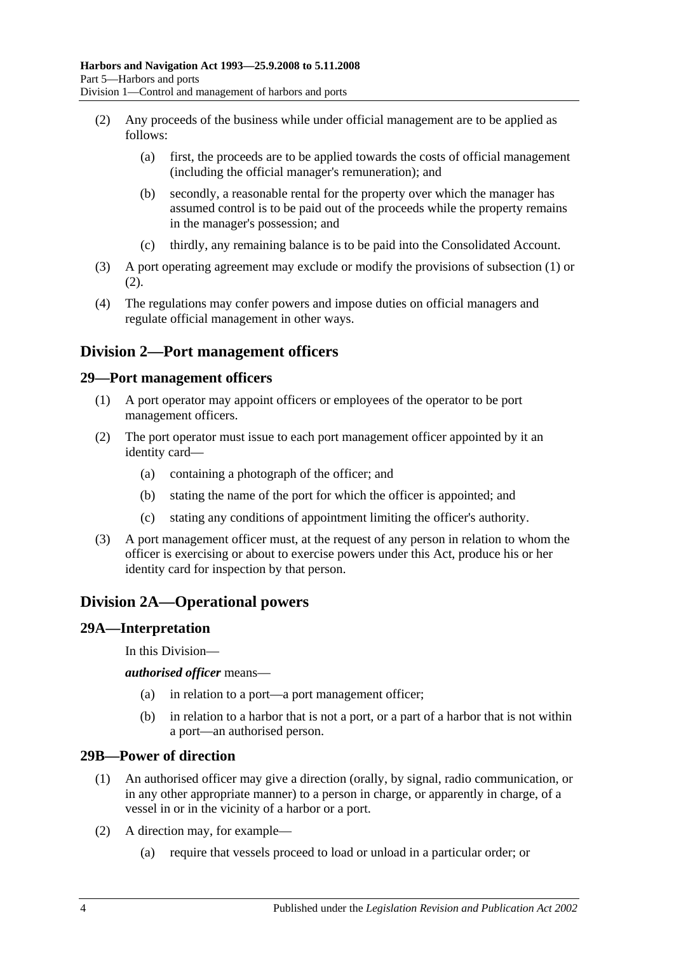- <span id="page-25-5"></span>(2) Any proceeds of the business while under official management are to be applied as follows:
	- (a) first, the proceeds are to be applied towards the costs of official management (including the official manager's remuneration); and
	- (b) secondly, a reasonable rental for the property over which the manager has assumed control is to be paid out of the proceeds while the property remains in the manager's possession; and
	- (c) thirdly, any remaining balance is to be paid into the Consolidated Account.
- (3) A port operating agreement may exclude or modify the provisions of [subsection](#page-24-4) (1) or [\(2\).](#page-25-5)
- (4) The regulations may confer powers and impose duties on official managers and regulate official management in other ways.

# <span id="page-25-0"></span>**Division 2—Port management officers**

#### <span id="page-25-1"></span>**29—Port management officers**

- (1) A port operator may appoint officers or employees of the operator to be port management officers.
- (2) The port operator must issue to each port management officer appointed by it an identity card—
	- (a) containing a photograph of the officer; and
	- (b) stating the name of the port for which the officer is appointed; and
	- (c) stating any conditions of appointment limiting the officer's authority.
- (3) A port management officer must, at the request of any person in relation to whom the officer is exercising or about to exercise powers under this Act, produce his or her identity card for inspection by that person.

# <span id="page-25-2"></span>**Division 2A—Operational powers**

#### <span id="page-25-3"></span>**29A—Interpretation**

In this Division—

*authorised officer* means—

- (a) in relation to a port—a port management officer;
- (b) in relation to a harbor that is not a port, or a part of a harbor that is not within a port—an authorised person.

#### <span id="page-25-4"></span>**29B—Power of direction**

- (1) An authorised officer may give a direction (orally, by signal, radio communication, or in any other appropriate manner) to a person in charge, or apparently in charge, of a vessel in or in the vicinity of a harbor or a port.
- (2) A direction may, for example—
	- (a) require that vessels proceed to load or unload in a particular order; or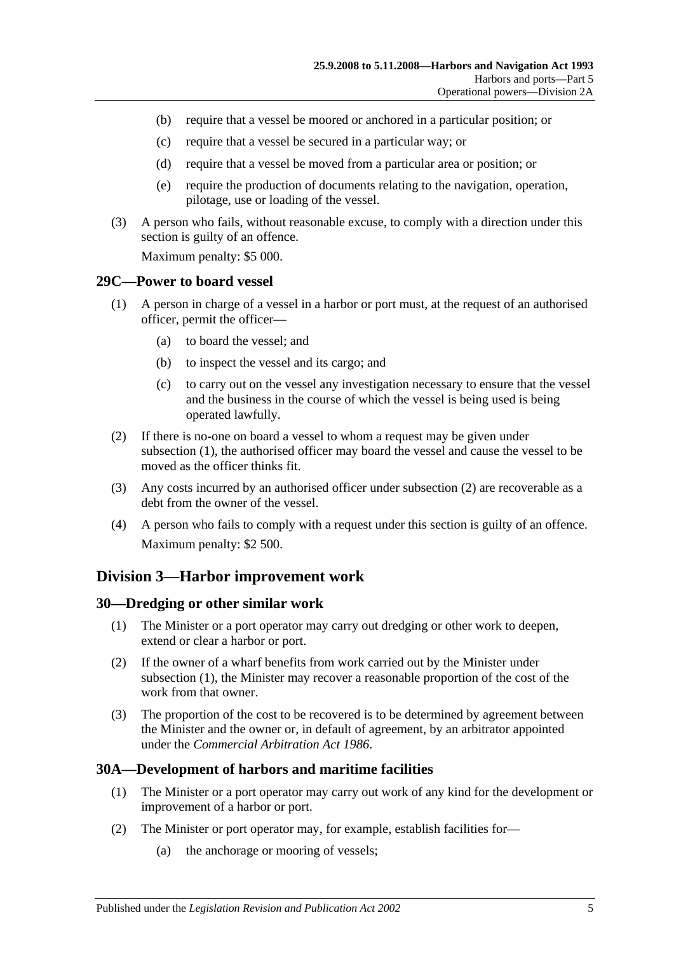- (b) require that a vessel be moored or anchored in a particular position; or
- (c) require that a vessel be secured in a particular way; or
- (d) require that a vessel be moved from a particular area or position; or
- (e) require the production of documents relating to the navigation, operation, pilotage, use or loading of the vessel.
- (3) A person who fails, without reasonable excuse, to comply with a direction under this section is guilty of an offence.

Maximum penalty: \$5 000.

#### <span id="page-26-4"></span><span id="page-26-0"></span>**29C—Power to board vessel**

- (1) A person in charge of a vessel in a harbor or port must, at the request of an authorised officer, permit the officer—
	- (a) to board the vessel; and
	- (b) to inspect the vessel and its cargo; and
	- (c) to carry out on the vessel any investigation necessary to ensure that the vessel and the business in the course of which the vessel is being used is being operated lawfully.
- <span id="page-26-5"></span>(2) If there is no-one on board a vessel to whom a request may be given under [subsection](#page-26-4) (1), the authorised officer may board the vessel and cause the vessel to be moved as the officer thinks fit.
- (3) Any costs incurred by an authorised officer under [subsection](#page-26-5) (2) are recoverable as a debt from the owner of the vessel.
- (4) A person who fails to comply with a request under this section is guilty of an offence. Maximum penalty: \$2 500.

## <span id="page-26-1"></span>**Division 3—Harbor improvement work**

#### <span id="page-26-6"></span><span id="page-26-2"></span>**30—Dredging or other similar work**

- (1) The Minister or a port operator may carry out dredging or other work to deepen, extend or clear a harbor or port.
- (2) If the owner of a wharf benefits from work carried out by the Minister under [subsection](#page-26-6) (1), the Minister may recover a reasonable proportion of the cost of the work from that owner.
- (3) The proportion of the cost to be recovered is to be determined by agreement between the Minister and the owner or, in default of agreement, by an arbitrator appointed under the *[Commercial Arbitration Act](http://www.legislation.sa.gov.au/index.aspx?action=legref&type=act&legtitle=Commercial%20Arbitration%20Act%201986) 1986*.

## <span id="page-26-3"></span>**30A—Development of harbors and maritime facilities**

- (1) The Minister or a port operator may carry out work of any kind for the development or improvement of a harbor or port.
- (2) The Minister or port operator may, for example, establish facilities for—
	- (a) the anchorage or mooring of vessels;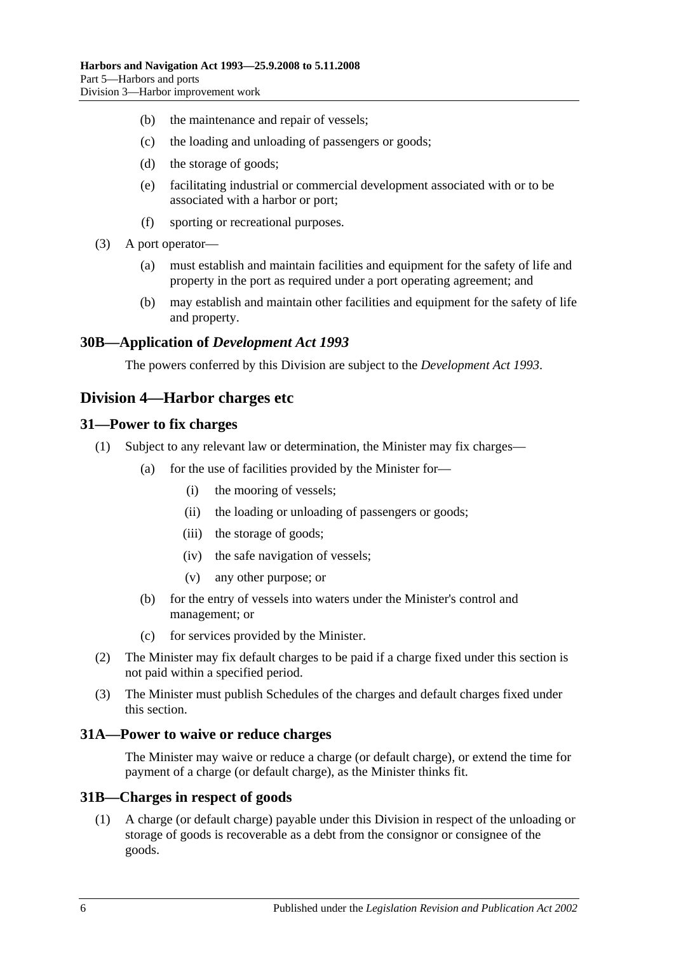- (b) the maintenance and repair of vessels;
- (c) the loading and unloading of passengers or goods;
- (d) the storage of goods;
- (e) facilitating industrial or commercial development associated with or to be associated with a harbor or port;
- (f) sporting or recreational purposes.
- (3) A port operator—
	- (a) must establish and maintain facilities and equipment for the safety of life and property in the port as required under a port operating agreement; and
	- (b) may establish and maintain other facilities and equipment for the safety of life and property.

#### <span id="page-27-0"></span>**30B—Application of** *Development Act 1993*

The powers conferred by this Division are subject to the *[Development Act](http://www.legislation.sa.gov.au/index.aspx?action=legref&type=act&legtitle=Development%20Act%201993) 1993*.

## <span id="page-27-1"></span>**Division 4—Harbor charges etc**

#### <span id="page-27-2"></span>**31—Power to fix charges**

- (1) Subject to any relevant law or determination, the Minister may fix charges—
	- (a) for the use of facilities provided by the Minister for—
		- (i) the mooring of vessels;
		- (ii) the loading or unloading of passengers or goods;
		- (iii) the storage of goods;
		- (iv) the safe navigation of vessels;
		- (v) any other purpose; or
	- (b) for the entry of vessels into waters under the Minister's control and management; or
	- (c) for services provided by the Minister.
- (2) The Minister may fix default charges to be paid if a charge fixed under this section is not paid within a specified period.
- (3) The Minister must publish Schedules of the charges and default charges fixed under this section.

#### <span id="page-27-3"></span>**31A—Power to waive or reduce charges**

The Minister may waive or reduce a charge (or default charge), or extend the time for payment of a charge (or default charge), as the Minister thinks fit.

#### <span id="page-27-4"></span>**31B—Charges in respect of goods**

(1) A charge (or default charge) payable under this Division in respect of the unloading or storage of goods is recoverable as a debt from the consignor or consignee of the goods.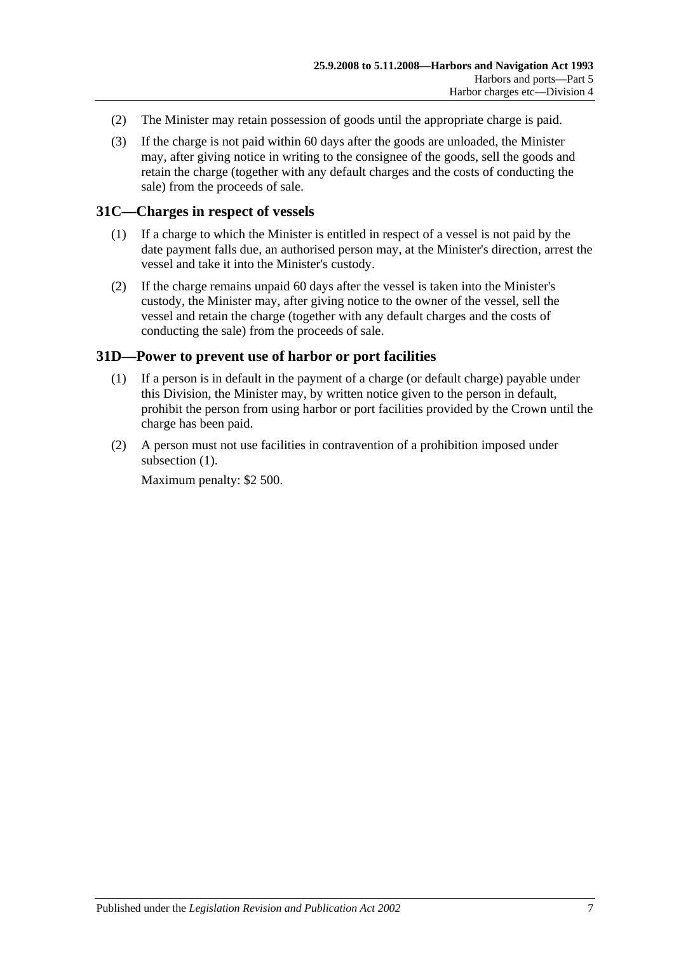- (2) The Minister may retain possession of goods until the appropriate charge is paid.
- (3) If the charge is not paid within 60 days after the goods are unloaded, the Minister may, after giving notice in writing to the consignee of the goods, sell the goods and retain the charge (together with any default charges and the costs of conducting the sale) from the proceeds of sale.

#### <span id="page-28-0"></span>**31C—Charges in respect of vessels**

- (1) If a charge to which the Minister is entitled in respect of a vessel is not paid by the date payment falls due, an authorised person may, at the Minister's direction, arrest the vessel and take it into the Minister's custody.
- (2) If the charge remains unpaid 60 days after the vessel is taken into the Minister's custody, the Minister may, after giving notice to the owner of the vessel, sell the vessel and retain the charge (together with any default charges and the costs of conducting the sale) from the proceeds of sale.

#### <span id="page-28-2"></span><span id="page-28-1"></span>**31D—Power to prevent use of harbor or port facilities**

- (1) If a person is in default in the payment of a charge (or default charge) payable under this Division, the Minister may, by written notice given to the person in default, prohibit the person from using harbor or port facilities provided by the Crown until the charge has been paid.
- (2) A person must not use facilities in contravention of a prohibition imposed under [subsection](#page-28-2)  $(1)$ .

Maximum penalty: \$2 500.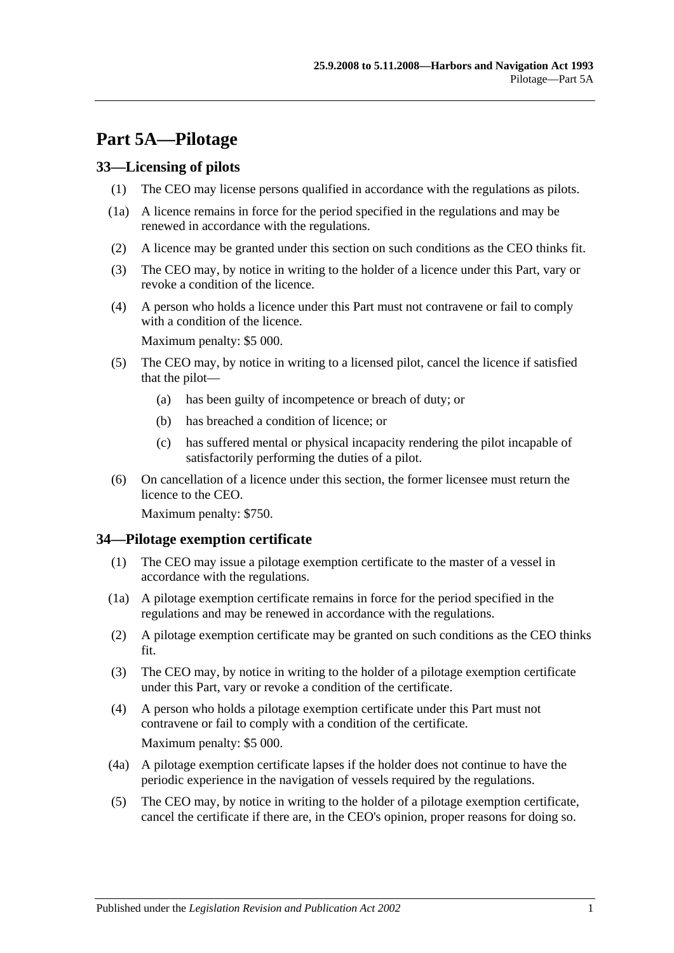# <span id="page-30-0"></span>**Part 5A—Pilotage**

## <span id="page-30-1"></span>**33—Licensing of pilots**

- (1) The CEO may license persons qualified in accordance with the regulations as pilots.
- (1a) A licence remains in force for the period specified in the regulations and may be renewed in accordance with the regulations.
- (2) A licence may be granted under this section on such conditions as the CEO thinks fit.
- (3) The CEO may, by notice in writing to the holder of a licence under this Part, vary or revoke a condition of the licence.
- (4) A person who holds a licence under this Part must not contravene or fail to comply with a condition of the licence.

Maximum penalty: \$5 000.

- (5) The CEO may, by notice in writing to a licensed pilot, cancel the licence if satisfied that the pilot—
	- (a) has been guilty of incompetence or breach of duty; or
	- (b) has breached a condition of licence; or
	- (c) has suffered mental or physical incapacity rendering the pilot incapable of satisfactorily performing the duties of a pilot.
- (6) On cancellation of a licence under this section, the former licensee must return the licence to the CEO.

Maximum penalty: \$750.

## <span id="page-30-2"></span>**34—Pilotage exemption certificate**

- (1) The CEO may issue a pilotage exemption certificate to the master of a vessel in accordance with the regulations.
- (1a) A pilotage exemption certificate remains in force for the period specified in the regulations and may be renewed in accordance with the regulations.
- (2) A pilotage exemption certificate may be granted on such conditions as the CEO thinks fit.
- (3) The CEO may, by notice in writing to the holder of a pilotage exemption certificate under this Part, vary or revoke a condition of the certificate.
- (4) A person who holds a pilotage exemption certificate under this Part must not contravene or fail to comply with a condition of the certificate. Maximum penalty: \$5 000.
- (4a) A pilotage exemption certificate lapses if the holder does not continue to have the periodic experience in the navigation of vessels required by the regulations.
- (5) The CEO may, by notice in writing to the holder of a pilotage exemption certificate, cancel the certificate if there are, in the CEO's opinion, proper reasons for doing so.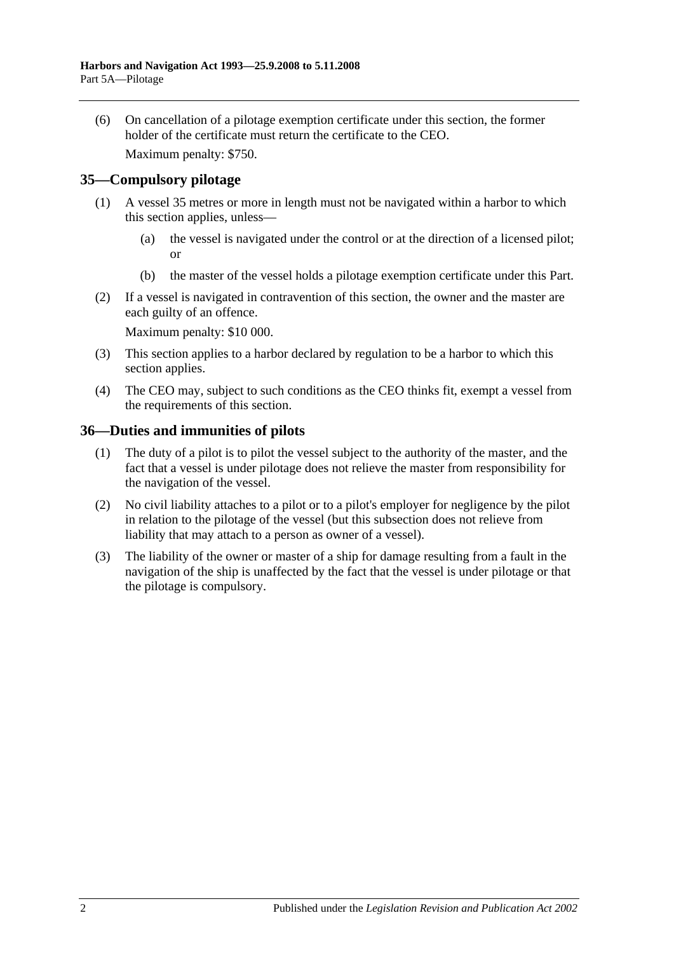(6) On cancellation of a pilotage exemption certificate under this section, the former holder of the certificate must return the certificate to the CEO.

Maximum penalty: \$750.

## <span id="page-31-0"></span>**35—Compulsory pilotage**

- (1) A vessel 35 metres or more in length must not be navigated within a harbor to which this section applies, unless—
	- (a) the vessel is navigated under the control or at the direction of a licensed pilot; or
	- (b) the master of the vessel holds a pilotage exemption certificate under this Part.
- (2) If a vessel is navigated in contravention of this section, the owner and the master are each guilty of an offence.

Maximum penalty: \$10 000.

- (3) This section applies to a harbor declared by regulation to be a harbor to which this section applies.
- (4) The CEO may, subject to such conditions as the CEO thinks fit, exempt a vessel from the requirements of this section.

## <span id="page-31-1"></span>**36—Duties and immunities of pilots**

- (1) The duty of a pilot is to pilot the vessel subject to the authority of the master, and the fact that a vessel is under pilotage does not relieve the master from responsibility for the navigation of the vessel.
- (2) No civil liability attaches to a pilot or to a pilot's employer for negligence by the pilot in relation to the pilotage of the vessel (but this subsection does not relieve from liability that may attach to a person as owner of a vessel).
- (3) The liability of the owner or master of a ship for damage resulting from a fault in the navigation of the ship is unaffected by the fact that the vessel is under pilotage or that the pilotage is compulsory.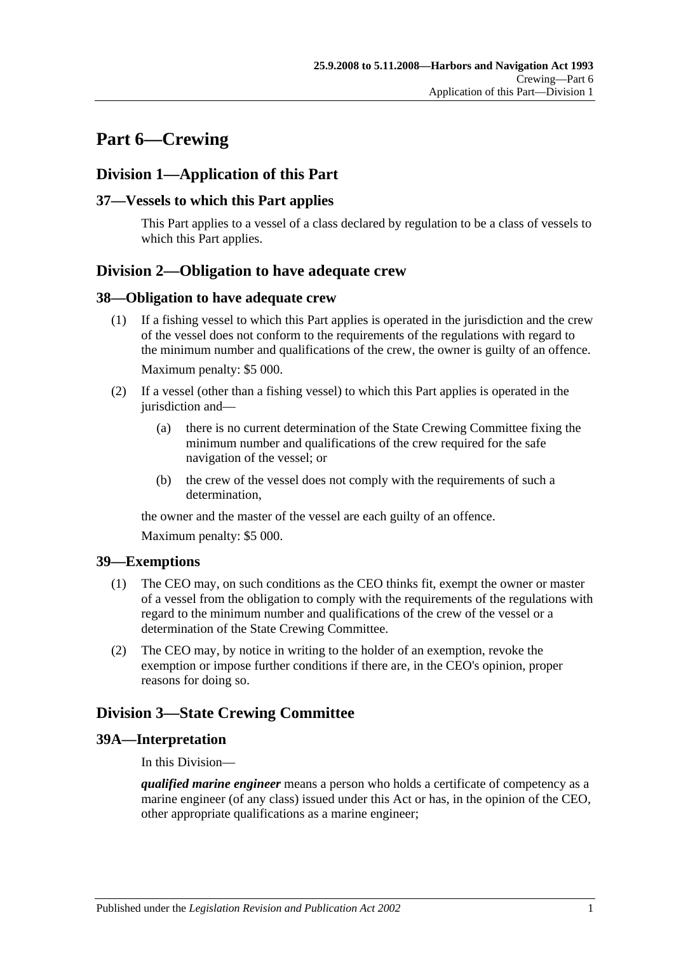# <span id="page-32-0"></span>**Part 6—Crewing**

# <span id="page-32-1"></span>**Division 1—Application of this Part**

## <span id="page-32-2"></span>**37—Vessels to which this Part applies**

This Part applies to a vessel of a class declared by regulation to be a class of vessels to which this Part applies.

# <span id="page-32-3"></span>**Division 2—Obligation to have adequate crew**

#### <span id="page-32-4"></span>**38—Obligation to have adequate crew**

- (1) If a fishing vessel to which this Part applies is operated in the jurisdiction and the crew of the vessel does not conform to the requirements of the regulations with regard to the minimum number and qualifications of the crew, the owner is guilty of an offence. Maximum penalty: \$5 000.
- (2) If a vessel (other than a fishing vessel) to which this Part applies is operated in the jurisdiction and—
	- (a) there is no current determination of the State Crewing Committee fixing the minimum number and qualifications of the crew required for the safe navigation of the vessel; or
	- (b) the crew of the vessel does not comply with the requirements of such a determination,

the owner and the master of the vessel are each guilty of an offence.

Maximum penalty: \$5 000.

## <span id="page-32-5"></span>**39—Exemptions**

- (1) The CEO may, on such conditions as the CEO thinks fit, exempt the owner or master of a vessel from the obligation to comply with the requirements of the regulations with regard to the minimum number and qualifications of the crew of the vessel or a determination of the State Crewing Committee.
- (2) The CEO may, by notice in writing to the holder of an exemption, revoke the exemption or impose further conditions if there are, in the CEO's opinion, proper reasons for doing so.

# <span id="page-32-6"></span>**Division 3—State Crewing Committee**

## <span id="page-32-7"></span>**39A—Interpretation**

In this Division—

*qualified marine engineer* means a person who holds a certificate of competency as a marine engineer (of any class) issued under this Act or has, in the opinion of the CEO, other appropriate qualifications as a marine engineer;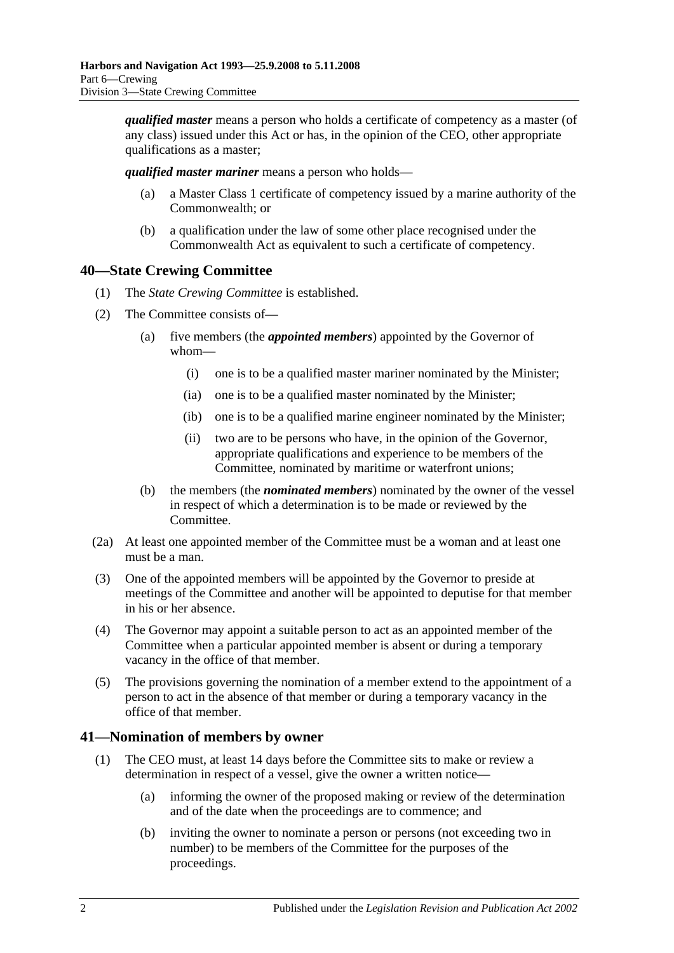*qualified master* means a person who holds a certificate of competency as a master (of any class) issued under this Act or has, in the opinion of the CEO, other appropriate qualifications as a master;

*qualified master mariner* means a person who holds—

- (a) a Master Class 1 certificate of competency issued by a marine authority of the Commonwealth; or
- (b) a qualification under the law of some other place recognised under the Commonwealth Act as equivalent to such a certificate of competency.

# <span id="page-33-0"></span>**40—State Crewing Committee**

- (1) The *State Crewing Committee* is established.
- (2) The Committee consists of—
	- (a) five members (the *appointed members*) appointed by the Governor of whom—
		- (i) one is to be a qualified master mariner nominated by the Minister;
		- (ia) one is to be a qualified master nominated by the Minister;
		- (ib) one is to be a qualified marine engineer nominated by the Minister;
		- (ii) two are to be persons who have, in the opinion of the Governor, appropriate qualifications and experience to be members of the Committee, nominated by maritime or waterfront unions;
	- (b) the members (the *nominated members*) nominated by the owner of the vessel in respect of which a determination is to be made or reviewed by the Committee.
- (2a) At least one appointed member of the Committee must be a woman and at least one must be a man.
- (3) One of the appointed members will be appointed by the Governor to preside at meetings of the Committee and another will be appointed to deputise for that member in his or her absence.
- (4) The Governor may appoint a suitable person to act as an appointed member of the Committee when a particular appointed member is absent or during a temporary vacancy in the office of that member.
- (5) The provisions governing the nomination of a member extend to the appointment of a person to act in the absence of that member or during a temporary vacancy in the office of that member.

## <span id="page-33-1"></span>**41—Nomination of members by owner**

- (1) The CEO must, at least 14 days before the Committee sits to make or review a determination in respect of a vessel, give the owner a written notice—
	- (a) informing the owner of the proposed making or review of the determination and of the date when the proceedings are to commence; and
	- (b) inviting the owner to nominate a person or persons (not exceeding two in number) to be members of the Committee for the purposes of the proceedings.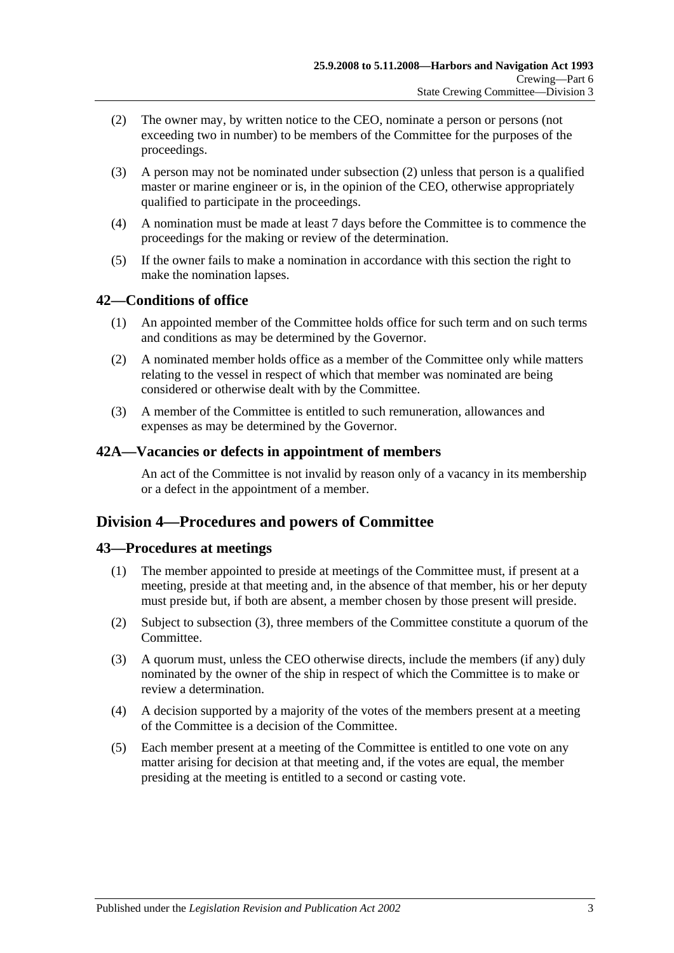- <span id="page-34-4"></span>(2) The owner may, by written notice to the CEO, nominate a person or persons (not exceeding two in number) to be members of the Committee for the purposes of the proceedings.
- (3) A person may not be nominated under [subsection](#page-34-4) (2) unless that person is a qualified master or marine engineer or is, in the opinion of the CEO, otherwise appropriately qualified to participate in the proceedings.
- (4) A nomination must be made at least 7 days before the Committee is to commence the proceedings for the making or review of the determination.
- (5) If the owner fails to make a nomination in accordance with this section the right to make the nomination lapses.

## <span id="page-34-0"></span>**42—Conditions of office**

- (1) An appointed member of the Committee holds office for such term and on such terms and conditions as may be determined by the Governor.
- (2) A nominated member holds office as a member of the Committee only while matters relating to the vessel in respect of which that member was nominated are being considered or otherwise dealt with by the Committee.
- (3) A member of the Committee is entitled to such remuneration, allowances and expenses as may be determined by the Governor.

#### <span id="page-34-1"></span>**42A—Vacancies or defects in appointment of members**

An act of the Committee is not invalid by reason only of a vacancy in its membership or a defect in the appointment of a member.

# <span id="page-34-2"></span>**Division 4—Procedures and powers of Committee**

## <span id="page-34-3"></span>**43—Procedures at meetings**

- (1) The member appointed to preside at meetings of the Committee must, if present at a meeting, preside at that meeting and, in the absence of that member, his or her deputy must preside but, if both are absent, a member chosen by those present will preside.
- (2) Subject to [subsection](#page-34-5) (3), three members of the Committee constitute a quorum of the Committee.
- <span id="page-34-5"></span>(3) A quorum must, unless the CEO otherwise directs, include the members (if any) duly nominated by the owner of the ship in respect of which the Committee is to make or review a determination.
- (4) A decision supported by a majority of the votes of the members present at a meeting of the Committee is a decision of the Committee.
- (5) Each member present at a meeting of the Committee is entitled to one vote on any matter arising for decision at that meeting and, if the votes are equal, the member presiding at the meeting is entitled to a second or casting vote.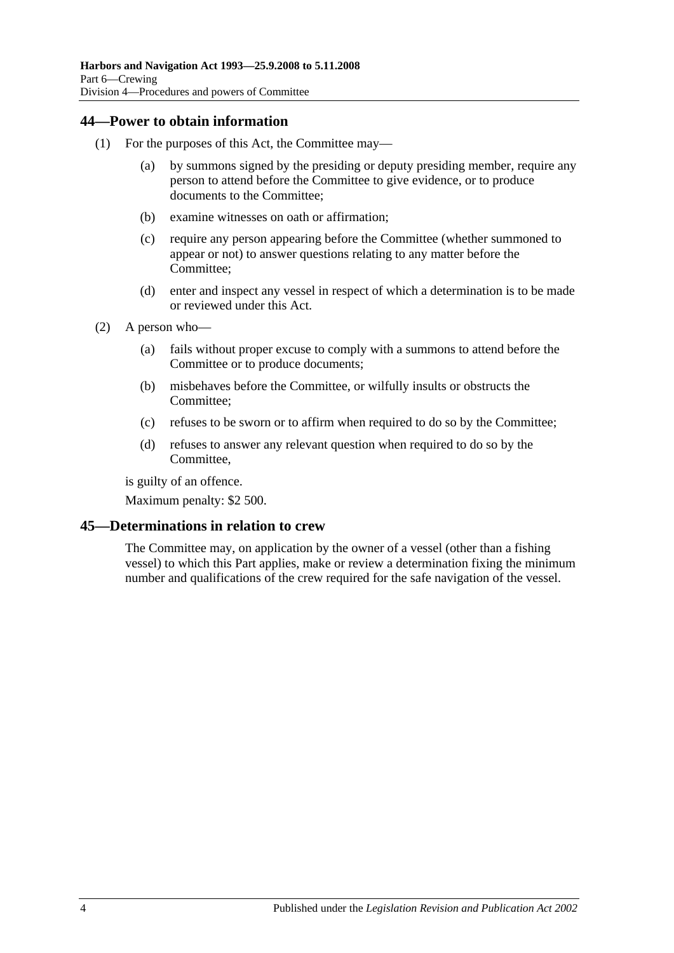## <span id="page-35-0"></span>**44—Power to obtain information**

- (1) For the purposes of this Act, the Committee may—
	- (a) by summons signed by the presiding or deputy presiding member, require any person to attend before the Committee to give evidence, or to produce documents to the Committee;
	- (b) examine witnesses on oath or affirmation;
	- (c) require any person appearing before the Committee (whether summoned to appear or not) to answer questions relating to any matter before the Committee;
	- (d) enter and inspect any vessel in respect of which a determination is to be made or reviewed under this Act.
- (2) A person who—
	- (a) fails without proper excuse to comply with a summons to attend before the Committee or to produce documents;
	- (b) misbehaves before the Committee, or wilfully insults or obstructs the Committee;
	- (c) refuses to be sworn or to affirm when required to do so by the Committee;
	- (d) refuses to answer any relevant question when required to do so by the Committee,

is guilty of an offence.

Maximum penalty: \$2 500.

## <span id="page-35-1"></span>**45—Determinations in relation to crew**

The Committee may, on application by the owner of a vessel (other than a fishing vessel) to which this Part applies, make or review a determination fixing the minimum number and qualifications of the crew required for the safe navigation of the vessel.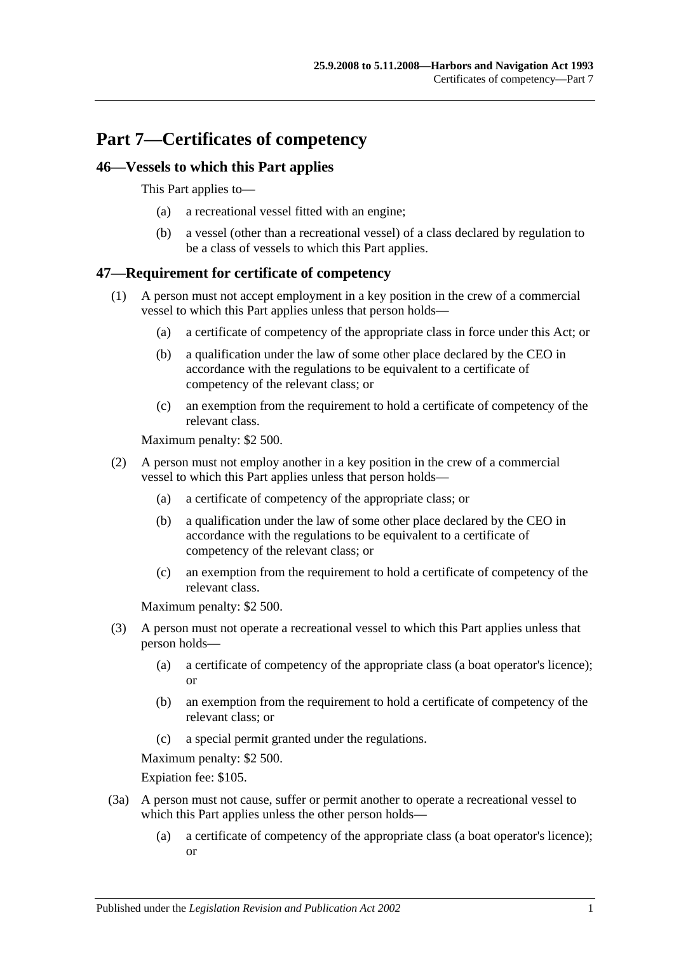# **Part 7—Certificates of competency**

# **46—Vessels to which this Part applies**

This Part applies to—

- (a) a recreational vessel fitted with an engine;
- (b) a vessel (other than a recreational vessel) of a class declared by regulation to be a class of vessels to which this Part applies.

# **47—Requirement for certificate of competency**

- (1) A person must not accept employment in a key position in the crew of a commercial vessel to which this Part applies unless that person holds—
	- (a) a certificate of competency of the appropriate class in force under this Act; or
	- (b) a qualification under the law of some other place declared by the CEO in accordance with the regulations to be equivalent to a certificate of competency of the relevant class; or
	- (c) an exemption from the requirement to hold a certificate of competency of the relevant class.

Maximum penalty: \$2 500.

- (2) A person must not employ another in a key position in the crew of a commercial vessel to which this Part applies unless that person holds—
	- (a) a certificate of competency of the appropriate class; or
	- (b) a qualification under the law of some other place declared by the CEO in accordance with the regulations to be equivalent to a certificate of competency of the relevant class; or
	- (c) an exemption from the requirement to hold a certificate of competency of the relevant class.

Maximum penalty: \$2 500.

- (3) A person must not operate a recreational vessel to which this Part applies unless that person holds—
	- (a) a certificate of competency of the appropriate class (a boat operator's licence); or
	- (b) an exemption from the requirement to hold a certificate of competency of the relevant class; or
	- (c) a special permit granted under the regulations.

Maximum penalty: \$2 500.

Expiation fee: \$105.

- (3a) A person must not cause, suffer or permit another to operate a recreational vessel to which this Part applies unless the other person holds—
	- (a) a certificate of competency of the appropriate class (a boat operator's licence); or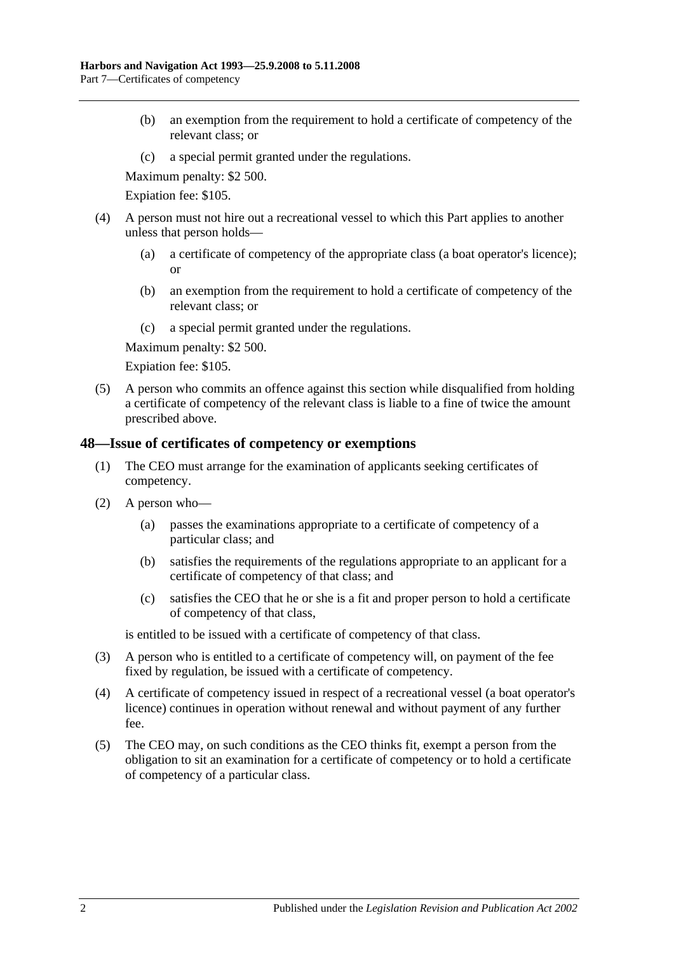- (b) an exemption from the requirement to hold a certificate of competency of the relevant class; or
- (c) a special permit granted under the regulations.

Maximum penalty: \$2 500.

Expiation fee: \$105.

- (4) A person must not hire out a recreational vessel to which this Part applies to another unless that person holds—
	- (a) a certificate of competency of the appropriate class (a boat operator's licence); or
	- (b) an exemption from the requirement to hold a certificate of competency of the relevant class; or
	- (c) a special permit granted under the regulations.

Maximum penalty: \$2 500.

Expiation fee: \$105.

(5) A person who commits an offence against this section while disqualified from holding a certificate of competency of the relevant class is liable to a fine of twice the amount prescribed above.

# **48—Issue of certificates of competency or exemptions**

- (1) The CEO must arrange for the examination of applicants seeking certificates of competency.
- (2) A person who—
	- (a) passes the examinations appropriate to a certificate of competency of a particular class; and
	- (b) satisfies the requirements of the regulations appropriate to an applicant for a certificate of competency of that class; and
	- (c) satisfies the CEO that he or she is a fit and proper person to hold a certificate of competency of that class,

is entitled to be issued with a certificate of competency of that class.

- (3) A person who is entitled to a certificate of competency will, on payment of the fee fixed by regulation, be issued with a certificate of competency.
- (4) A certificate of competency issued in respect of a recreational vessel (a boat operator's licence) continues in operation without renewal and without payment of any further fee.
- (5) The CEO may, on such conditions as the CEO thinks fit, exempt a person from the obligation to sit an examination for a certificate of competency or to hold a certificate of competency of a particular class.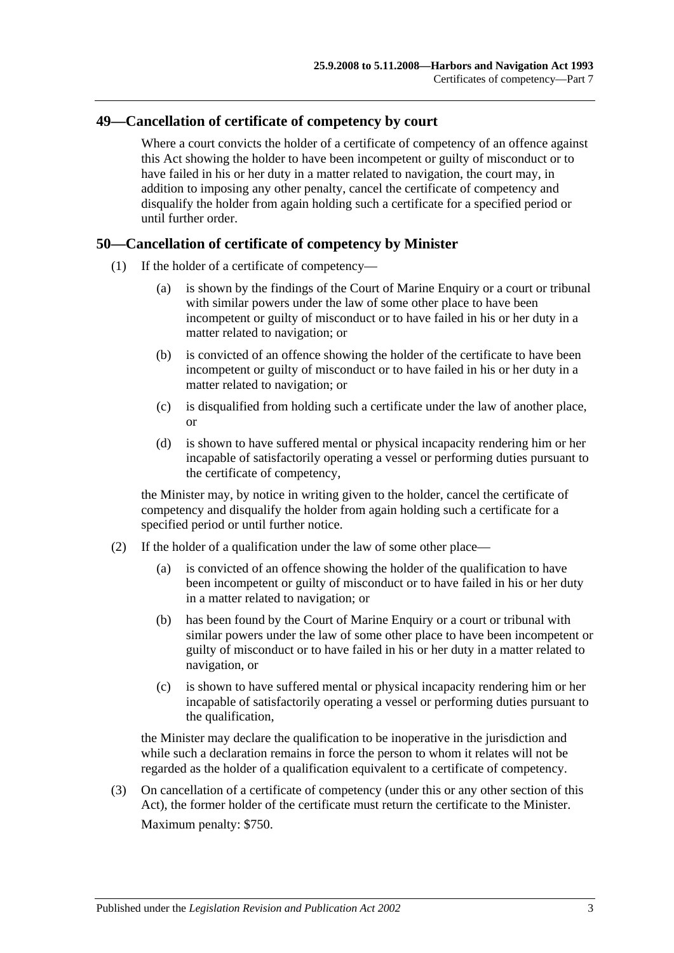# **49—Cancellation of certificate of competency by court**

Where a court convicts the holder of a certificate of competency of an offence against this Act showing the holder to have been incompetent or guilty of misconduct or to have failed in his or her duty in a matter related to navigation, the court may, in addition to imposing any other penalty, cancel the certificate of competency and disqualify the holder from again holding such a certificate for a specified period or until further order.

# **50—Cancellation of certificate of competency by Minister**

- (1) If the holder of a certificate of competency—
	- (a) is shown by the findings of the Court of Marine Enquiry or a court or tribunal with similar powers under the law of some other place to have been incompetent or guilty of misconduct or to have failed in his or her duty in a matter related to navigation; or
	- (b) is convicted of an offence showing the holder of the certificate to have been incompetent or guilty of misconduct or to have failed in his or her duty in a matter related to navigation; or
	- (c) is disqualified from holding such a certificate under the law of another place, or
	- (d) is shown to have suffered mental or physical incapacity rendering him or her incapable of satisfactorily operating a vessel or performing duties pursuant to the certificate of competency,

the Minister may, by notice in writing given to the holder, cancel the certificate of competency and disqualify the holder from again holding such a certificate for a specified period or until further notice.

- (2) If the holder of a qualification under the law of some other place—
	- (a) is convicted of an offence showing the holder of the qualification to have been incompetent or guilty of misconduct or to have failed in his or her duty in a matter related to navigation; or
	- (b) has been found by the Court of Marine Enquiry or a court or tribunal with similar powers under the law of some other place to have been incompetent or guilty of misconduct or to have failed in his or her duty in a matter related to navigation, or
	- (c) is shown to have suffered mental or physical incapacity rendering him or her incapable of satisfactorily operating a vessel or performing duties pursuant to the qualification,

the Minister may declare the qualification to be inoperative in the jurisdiction and while such a declaration remains in force the person to whom it relates will not be regarded as the holder of a qualification equivalent to a certificate of competency.

(3) On cancellation of a certificate of competency (under this or any other section of this Act), the former holder of the certificate must return the certificate to the Minister. Maximum penalty: \$750.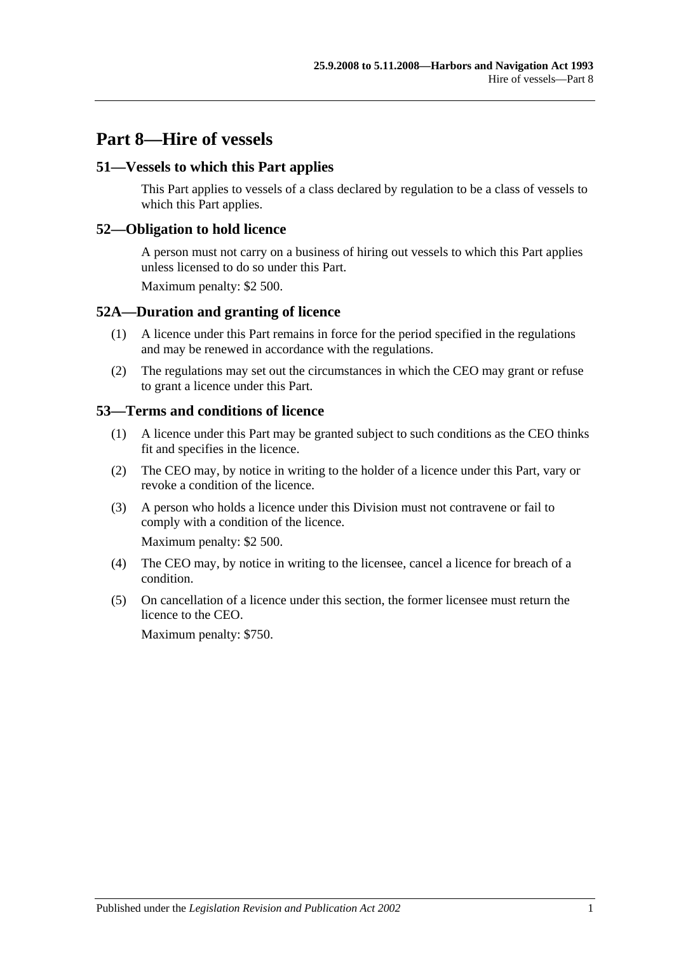# **Part 8—Hire of vessels**

# **51—Vessels to which this Part applies**

This Part applies to vessels of a class declared by regulation to be a class of vessels to which this Part applies.

## **52—Obligation to hold licence**

A person must not carry on a business of hiring out vessels to which this Part applies unless licensed to do so under this Part.

Maximum penalty: \$2 500.

## **52A—Duration and granting of licence**

- (1) A licence under this Part remains in force for the period specified in the regulations and may be renewed in accordance with the regulations.
- (2) The regulations may set out the circumstances in which the CEO may grant or refuse to grant a licence under this Part.

## **53—Terms and conditions of licence**

- (1) A licence under this Part may be granted subject to such conditions as the CEO thinks fit and specifies in the licence.
- (2) The CEO may, by notice in writing to the holder of a licence under this Part, vary or revoke a condition of the licence.
- (3) A person who holds a licence under this Division must not contravene or fail to comply with a condition of the licence.

Maximum penalty: \$2 500.

- (4) The CEO may, by notice in writing to the licensee, cancel a licence for breach of a condition.
- (5) On cancellation of a licence under this section, the former licensee must return the licence to the CEO.

Maximum penalty: \$750.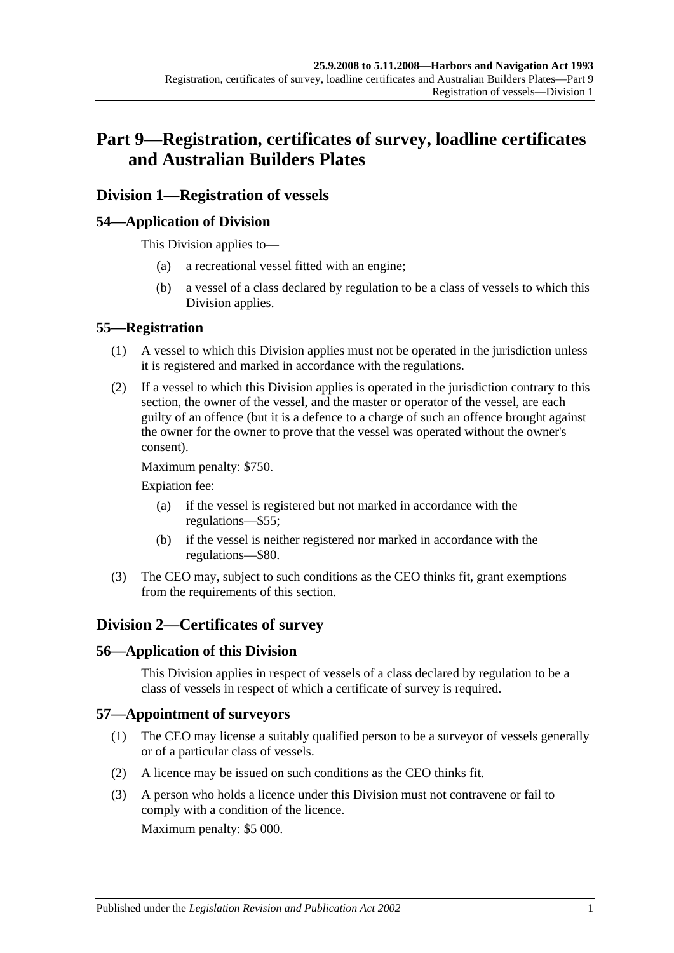# **Part 9—Registration, certificates of survey, loadline certificates and Australian Builders Plates**

# **Division 1—Registration of vessels**

# **54—Application of Division**

This Division applies to—

- (a) a recreational vessel fitted with an engine;
- (b) a vessel of a class declared by regulation to be a class of vessels to which this Division applies.

## **55—Registration**

- (1) A vessel to which this Division applies must not be operated in the jurisdiction unless it is registered and marked in accordance with the regulations.
- (2) If a vessel to which this Division applies is operated in the jurisdiction contrary to this section, the owner of the vessel, and the master or operator of the vessel, are each guilty of an offence (but it is a defence to a charge of such an offence brought against the owner for the owner to prove that the vessel was operated without the owner's consent).

Maximum penalty: \$750.

Expiation fee:

- (a) if the vessel is registered but not marked in accordance with the regulations—\$55;
- (b) if the vessel is neither registered nor marked in accordance with the regulations—\$80.
- (3) The CEO may, subject to such conditions as the CEO thinks fit, grant exemptions from the requirements of this section.

# **Division 2—Certificates of survey**

# **56—Application of this Division**

This Division applies in respect of vessels of a class declared by regulation to be a class of vessels in respect of which a certificate of survey is required.

#### **57—Appointment of surveyors**

- (1) The CEO may license a suitably qualified person to be a surveyor of vessels generally or of a particular class of vessels.
- (2) A licence may be issued on such conditions as the CEO thinks fit.
- (3) A person who holds a licence under this Division must not contravene or fail to comply with a condition of the licence.

Maximum penalty: \$5 000.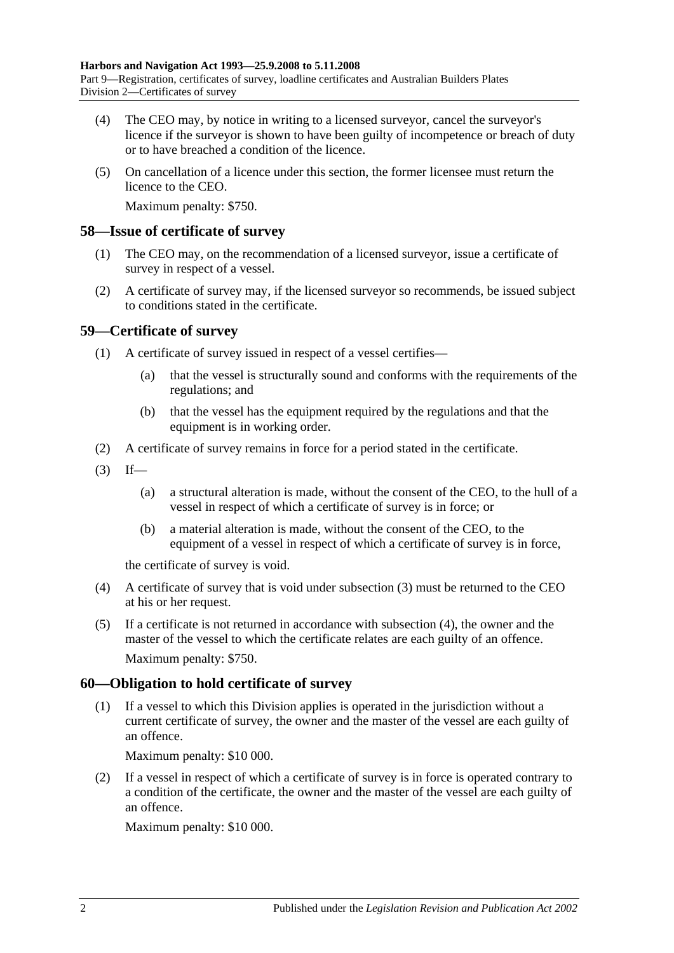- (4) The CEO may, by notice in writing to a licensed surveyor, cancel the surveyor's licence if the surveyor is shown to have been guilty of incompetence or breach of duty or to have breached a condition of the licence.
- (5) On cancellation of a licence under this section, the former licensee must return the licence to the CEO.

Maximum penalty: \$750.

## **58—Issue of certificate of survey**

- (1) The CEO may, on the recommendation of a licensed surveyor, issue a certificate of survey in respect of a vessel.
- (2) A certificate of survey may, if the licensed surveyor so recommends, be issued subject to conditions stated in the certificate.

# **59—Certificate of survey**

- (1) A certificate of survey issued in respect of a vessel certifies—
	- (a) that the vessel is structurally sound and conforms with the requirements of the regulations; and
	- (b) that the vessel has the equipment required by the regulations and that the equipment is in working order.
- (2) A certificate of survey remains in force for a period stated in the certificate.
- <span id="page-43-0"></span> $(3)$  If—
	- (a) a structural alteration is made, without the consent of the CEO, to the hull of a vessel in respect of which a certificate of survey is in force; or
	- (b) a material alteration is made, without the consent of the CEO, to the equipment of a vessel in respect of which a certificate of survey is in force,

the certificate of survey is void.

- <span id="page-43-1"></span>(4) A certificate of survey that is void under [subsection](#page-43-0) (3) must be returned to the CEO at his or her request.
- (5) If a certificate is not returned in accordance with [subsection](#page-43-1) (4), the owner and the master of the vessel to which the certificate relates are each guilty of an offence. Maximum penalty: \$750.

# **60—Obligation to hold certificate of survey**

(1) If a vessel to which this Division applies is operated in the jurisdiction without a current certificate of survey, the owner and the master of the vessel are each guilty of an offence.

Maximum penalty: \$10 000.

(2) If a vessel in respect of which a certificate of survey is in force is operated contrary to a condition of the certificate, the owner and the master of the vessel are each guilty of an offence.

Maximum penalty: \$10 000.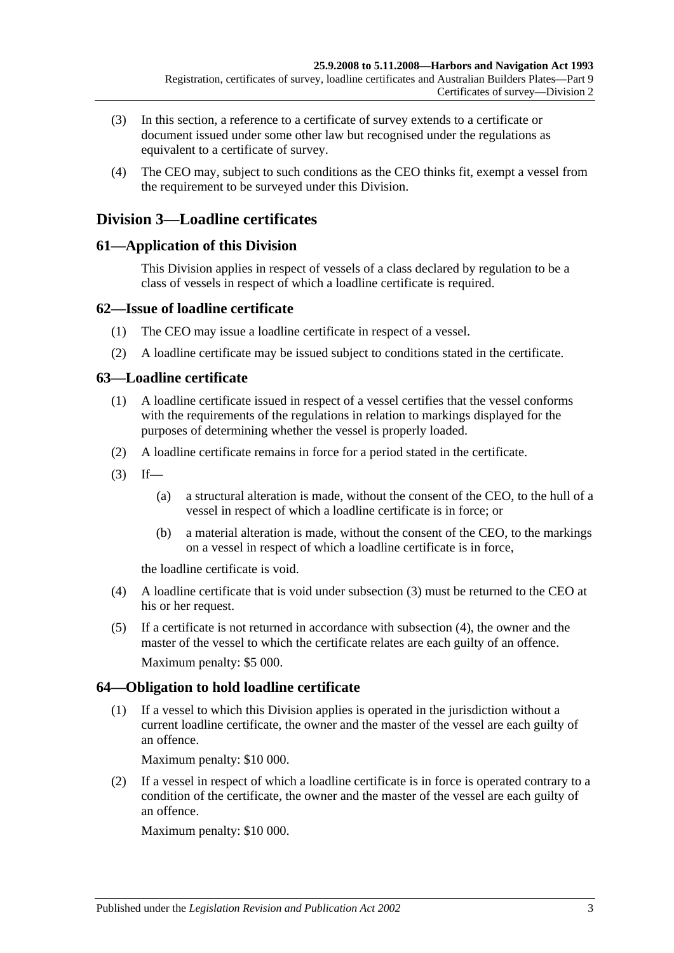- (3) In this section, a reference to a certificate of survey extends to a certificate or document issued under some other law but recognised under the regulations as equivalent to a certificate of survey.
- (4) The CEO may, subject to such conditions as the CEO thinks fit, exempt a vessel from the requirement to be surveyed under this Division.

# **Division 3—Loadline certificates**

# **61—Application of this Division**

This Division applies in respect of vessels of a class declared by regulation to be a class of vessels in respect of which a loadline certificate is required.

# **62—Issue of loadline certificate**

- (1) The CEO may issue a loadline certificate in respect of a vessel.
- (2) A loadline certificate may be issued subject to conditions stated in the certificate.

# **63—Loadline certificate**

- (1) A loadline certificate issued in respect of a vessel certifies that the vessel conforms with the requirements of the regulations in relation to markings displayed for the purposes of determining whether the vessel is properly loaded.
- (2) A loadline certificate remains in force for a period stated in the certificate.
- <span id="page-44-0"></span> $(3)$  If—
	- (a) a structural alteration is made, without the consent of the CEO, to the hull of a vessel in respect of which a loadline certificate is in force; or
	- (b) a material alteration is made, without the consent of the CEO, to the markings on a vessel in respect of which a loadline certificate is in force,

the loadline certificate is void.

- <span id="page-44-1"></span>(4) A loadline certificate that is void under [subsection](#page-44-0) (3) must be returned to the CEO at his or her request.
- (5) If a certificate is not returned in accordance with [subsection](#page-44-1) (4), the owner and the master of the vessel to which the certificate relates are each guilty of an offence. Maximum penalty: \$5 000.

# **64—Obligation to hold loadline certificate**

(1) If a vessel to which this Division applies is operated in the jurisdiction without a current loadline certificate, the owner and the master of the vessel are each guilty of an offence.

Maximum penalty: \$10 000.

(2) If a vessel in respect of which a loadline certificate is in force is operated contrary to a condition of the certificate, the owner and the master of the vessel are each guilty of an offence.

Maximum penalty: \$10 000.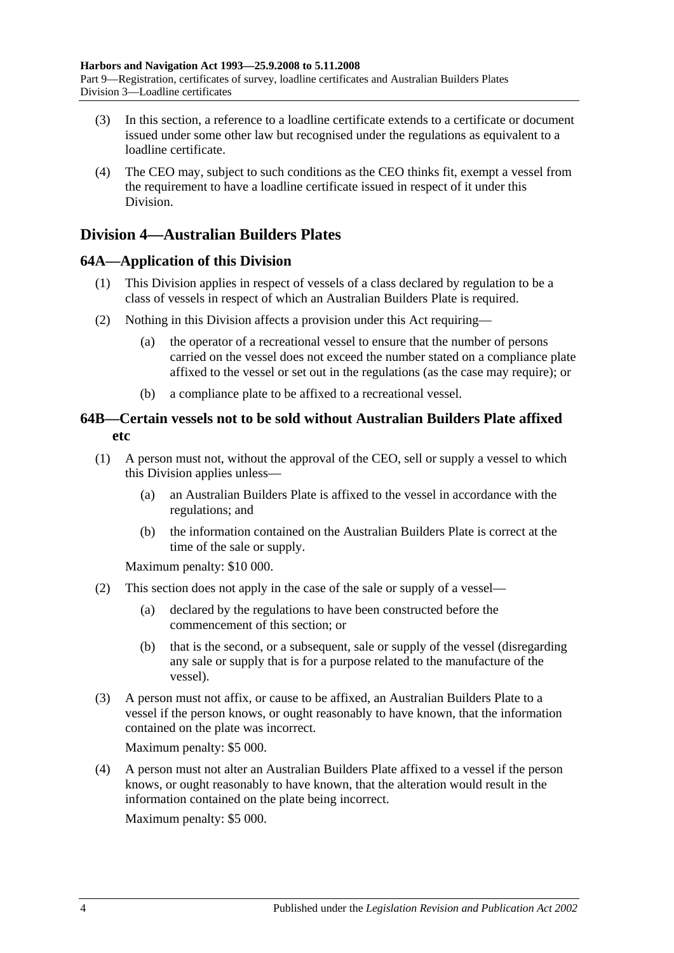- (3) In this section, a reference to a loadline certificate extends to a certificate or document issued under some other law but recognised under the regulations as equivalent to a loadline certificate.
- (4) The CEO may, subject to such conditions as the CEO thinks fit, exempt a vessel from the requirement to have a loadline certificate issued in respect of it under this Division.

# **Division 4—Australian Builders Plates**

# **64A—Application of this Division**

- (1) This Division applies in respect of vessels of a class declared by regulation to be a class of vessels in respect of which an Australian Builders Plate is required.
- (2) Nothing in this Division affects a provision under this Act requiring—
	- (a) the operator of a recreational vessel to ensure that the number of persons carried on the vessel does not exceed the number stated on a compliance plate affixed to the vessel or set out in the regulations (as the case may require); or
	- (b) a compliance plate to be affixed to a recreational vessel.

# **64B—Certain vessels not to be sold without Australian Builders Plate affixed etc**

- <span id="page-45-0"></span>(1) A person must not, without the approval of the CEO, sell or supply a vessel to which this Division applies unless—
	- (a) an Australian Builders Plate is affixed to the vessel in accordance with the regulations; and
	- (b) the information contained on the Australian Builders Plate is correct at the time of the sale or supply.

Maximum penalty: \$10 000.

- (2) This section does not apply in the case of the sale or supply of a vessel—
	- (a) declared by the regulations to have been constructed before the commencement of this section; or
	- (b) that is the second, or a subsequent, sale or supply of the vessel (disregarding any sale or supply that is for a purpose related to the manufacture of the vessel).
- (3) A person must not affix, or cause to be affixed, an Australian Builders Plate to a vessel if the person knows, or ought reasonably to have known, that the information contained on the plate was incorrect.

Maximum penalty: \$5 000.

(4) A person must not alter an Australian Builders Plate affixed to a vessel if the person knows, or ought reasonably to have known, that the alteration would result in the information contained on the plate being incorrect.

Maximum penalty: \$5 000.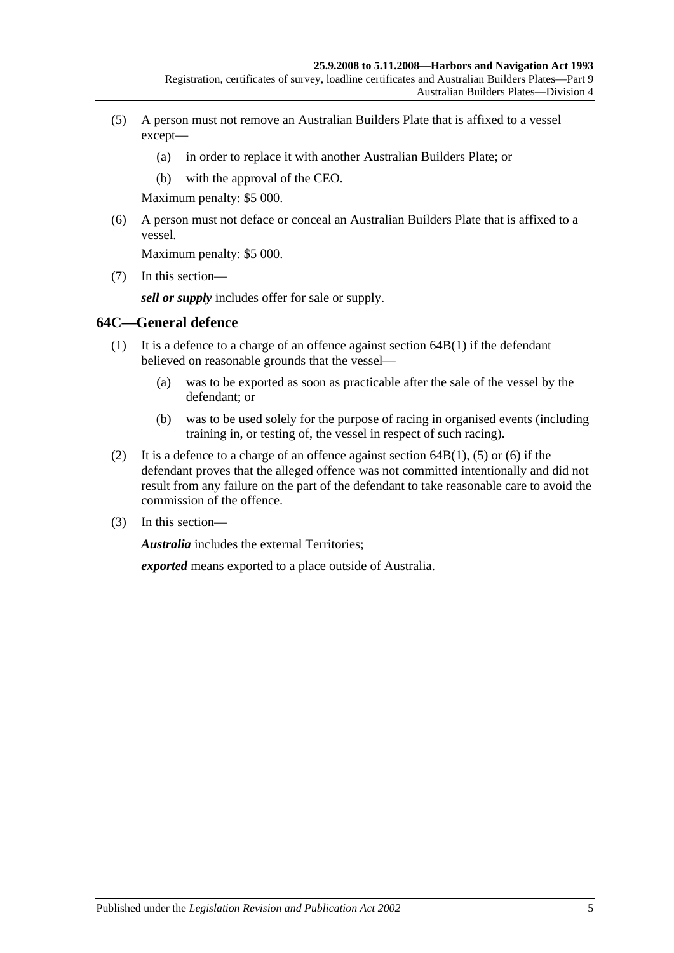- <span id="page-46-0"></span>(5) A person must not remove an Australian Builders Plate that is affixed to a vessel except—
	- (a) in order to replace it with another Australian Builders Plate; or
	- (b) with the approval of the CEO.

Maximum penalty: \$5 000.

<span id="page-46-1"></span>(6) A person must not deface or conceal an Australian Builders Plate that is affixed to a vessel.

Maximum penalty: \$5 000.

(7) In this section—

*sell or supply* includes offer for sale or supply.

## **64C—General defence**

- (1) It is a defence to a charge of an offence against [section](#page-45-0) 64B(1) if the defendant believed on reasonable grounds that the vessel—
	- (a) was to be exported as soon as practicable after the sale of the vessel by the defendant; or
	- (b) was to be used solely for the purpose of racing in organised events (including training in, or testing of, the vessel in respect of such racing).
- (2) It is a defence to a charge of an offence against [section](#page-45-0)  $64B(1)$ , [\(5\)](#page-46-0) or [\(6\)](#page-46-1) if the defendant proves that the alleged offence was not committed intentionally and did not result from any failure on the part of the defendant to take reasonable care to avoid the commission of the offence.
- (3) In this section—

*Australia* includes the external Territories;

*exported* means exported to a place outside of Australia.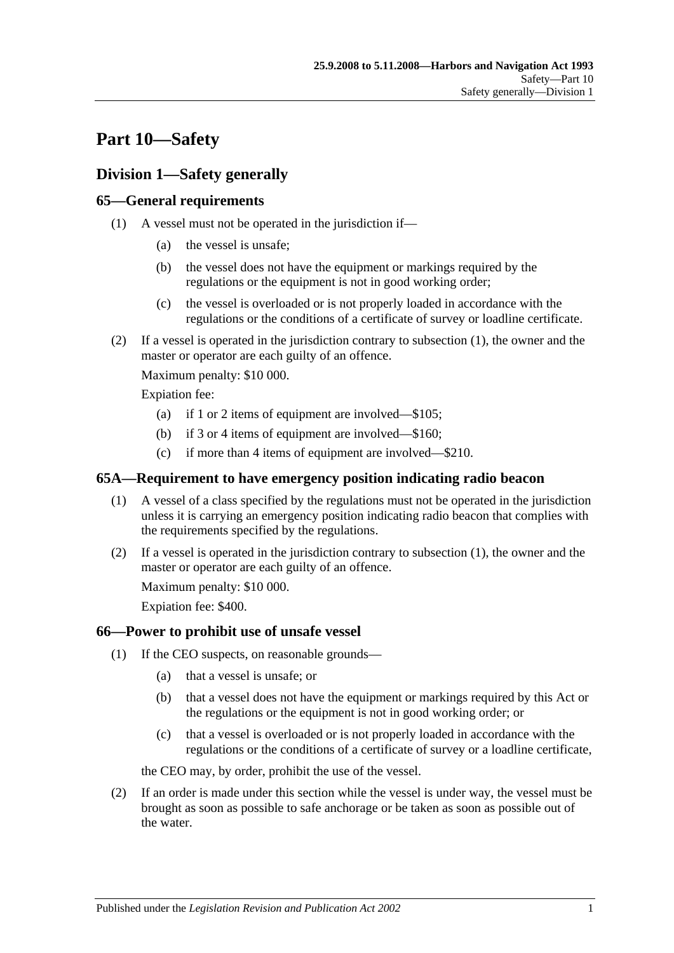# **Part 10—Safety**

# **Division 1—Safety generally**

# <span id="page-48-0"></span>**65—General requirements**

- (1) A vessel must not be operated in the jurisdiction if—
	- (a) the vessel is unsafe;
	- (b) the vessel does not have the equipment or markings required by the regulations or the equipment is not in good working order;
	- (c) the vessel is overloaded or is not properly loaded in accordance with the regulations or the conditions of a certificate of survey or loadline certificate.
- (2) If a vessel is operated in the jurisdiction contrary to [subsection](#page-48-0) (1), the owner and the master or operator are each guilty of an offence.

Maximum penalty: \$10 000.

Expiation fee:

- (a) if 1 or 2 items of equipment are involved—\$105;
- (b) if 3 or 4 items of equipment are involved—\$160;
- (c) if more than 4 items of equipment are involved—\$210.

# <span id="page-48-1"></span>**65A—Requirement to have emergency position indicating radio beacon**

- (1) A vessel of a class specified by the regulations must not be operated in the jurisdiction unless it is carrying an emergency position indicating radio beacon that complies with the requirements specified by the regulations.
- (2) If a vessel is operated in the jurisdiction contrary to [subsection](#page-48-1) (1), the owner and the master or operator are each guilty of an offence.

Maximum penalty: \$10 000.

Expiation fee: \$400.

# <span id="page-48-3"></span>**66—Power to prohibit use of unsafe vessel**

- (1) If the CEO suspects, on reasonable grounds—
	- (a) that a vessel is unsafe; or
	- (b) that a vessel does not have the equipment or markings required by this Act or the regulations or the equipment is not in good working order; or
	- (c) that a vessel is overloaded or is not properly loaded in accordance with the regulations or the conditions of a certificate of survey or a loadline certificate,

the CEO may, by order, prohibit the use of the vessel.

<span id="page-48-2"></span>(2) If an order is made under this section while the vessel is under way, the vessel must be brought as soon as possible to safe anchorage or be taken as soon as possible out of the water.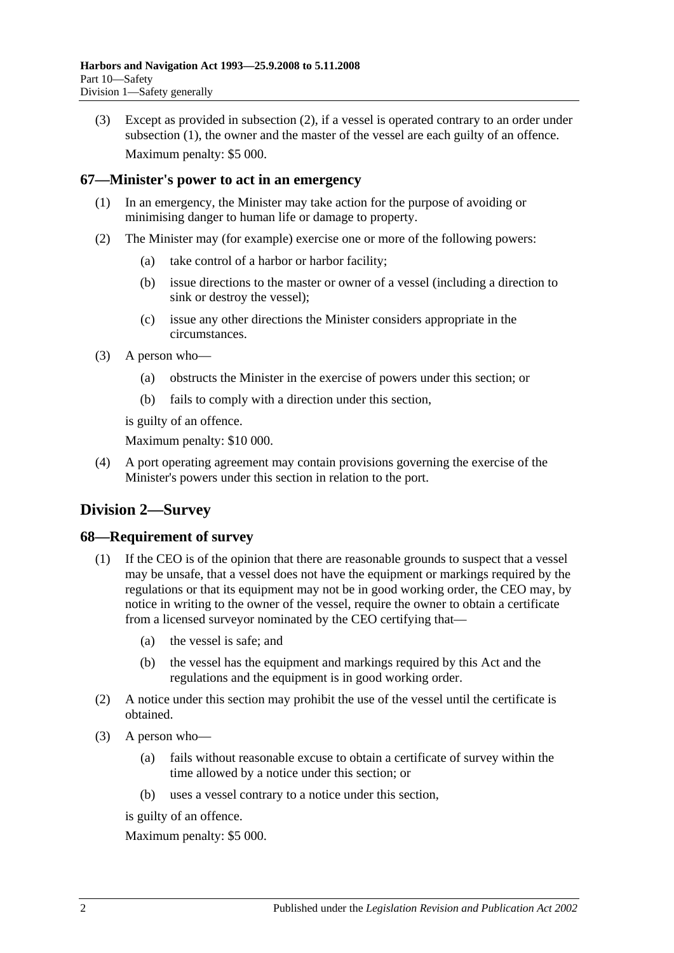(3) Except as provided in [subsection](#page-48-2) (2), if a vessel is operated contrary to an order under [subsection](#page-48-3) (1), the owner and the master of the vessel are each guilty of an offence. Maximum penalty: \$5 000.

# **67—Minister's power to act in an emergency**

- (1) In an emergency, the Minister may take action for the purpose of avoiding or minimising danger to human life or damage to property.
- (2) The Minister may (for example) exercise one or more of the following powers:
	- (a) take control of a harbor or harbor facility;
	- (b) issue directions to the master or owner of a vessel (including a direction to sink or destroy the vessel);
	- (c) issue any other directions the Minister considers appropriate in the circumstances.
- (3) A person who—
	- (a) obstructs the Minister in the exercise of powers under this section; or
	- (b) fails to comply with a direction under this section,

is guilty of an offence.

Maximum penalty: \$10 000.

(4) A port operating agreement may contain provisions governing the exercise of the Minister's powers under this section in relation to the port.

# **Division 2—Survey**

# **68—Requirement of survey**

- (1) If the CEO is of the opinion that there are reasonable grounds to suspect that a vessel may be unsafe, that a vessel does not have the equipment or markings required by the regulations or that its equipment may not be in good working order, the CEO may, by notice in writing to the owner of the vessel, require the owner to obtain a certificate from a licensed surveyor nominated by the CEO certifying that—
	- (a) the vessel is safe; and
	- (b) the vessel has the equipment and markings required by this Act and the regulations and the equipment is in good working order.
- (2) A notice under this section may prohibit the use of the vessel until the certificate is obtained.
- (3) A person who—
	- (a) fails without reasonable excuse to obtain a certificate of survey within the time allowed by a notice under this section; or
	- (b) uses a vessel contrary to a notice under this section,

is guilty of an offence.

Maximum penalty: \$5 000.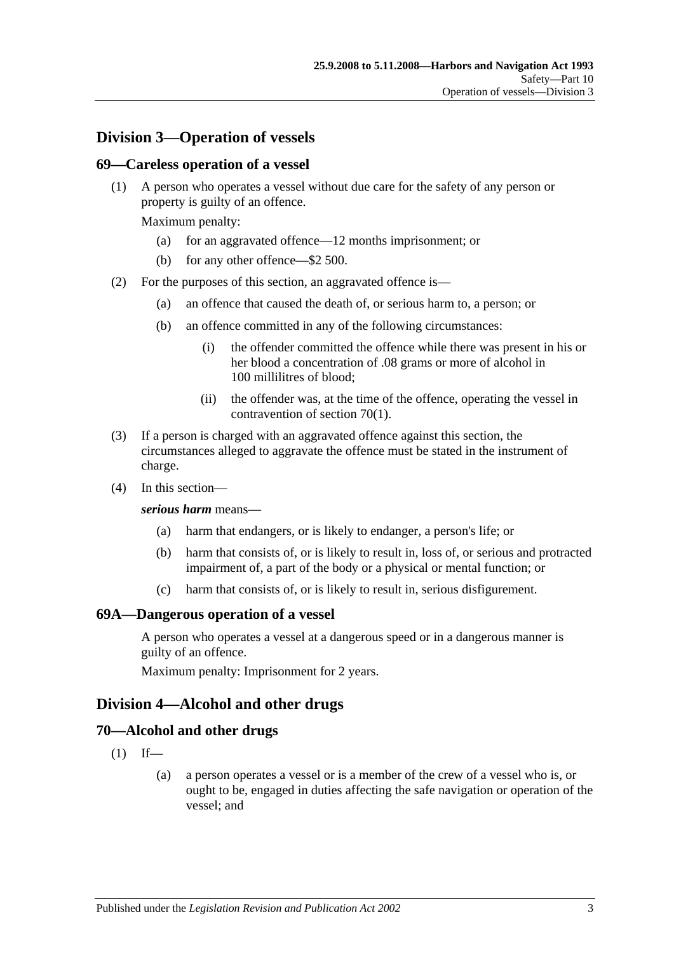# **Division 3—Operation of vessels**

## **69—Careless operation of a vessel**

(1) A person who operates a vessel without due care for the safety of any person or property is guilty of an offence.

Maximum penalty:

- (a) for an aggravated offence—12 months imprisonment; or
- (b) for any other offence—\$2 500.
- (2) For the purposes of this section, an aggravated offence is—
	- (a) an offence that caused the death of, or serious harm to, a person; or
	- (b) an offence committed in any of the following circumstances:
		- (i) the offender committed the offence while there was present in his or her blood a concentration of .08 grams or more of alcohol in 100 millilitres of blood;
		- (ii) the offender was, at the time of the offence, operating the vessel in contravention of [section](#page-50-0) 70(1).
- (3) If a person is charged with an aggravated offence against this section, the circumstances alleged to aggravate the offence must be stated in the instrument of charge.
- (4) In this section—

#### *serious harm* means—

- (a) harm that endangers, or is likely to endanger, a person's life; or
- (b) harm that consists of, or is likely to result in, loss of, or serious and protracted impairment of, a part of the body or a physical or mental function; or
- (c) harm that consists of, or is likely to result in, serious disfigurement.

#### **69A—Dangerous operation of a vessel**

A person who operates a vessel at a dangerous speed or in a dangerous manner is guilty of an offence.

Maximum penalty: Imprisonment for 2 years.

# **Division 4—Alcohol and other drugs**

#### <span id="page-50-0"></span>**70—Alcohol and other drugs**

- $(1)$  If—
	- (a) a person operates a vessel or is a member of the crew of a vessel who is, or ought to be, engaged in duties affecting the safe navigation or operation of the vessel; and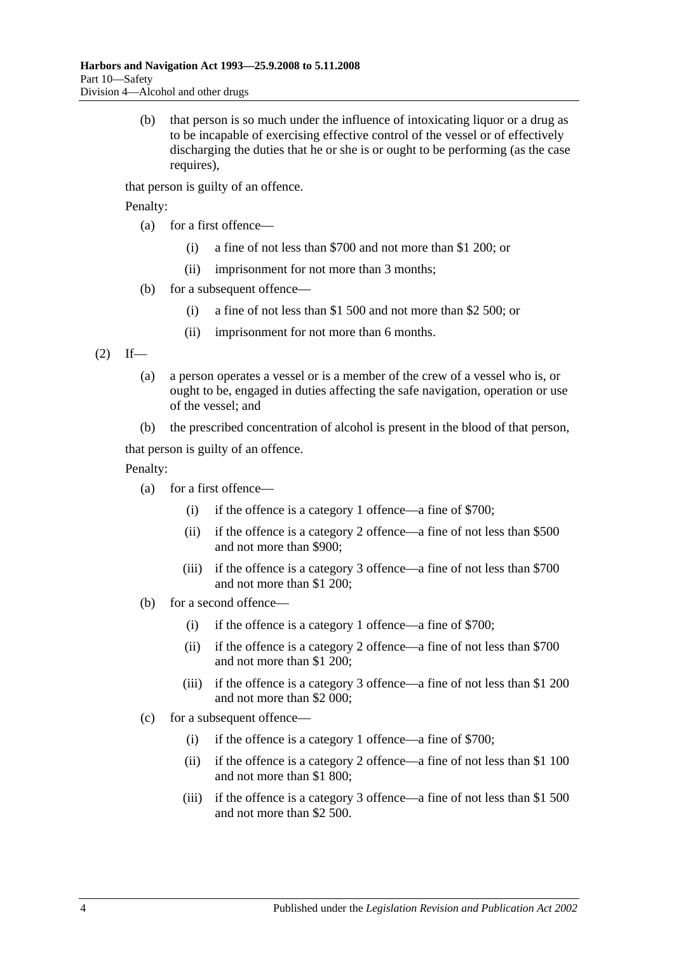(b) that person is so much under the influence of intoxicating liquor or a drug as to be incapable of exercising effective control of the vessel or of effectively discharging the duties that he or she is or ought to be performing (as the case requires).

that person is guilty of an offence.

Penalty:

- (a) for a first offence—
	- (i) a fine of not less than \$700 and not more than \$1 200; or
	- (ii) imprisonment for not more than 3 months;
- (b) for a subsequent offence—
	- (i) a fine of not less than \$1 500 and not more than \$2 500; or
	- (ii) imprisonment for not more than 6 months.

<span id="page-51-0"></span> $(2)$  If—

- (a) a person operates a vessel or is a member of the crew of a vessel who is, or ought to be, engaged in duties affecting the safe navigation, operation or use of the vessel; and
- (b) the prescribed concentration of alcohol is present in the blood of that person,

that person is guilty of an offence.

Penalty:

- (a) for a first offence—
	- (i) if the offence is a category 1 offence—a fine of \$700;
	- (ii) if the offence is a category 2 offence—a fine of not less than \$500 and not more than \$900;
	- (iii) if the offence is a category 3 offence—a fine of not less than \$700 and not more than \$1 200;
- (b) for a second offence—
	- (i) if the offence is a category 1 offence—a fine of \$700;
	- (ii) if the offence is a category 2 offence—a fine of not less than \$700 and not more than \$1 200;
	- (iii) if the offence is a category 3 offence—a fine of not less than \$1 200 and not more than \$2 000;
- (c) for a subsequent offence—
	- (i) if the offence is a category 1 offence—a fine of \$700;
	- (ii) if the offence is a category 2 offence—a fine of not less than \$1 100 and not more than \$1 800;
	- (iii) if the offence is a category 3 offence—a fine of not less than \$1 500 and not more than \$2 500.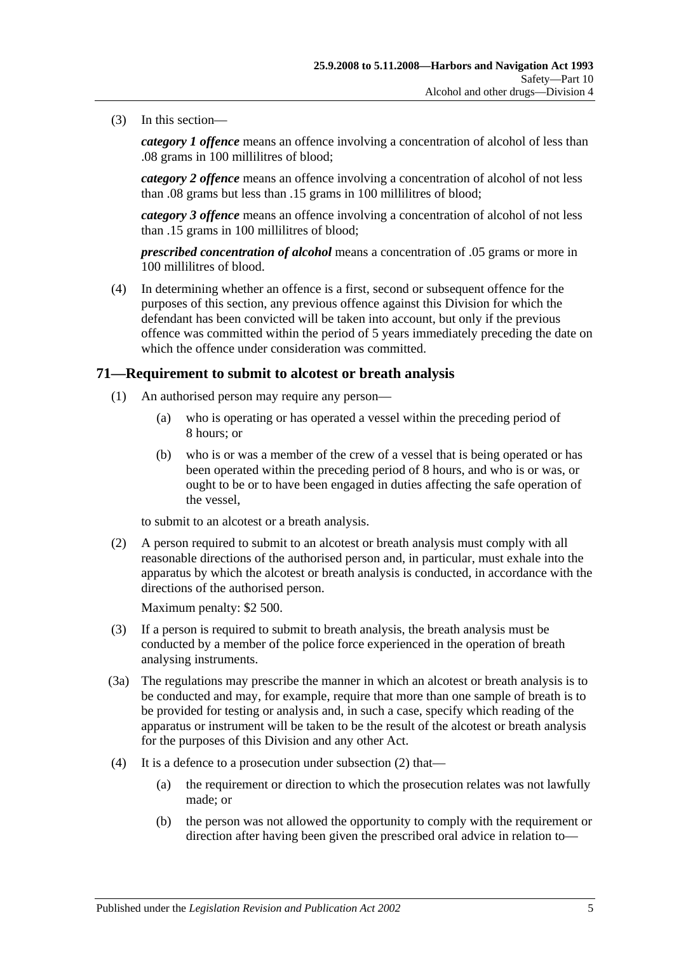(3) In this section—

*category 1 offence* means an offence involving a concentration of alcohol of less than .08 grams in 100 millilitres of blood;

*category 2 offence* means an offence involving a concentration of alcohol of not less than .08 grams but less than .15 grams in 100 millilitres of blood;

*category 3 offence* means an offence involving a concentration of alcohol of not less than .15 grams in 100 millilitres of blood;

*prescribed concentration of alcohol* means a concentration of .05 grams or more in 100 millilitres of blood.

(4) In determining whether an offence is a first, second or subsequent offence for the purposes of this section, any previous offence against this Division for which the defendant has been convicted will be taken into account, but only if the previous offence was committed within the period of 5 years immediately preceding the date on which the offence under consideration was committed.

## <span id="page-52-1"></span>**71—Requirement to submit to alcotest or breath analysis**

- (1) An authorised person may require any person—
	- (a) who is operating or has operated a vessel within the preceding period of 8 hours; or
	- (b) who is or was a member of the crew of a vessel that is being operated or has been operated within the preceding period of 8 hours, and who is or was, or ought to be or to have been engaged in duties affecting the safe operation of the vessel,

to submit to an alcotest or a breath analysis.

<span id="page-52-0"></span>(2) A person required to submit to an alcotest or breath analysis must comply with all reasonable directions of the authorised person and, in particular, must exhale into the apparatus by which the alcotest or breath analysis is conducted, in accordance with the directions of the authorised person.

Maximum penalty: \$2 500.

- (3) If a person is required to submit to breath analysis, the breath analysis must be conducted by a member of the police force experienced in the operation of breath analysing instruments.
- (3a) The regulations may prescribe the manner in which an alcotest or breath analysis is to be conducted and may, for example, require that more than one sample of breath is to be provided for testing or analysis and, in such a case, specify which reading of the apparatus or instrument will be taken to be the result of the alcotest or breath analysis for the purposes of this Division and any other Act.
- (4) It is a defence to a prosecution under [subsection](#page-52-0) (2) that—
	- (a) the requirement or direction to which the prosecution relates was not lawfully made; or
	- (b) the person was not allowed the opportunity to comply with the requirement or direction after having been given the prescribed oral advice in relation to—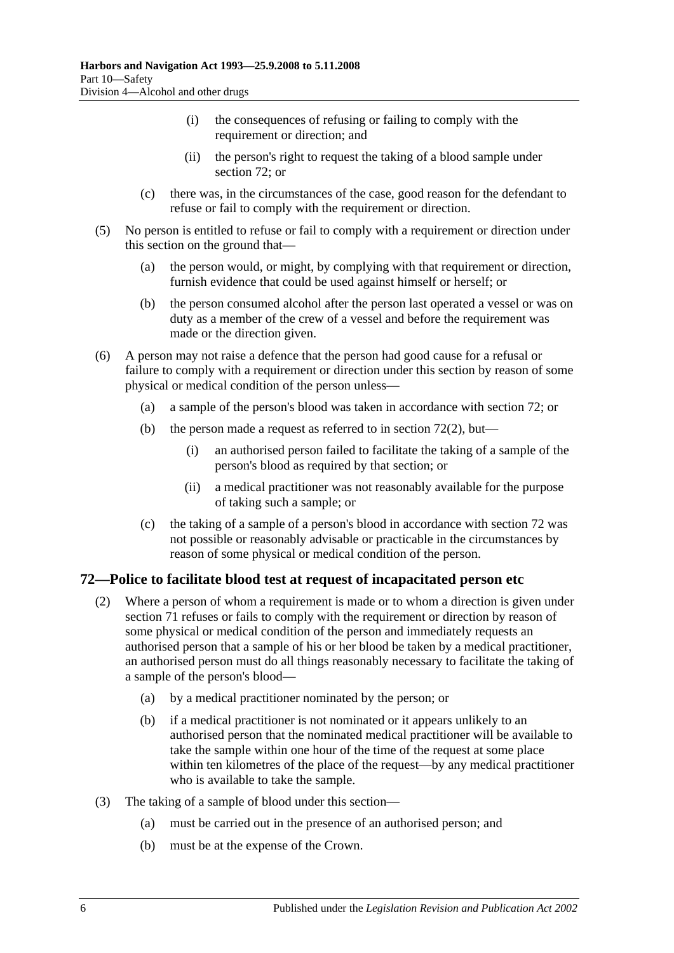- (i) the consequences of refusing or failing to comply with the requirement or direction; and
- (ii) the person's right to request the taking of a blood sample under [section](#page-53-0) 72; or
- (c) there was, in the circumstances of the case, good reason for the defendant to refuse or fail to comply with the requirement or direction.
- (5) No person is entitled to refuse or fail to comply with a requirement or direction under this section on the ground that—
	- (a) the person would, or might, by complying with that requirement or direction, furnish evidence that could be used against himself or herself; or
	- (b) the person consumed alcohol after the person last operated a vessel or was on duty as a member of the crew of a vessel and before the requirement was made or the direction given.
- (6) A person may not raise a defence that the person had good cause for a refusal or failure to comply with a requirement or direction under this section by reason of some physical or medical condition of the person unless—
	- (a) a sample of the person's blood was taken in accordance with [section](#page-53-0) 72; or
	- (b) the person made a request as referred to in [section](#page-53-1)  $72(2)$ , but—
		- (i) an authorised person failed to facilitate the taking of a sample of the person's blood as required by that section; or
		- (ii) a medical practitioner was not reasonably available for the purpose of taking such a sample; or
	- (c) the taking of a sample of a person's blood in accordance with [section](#page-53-0) 72 was not possible or reasonably advisable or practicable in the circumstances by reason of some physical or medical condition of the person.

# <span id="page-53-1"></span><span id="page-53-0"></span>**72—Police to facilitate blood test at request of incapacitated person etc**

- (2) Where a person of whom a requirement is made or to whom a direction is given under [section](#page-52-1) 71 refuses or fails to comply with the requirement or direction by reason of some physical or medical condition of the person and immediately requests an authorised person that a sample of his or her blood be taken by a medical practitioner, an authorised person must do all things reasonably necessary to facilitate the taking of a sample of the person's blood—
	- (a) by a medical practitioner nominated by the person; or
	- (b) if a medical practitioner is not nominated or it appears unlikely to an authorised person that the nominated medical practitioner will be available to take the sample within one hour of the time of the request at some place within ten kilometres of the place of the request—by any medical practitioner who is available to take the sample.
- (3) The taking of a sample of blood under this section—
	- (a) must be carried out in the presence of an authorised person; and
	- (b) must be at the expense of the Crown.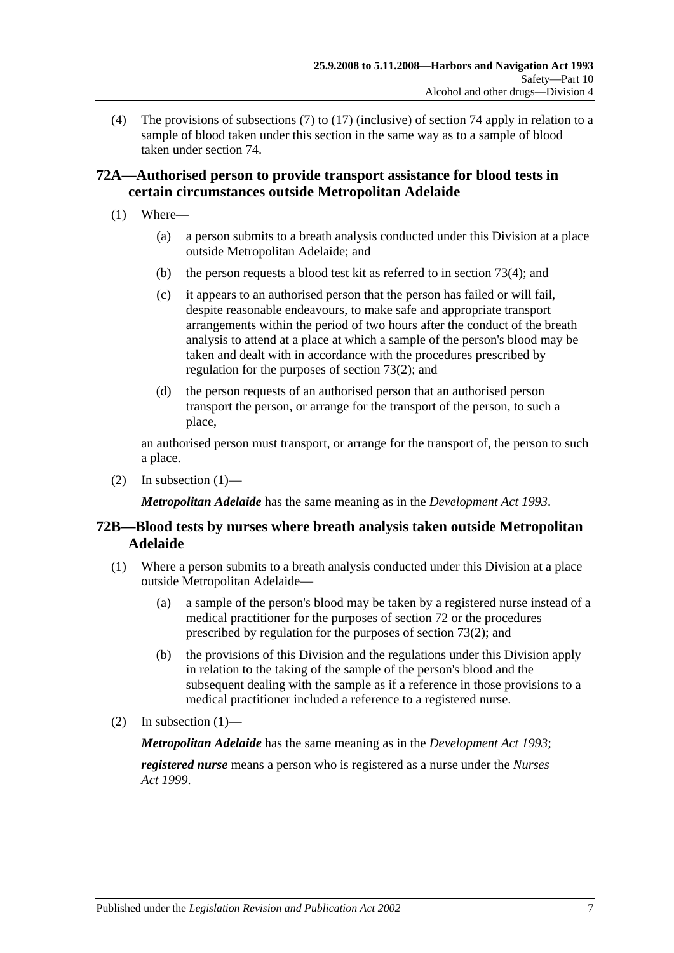(4) The provisions of [subsections](#page-58-0) (7) to [\(17\)](#page-60-0) (inclusive) of [section](#page-58-1) 74 apply in relation to a sample of blood taken under this section in the same way as to a sample of blood taken under [section](#page-58-1) 74.

# **72A—Authorised person to provide transport assistance for blood tests in certain circumstances outside Metropolitan Adelaide**

- <span id="page-54-0"></span>(1) Where—
	- (a) a person submits to a breath analysis conducted under this Division at a place outside Metropolitan Adelaide; and
	- (b) the person requests a blood test kit as referred to in [section](#page-56-0) 73(4); and
	- (c) it appears to an authorised person that the person has failed or will fail, despite reasonable endeavours, to make safe and appropriate transport arrangements within the period of two hours after the conduct of the breath analysis to attend at a place at which a sample of the person's blood may be taken and dealt with in accordance with the procedures prescribed by regulation for the purposes of [section](#page-55-0) 73(2); and
	- (d) the person requests of an authorised person that an authorised person transport the person, or arrange for the transport of the person, to such a place,

an authorised person must transport, or arrange for the transport of, the person to such a place.

(2) In [subsection](#page-54-0)  $(1)$ —

*Metropolitan Adelaide* has the same meaning as in the *[Development Act](http://www.legislation.sa.gov.au/index.aspx?action=legref&type=act&legtitle=Development%20Act%201993) 1993*.

# **72B—Blood tests by nurses where breath analysis taken outside Metropolitan Adelaide**

- <span id="page-54-1"></span>(1) Where a person submits to a breath analysis conducted under this Division at a place outside Metropolitan Adelaide—
	- (a) a sample of the person's blood may be taken by a registered nurse instead of a medical practitioner for the purposes of [section](#page-53-0) 72 or the procedures prescribed by regulation for the purposes of [section](#page-55-0) 73(2); and
	- (b) the provisions of this Division and the regulations under this Division apply in relation to the taking of the sample of the person's blood and the subsequent dealing with the sample as if a reference in those provisions to a medical practitioner included a reference to a registered nurse.
- (2) In [subsection](#page-54-1)  $(1)$ —

*Metropolitan Adelaide* has the same meaning as in the *[Development Act](http://www.legislation.sa.gov.au/index.aspx?action=legref&type=act&legtitle=Development%20Act%201993) 1993*;

*registered nurse* means a person who is registered as a nurse under the *[Nurses](http://www.legislation.sa.gov.au/index.aspx?action=legref&type=act&legtitle=Nurses%20Act%201999)  Act [1999](http://www.legislation.sa.gov.au/index.aspx?action=legref&type=act&legtitle=Nurses%20Act%201999)*.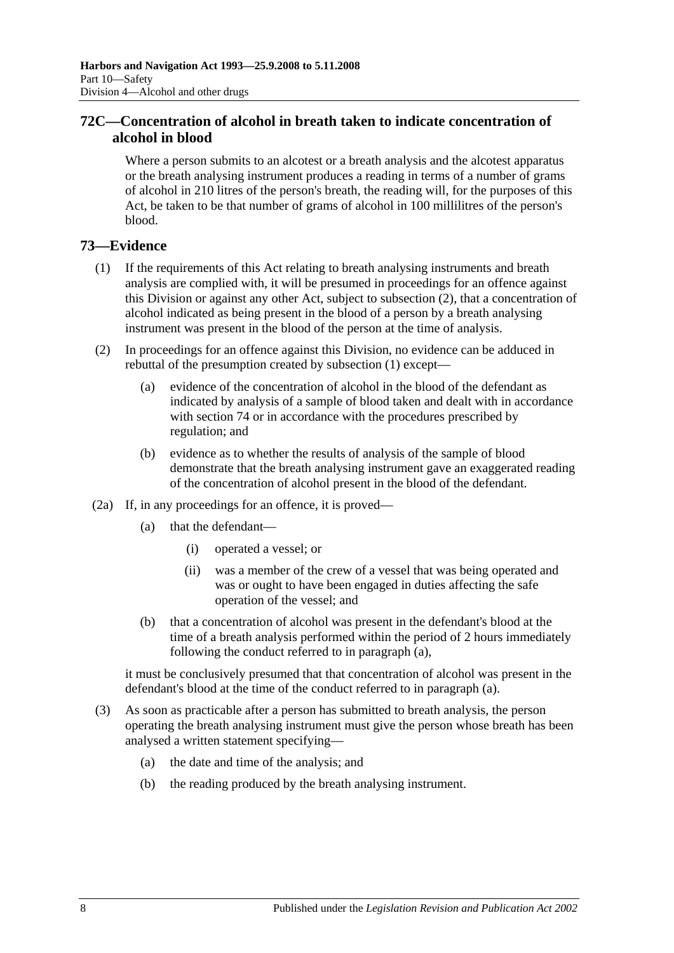# **72C—Concentration of alcohol in breath taken to indicate concentration of alcohol in blood**

Where a person submits to an alcotest or a breath analysis and the alcotest apparatus or the breath analysing instrument produces a reading in terms of a number of grams of alcohol in 210 litres of the person's breath, the reading will, for the purposes of this Act, be taken to be that number of grams of alcohol in 100 millilitres of the person's blood.

# <span id="page-55-1"></span>**73—Evidence**

- (1) If the requirements of this Act relating to breath analysing instruments and breath analysis are complied with, it will be presumed in proceedings for an offence against this Division or against any other Act, subject to [subsection](#page-55-0) (2), that a concentration of alcohol indicated as being present in the blood of a person by a breath analysing instrument was present in the blood of the person at the time of analysis.
- <span id="page-55-0"></span>(2) In proceedings for an offence against this Division, no evidence can be adduced in rebuttal of the presumption created by [subsection](#page-55-1) (1) except—
	- (a) evidence of the concentration of alcohol in the blood of the defendant as indicated by analysis of a sample of blood taken and dealt with in accordance with [section](#page-58-1) 74 or in accordance with the procedures prescribed by regulation; and
	- (b) evidence as to whether the results of analysis of the sample of blood demonstrate that the breath analysing instrument gave an exaggerated reading of the concentration of alcohol present in the blood of the defendant.
- <span id="page-55-2"></span>(2a) If, in any proceedings for an offence, it is proved—
	- (a) that the defendant—
		- (i) operated a vessel; or
		- (ii) was a member of the crew of a vessel that was being operated and was or ought to have been engaged in duties affecting the safe operation of the vessel; and
	- (b) that a concentration of alcohol was present in the defendant's blood at the time of a breath analysis performed within the period of 2 hours immediately following the conduct referred to in [paragraph](#page-55-2) (a),

it must be conclusively presumed that that concentration of alcohol was present in the defendant's blood at the time of the conduct referred to in [paragraph](#page-55-2) (a).

- <span id="page-55-3"></span>(3) As soon as practicable after a person has submitted to breath analysis, the person operating the breath analysing instrument must give the person whose breath has been analysed a written statement specifying—
	- (a) the date and time of the analysis; and
	- (b) the reading produced by the breath analysing instrument.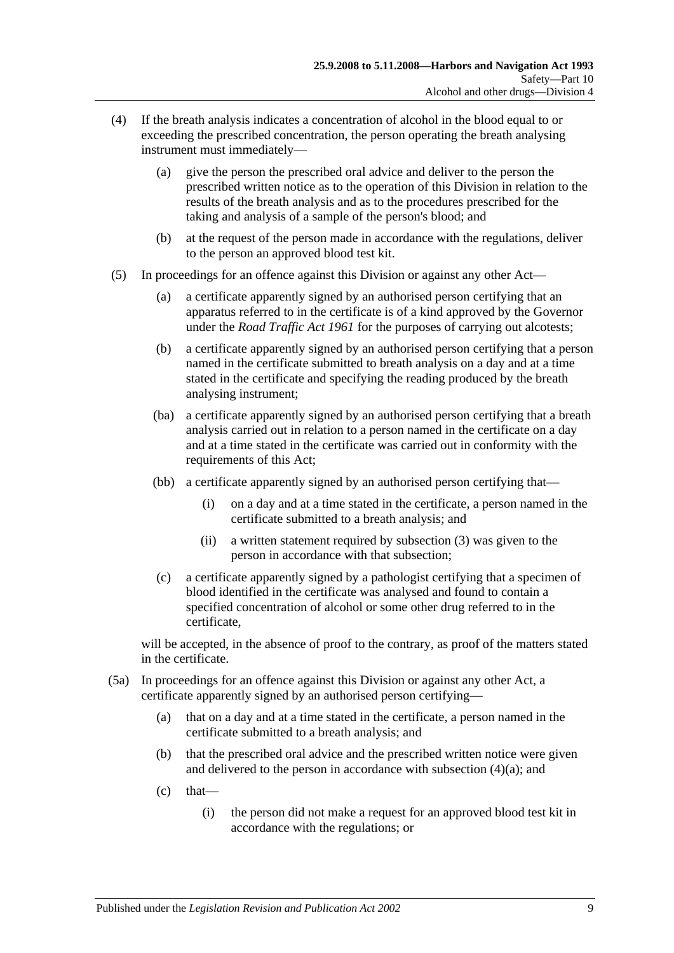- <span id="page-56-1"></span><span id="page-56-0"></span>(4) If the breath analysis indicates a concentration of alcohol in the blood equal to or exceeding the prescribed concentration, the person operating the breath analysing instrument must immediately—
	- (a) give the person the prescribed oral advice and deliver to the person the prescribed written notice as to the operation of this Division in relation to the results of the breath analysis and as to the procedures prescribed for the taking and analysis of a sample of the person's blood; and
	- (b) at the request of the person made in accordance with the regulations, deliver to the person an approved blood test kit.
- <span id="page-56-2"></span>(5) In proceedings for an offence against this Division or against any other Act—
	- (a) a certificate apparently signed by an authorised person certifying that an apparatus referred to in the certificate is of a kind approved by the Governor under the *[Road Traffic Act](http://www.legislation.sa.gov.au/index.aspx?action=legref&type=act&legtitle=Road%20Traffic%20Act%201961) 1961* for the purposes of carrying out alcotests;
	- (b) a certificate apparently signed by an authorised person certifying that a person named in the certificate submitted to breath analysis on a day and at a time stated in the certificate and specifying the reading produced by the breath analysing instrument;
	- (ba) a certificate apparently signed by an authorised person certifying that a breath analysis carried out in relation to a person named in the certificate on a day and at a time stated in the certificate was carried out in conformity with the requirements of this Act;
	- (bb) a certificate apparently signed by an authorised person certifying that—
		- (i) on a day and at a time stated in the certificate, a person named in the certificate submitted to a breath analysis; and
		- (ii) a written statement required by [subsection](#page-55-3) (3) was given to the person in accordance with that subsection;
	- (c) a certificate apparently signed by a pathologist certifying that a specimen of blood identified in the certificate was analysed and found to contain a specified concentration of alcohol or some other drug referred to in the certificate,

will be accepted, in the absence of proof to the contrary, as proof of the matters stated in the certificate.

- (5a) In proceedings for an offence against this Division or against any other Act, a certificate apparently signed by an authorised person certifying—
	- (a) that on a day and at a time stated in the certificate, a person named in the certificate submitted to a breath analysis; and
	- (b) that the prescribed oral advice and the prescribed written notice were given and delivered to the person in accordance with [subsection](#page-56-1) (4)(a); and
	- $(c)$  that—
		- (i) the person did not make a request for an approved blood test kit in accordance with the regulations; or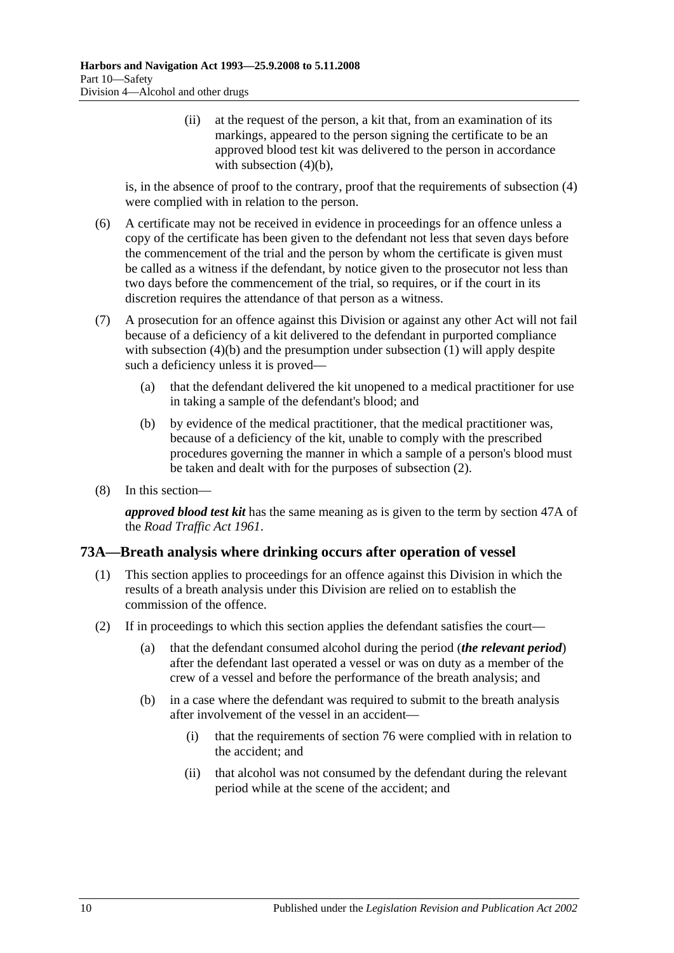(ii) at the request of the person, a kit that, from an examination of its markings, appeared to the person signing the certificate to be an approved blood test kit was delivered to the person in accordance with [subsection](#page-56-2)  $(4)(b)$ ,

is, in the absence of proof to the contrary, proof that the requirements of [subsection](#page-56-0) (4) were complied with in relation to the person.

- (6) A certificate may not be received in evidence in proceedings for an offence unless a copy of the certificate has been given to the defendant not less that seven days before the commencement of the trial and the person by whom the certificate is given must be called as a witness if the defendant, by notice given to the prosecutor not less than two days before the commencement of the trial, so requires, or if the court in its discretion requires the attendance of that person as a witness.
- (7) A prosecution for an offence against this Division or against any other Act will not fail because of a deficiency of a kit delivered to the defendant in purported compliance with [subsection](#page-55-1) (4)(b) and the presumption under subsection (1) will apply despite such a deficiency unless it is proved—
	- (a) that the defendant delivered the kit unopened to a medical practitioner for use in taking a sample of the defendant's blood; and
	- (b) by evidence of the medical practitioner, that the medical practitioner was, because of a deficiency of the kit, unable to comply with the prescribed procedures governing the manner in which a sample of a person's blood must be taken and dealt with for the purposes of [subsection](#page-55-0) (2).
- (8) In this section—

*approved blood test kit* has the same meaning as is given to the term by section 47A of the *[Road Traffic Act](http://www.legislation.sa.gov.au/index.aspx?action=legref&type=act&legtitle=Road%20Traffic%20Act%201961) 1961*.

# **73A—Breath analysis where drinking occurs after operation of vessel**

- (1) This section applies to proceedings for an offence against this Division in which the results of a breath analysis under this Division are relied on to establish the commission of the offence.
- (2) If in proceedings to which this section applies the defendant satisfies the court—
	- (a) that the defendant consumed alcohol during the period (*the relevant period*) after the defendant last operated a vessel or was on duty as a member of the crew of a vessel and before the performance of the breath analysis; and
	- (b) in a case where the defendant was required to submit to the breath analysis after involvement of the vessel in an accident—
		- (i) that the requirements of [section](#page-62-0) 76 were complied with in relation to the accident; and
		- (ii) that alcohol was not consumed by the defendant during the relevant period while at the scene of the accident; and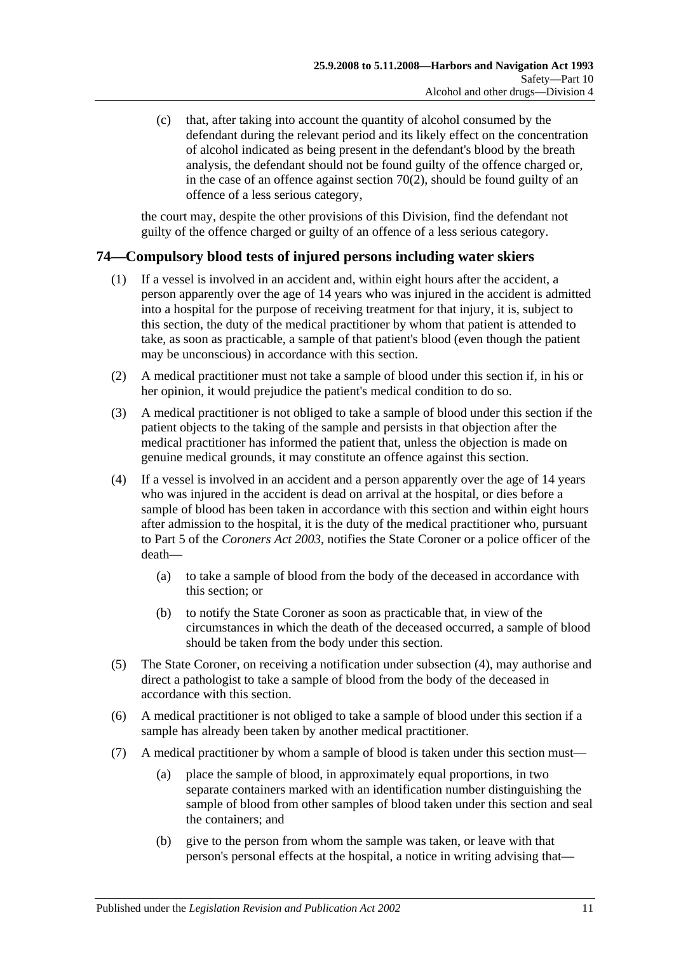(c) that, after taking into account the quantity of alcohol consumed by the defendant during the relevant period and its likely effect on the concentration of alcohol indicated as being present in the defendant's blood by the breath analysis, the defendant should not be found guilty of the offence charged or, in the case of an offence against [section](#page-51-0)  $70(2)$ , should be found guilty of an offence of a less serious category,

the court may, despite the other provisions of this Division, find the defendant not guilty of the offence charged or guilty of an offence of a less serious category.

# <span id="page-58-1"></span>**74—Compulsory blood tests of injured persons including water skiers**

- (1) If a vessel is involved in an accident and, within eight hours after the accident, a person apparently over the age of 14 years who was injured in the accident is admitted into a hospital for the purpose of receiving treatment for that injury, it is, subject to this section, the duty of the medical practitioner by whom that patient is attended to take, as soon as practicable, a sample of that patient's blood (even though the patient may be unconscious) in accordance with this section.
- (2) A medical practitioner must not take a sample of blood under this section if, in his or her opinion, it would prejudice the patient's medical condition to do so.
- (3) A medical practitioner is not obliged to take a sample of blood under this section if the patient objects to the taking of the sample and persists in that objection after the medical practitioner has informed the patient that, unless the objection is made on genuine medical grounds, it may constitute an offence against this section.
- (4) If a vessel is involved in an accident and a person apparently over the age of 14 years who was injured in the accident is dead on arrival at the hospital, or dies before a sample of blood has been taken in accordance with this section and within eight hours after admission to the hospital, it is the duty of the medical practitioner who, pursuant to Part 5 of the *[Coroners Act](http://www.legislation.sa.gov.au/index.aspx?action=legref&type=act&legtitle=Coroners%20Act%202003) 2003*, notifies the State Coroner or a police officer of the death—
	- (a) to take a sample of blood from the body of the deceased in accordance with this section; or
	- (b) to notify the State Coroner as soon as practicable that, in view of the circumstances in which the death of the deceased occurred, a sample of blood should be taken from the body under this section.
- (5) The State Coroner, on receiving a notification under subsection (4), may authorise and direct a pathologist to take a sample of blood from the body of the deceased in accordance with this section.
- (6) A medical practitioner is not obliged to take a sample of blood under this section if a sample has already been taken by another medical practitioner.
- <span id="page-58-0"></span>(7) A medical practitioner by whom a sample of blood is taken under this section must—
	- (a) place the sample of blood, in approximately equal proportions, in two separate containers marked with an identification number distinguishing the sample of blood from other samples of blood taken under this section and seal the containers; and
	- (b) give to the person from whom the sample was taken, or leave with that person's personal effects at the hospital, a notice in writing advising that—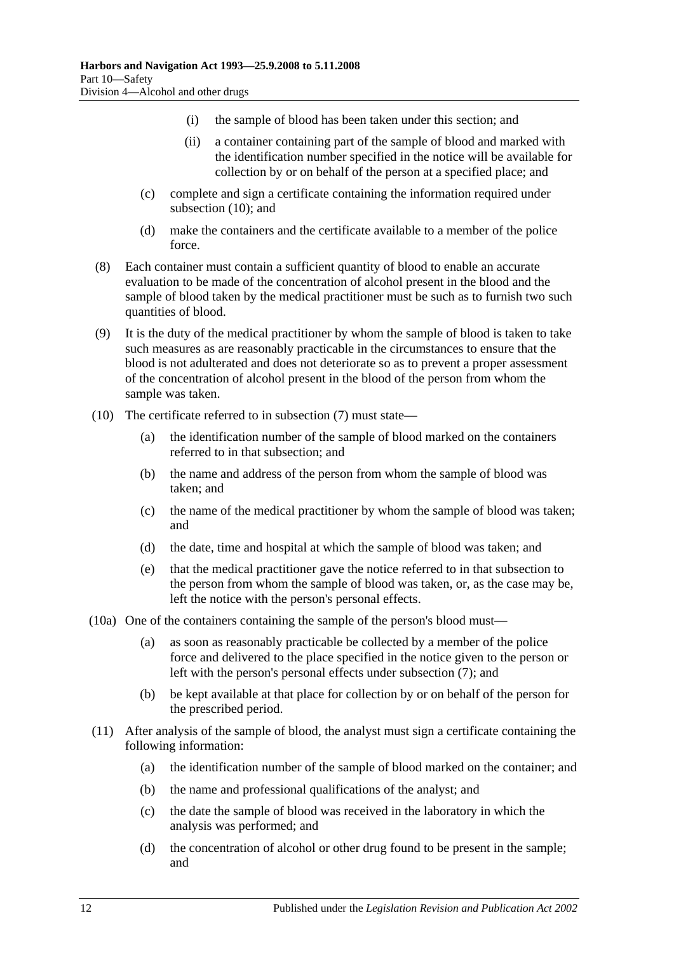- (i) the sample of blood has been taken under this section; and
- (ii) a container containing part of the sample of blood and marked with the identification number specified in the notice will be available for collection by or on behalf of the person at a specified place; and
- (c) complete and sign a certificate containing the information required under [subsection](#page-59-0) (10); and
- (d) make the containers and the certificate available to a member of the police force.
- (8) Each container must contain a sufficient quantity of blood to enable an accurate evaluation to be made of the concentration of alcohol present in the blood and the sample of blood taken by the medical practitioner must be such as to furnish two such quantities of blood.
- (9) It is the duty of the medical practitioner by whom the sample of blood is taken to take such measures as are reasonably practicable in the circumstances to ensure that the blood is not adulterated and does not deteriorate so as to prevent a proper assessment of the concentration of alcohol present in the blood of the person from whom the sample was taken.
- <span id="page-59-0"></span>(10) The certificate referred to in [subsection](#page-58-0) (7) must state—
	- (a) the identification number of the sample of blood marked on the containers referred to in that subsection; and
	- (b) the name and address of the person from whom the sample of blood was taken; and
	- (c) the name of the medical practitioner by whom the sample of blood was taken; and
	- (d) the date, time and hospital at which the sample of blood was taken; and
	- (e) that the medical practitioner gave the notice referred to in that subsection to the person from whom the sample of blood was taken, or, as the case may be, left the notice with the person's personal effects.
- (10a) One of the containers containing the sample of the person's blood must—
	- (a) as soon as reasonably practicable be collected by a member of the police force and delivered to the place specified in the notice given to the person or left with the person's personal effects under [subsection](#page-58-0) (7); and
	- (b) be kept available at that place for collection by or on behalf of the person for the prescribed period.
- (11) After analysis of the sample of blood, the analyst must sign a certificate containing the following information:
	- (a) the identification number of the sample of blood marked on the container; and
	- (b) the name and professional qualifications of the analyst; and
	- (c) the date the sample of blood was received in the laboratory in which the analysis was performed; and
	- (d) the concentration of alcohol or other drug found to be present in the sample; and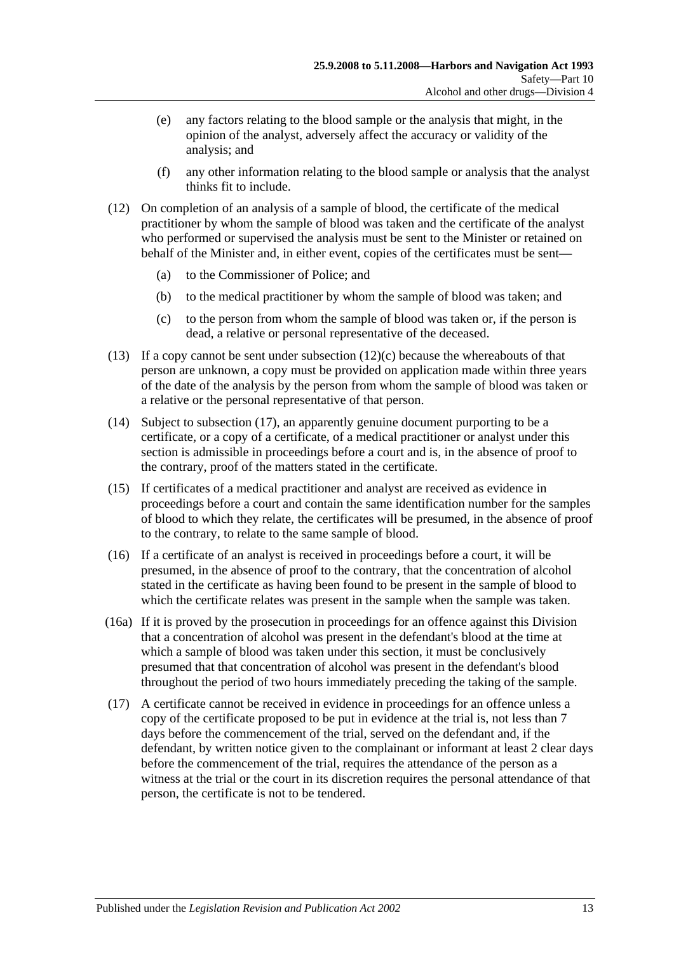- (e) any factors relating to the blood sample or the analysis that might, in the opinion of the analyst, adversely affect the accuracy or validity of the analysis; and
- (f) any other information relating to the blood sample or analysis that the analyst thinks fit to include.
- (12) On completion of an analysis of a sample of blood, the certificate of the medical practitioner by whom the sample of blood was taken and the certificate of the analyst who performed or supervised the analysis must be sent to the Minister or retained on behalf of the Minister and, in either event, copies of the certificates must be sent—
	- (a) to the Commissioner of Police; and
	- (b) to the medical practitioner by whom the sample of blood was taken; and
	- (c) to the person from whom the sample of blood was taken or, if the person is dead, a relative or personal representative of the deceased.
- <span id="page-60-1"></span>(13) If a copy cannot be sent under [subsection](#page-60-1)  $(12)(c)$  because the whereabouts of that person are unknown, a copy must be provided on application made within three years of the date of the analysis by the person from whom the sample of blood was taken or a relative or the personal representative of that person.
- (14) Subject to [subsection](#page-60-0) (17), an apparently genuine document purporting to be a certificate, or a copy of a certificate, of a medical practitioner or analyst under this section is admissible in proceedings before a court and is, in the absence of proof to the contrary, proof of the matters stated in the certificate.
- (15) If certificates of a medical practitioner and analyst are received as evidence in proceedings before a court and contain the same identification number for the samples of blood to which they relate, the certificates will be presumed, in the absence of proof to the contrary, to relate to the same sample of blood.
- (16) If a certificate of an analyst is received in proceedings before a court, it will be presumed, in the absence of proof to the contrary, that the concentration of alcohol stated in the certificate as having been found to be present in the sample of blood to which the certificate relates was present in the sample when the sample was taken.
- (16a) If it is proved by the prosecution in proceedings for an offence against this Division that a concentration of alcohol was present in the defendant's blood at the time at which a sample of blood was taken under this section, it must be conclusively presumed that that concentration of alcohol was present in the defendant's blood throughout the period of two hours immediately preceding the taking of the sample.
- <span id="page-60-0"></span>(17) A certificate cannot be received in evidence in proceedings for an offence unless a copy of the certificate proposed to be put in evidence at the trial is, not less than 7 days before the commencement of the trial, served on the defendant and, if the defendant, by written notice given to the complainant or informant at least 2 clear days before the commencement of the trial, requires the attendance of the person as a witness at the trial or the court in its discretion requires the personal attendance of that person, the certificate is not to be tendered.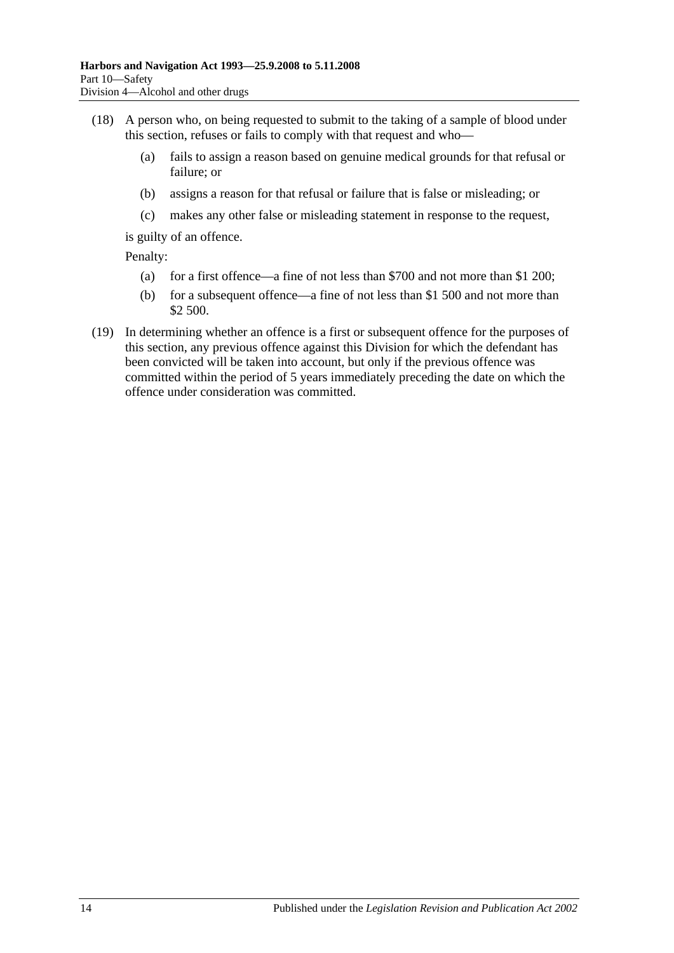- (18) A person who, on being requested to submit to the taking of a sample of blood under this section, refuses or fails to comply with that request and who—
	- (a) fails to assign a reason based on genuine medical grounds for that refusal or failure; or
	- (b) assigns a reason for that refusal or failure that is false or misleading; or
	- (c) makes any other false or misleading statement in response to the request,

is guilty of an offence.

Penalty:

- (a) for a first offence—a fine of not less than \$700 and not more than \$1 200;
- (b) for a subsequent offence—a fine of not less than \$1 500 and not more than \$2 500.
- (19) In determining whether an offence is a first or subsequent offence for the purposes of this section, any previous offence against this Division for which the defendant has been convicted will be taken into account, but only if the previous offence was committed within the period of 5 years immediately preceding the date on which the offence under consideration was committed.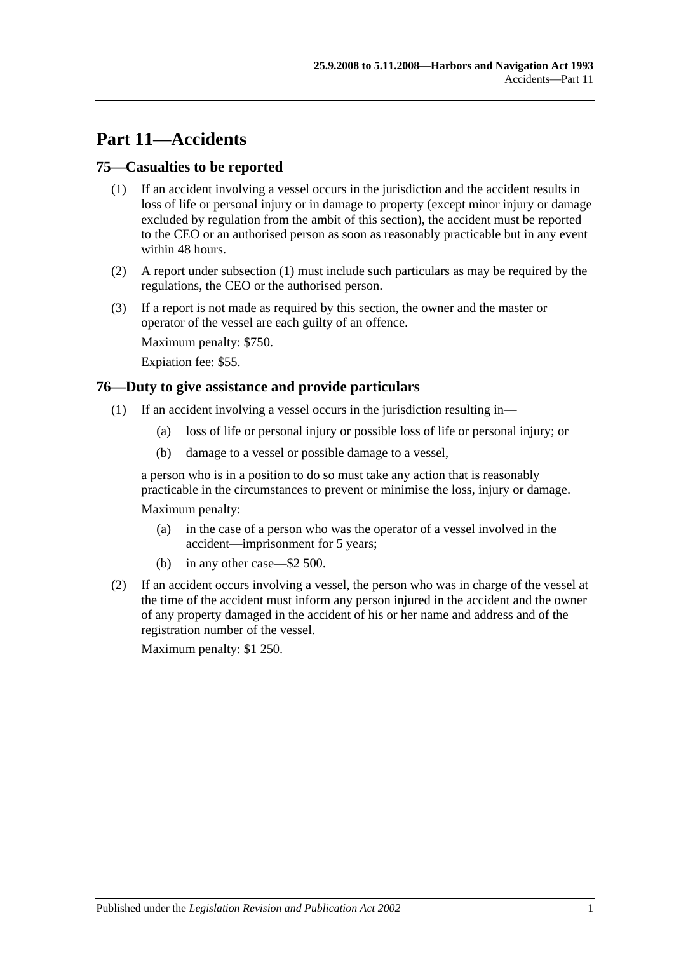# **Part 11—Accidents**

# <span id="page-62-1"></span>**75—Casualties to be reported**

- (1) If an accident involving a vessel occurs in the jurisdiction and the accident results in loss of life or personal injury or in damage to property (except minor injury or damage excluded by regulation from the ambit of this section), the accident must be reported to the CEO or an authorised person as soon as reasonably practicable but in any event within 48 hours.
- (2) A report under [subsection](#page-62-1) (1) must include such particulars as may be required by the regulations, the CEO or the authorised person.
- (3) If a report is not made as required by this section, the owner and the master or operator of the vessel are each guilty of an offence.

Maximum penalty: \$750.

Expiation fee: \$55.

## <span id="page-62-0"></span>**76—Duty to give assistance and provide particulars**

- (1) If an accident involving a vessel occurs in the jurisdiction resulting in—
	- (a) loss of life or personal injury or possible loss of life or personal injury; or
	- (b) damage to a vessel or possible damage to a vessel,

a person who is in a position to do so must take any action that is reasonably practicable in the circumstances to prevent or minimise the loss, injury or damage.

Maximum penalty:

- (a) in the case of a person who was the operator of a vessel involved in the accident—imprisonment for 5 years;
- (b) in any other case—\$2 500.
- (2) If an accident occurs involving a vessel, the person who was in charge of the vessel at the time of the accident must inform any person injured in the accident and the owner of any property damaged in the accident of his or her name and address and of the registration number of the vessel.

Maximum penalty: \$1 250.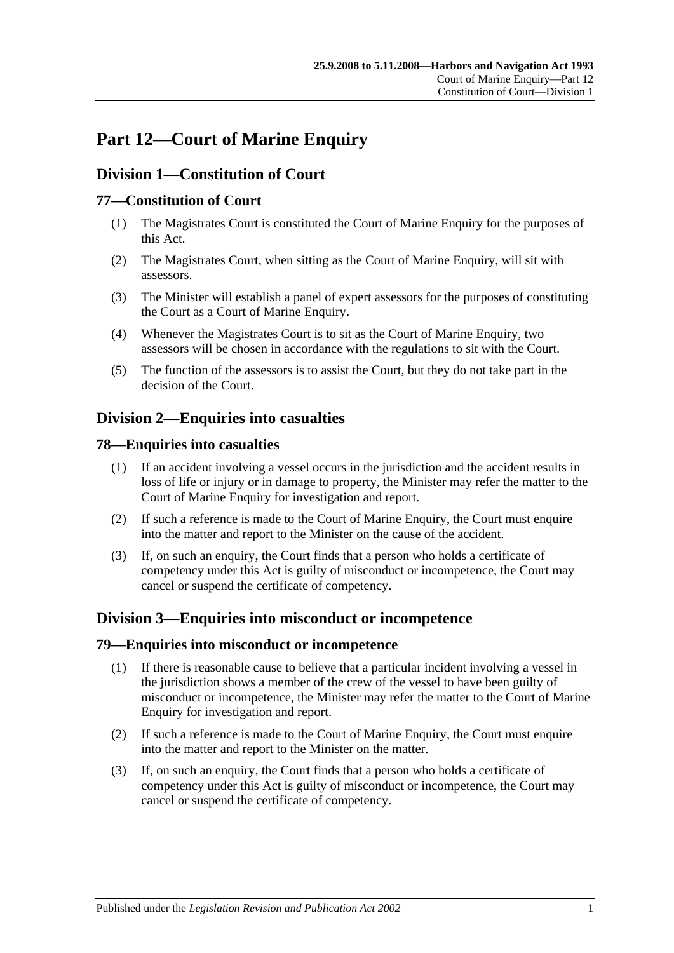# **Part 12—Court of Marine Enquiry**

# **Division 1—Constitution of Court**

# **77—Constitution of Court**

- (1) The Magistrates Court is constituted the Court of Marine Enquiry for the purposes of this Act.
- (2) The Magistrates Court, when sitting as the Court of Marine Enquiry, will sit with assessors.
- (3) The Minister will establish a panel of expert assessors for the purposes of constituting the Court as a Court of Marine Enquiry.
- (4) Whenever the Magistrates Court is to sit as the Court of Marine Enquiry, two assessors will be chosen in accordance with the regulations to sit with the Court.
- (5) The function of the assessors is to assist the Court, but they do not take part in the decision of the Court.

# **Division 2—Enquiries into casualties**

## **78—Enquiries into casualties**

- (1) If an accident involving a vessel occurs in the jurisdiction and the accident results in loss of life or injury or in damage to property, the Minister may refer the matter to the Court of Marine Enquiry for investigation and report.
- (2) If such a reference is made to the Court of Marine Enquiry, the Court must enquire into the matter and report to the Minister on the cause of the accident.
- (3) If, on such an enquiry, the Court finds that a person who holds a certificate of competency under this Act is guilty of misconduct or incompetence, the Court may cancel or suspend the certificate of competency.

# **Division 3—Enquiries into misconduct or incompetence**

#### **79—Enquiries into misconduct or incompetence**

- (1) If there is reasonable cause to believe that a particular incident involving a vessel in the jurisdiction shows a member of the crew of the vessel to have been guilty of misconduct or incompetence, the Minister may refer the matter to the Court of Marine Enquiry for investigation and report.
- (2) If such a reference is made to the Court of Marine Enquiry, the Court must enquire into the matter and report to the Minister on the matter.
- (3) If, on such an enquiry, the Court finds that a person who holds a certificate of competency under this Act is guilty of misconduct or incompetence, the Court may cancel or suspend the certificate of competency.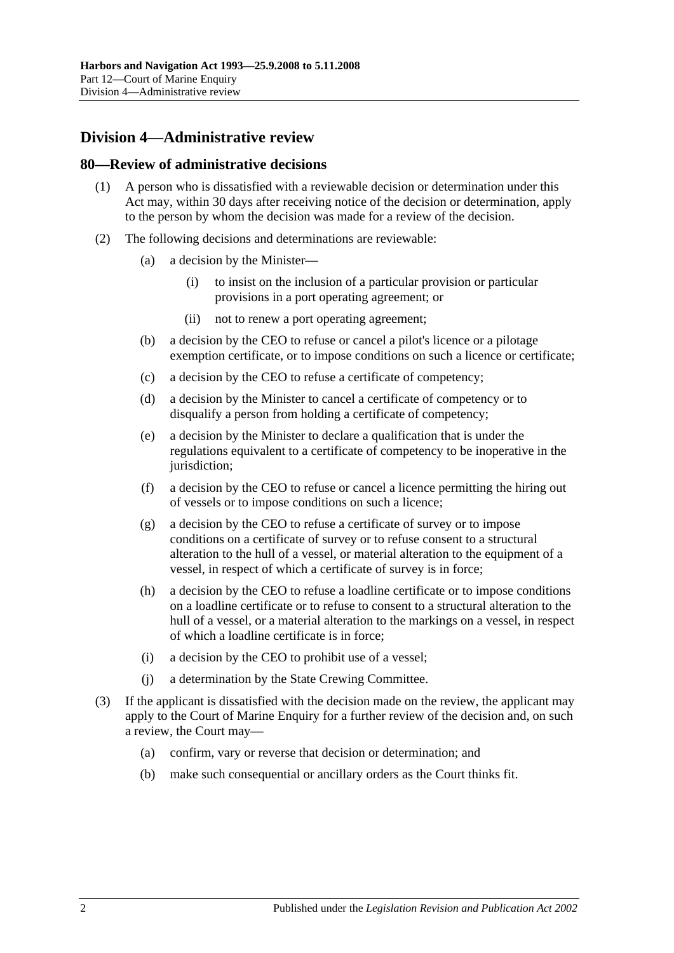# **Division 4—Administrative review**

## **80—Review of administrative decisions**

- (1) A person who is dissatisfied with a reviewable decision or determination under this Act may, within 30 days after receiving notice of the decision or determination, apply to the person by whom the decision was made for a review of the decision.
- (2) The following decisions and determinations are reviewable:
	- (a) a decision by the Minister—
		- (i) to insist on the inclusion of a particular provision or particular provisions in a port operating agreement; or
		- (ii) not to renew a port operating agreement;
	- (b) a decision by the CEO to refuse or cancel a pilot's licence or a pilotage exemption certificate, or to impose conditions on such a licence or certificate;
	- (c) a decision by the CEO to refuse a certificate of competency;
	- (d) a decision by the Minister to cancel a certificate of competency or to disqualify a person from holding a certificate of competency;
	- (e) a decision by the Minister to declare a qualification that is under the regulations equivalent to a certificate of competency to be inoperative in the jurisdiction:
	- (f) a decision by the CEO to refuse or cancel a licence permitting the hiring out of vessels or to impose conditions on such a licence;
	- (g) a decision by the CEO to refuse a certificate of survey or to impose conditions on a certificate of survey or to refuse consent to a structural alteration to the hull of a vessel, or material alteration to the equipment of a vessel, in respect of which a certificate of survey is in force;
	- (h) a decision by the CEO to refuse a loadline certificate or to impose conditions on a loadline certificate or to refuse to consent to a structural alteration to the hull of a vessel, or a material alteration to the markings on a vessel, in respect of which a loadline certificate is in force;
	- (i) a decision by the CEO to prohibit use of a vessel;
	- (j) a determination by the State Crewing Committee.
- (3) If the applicant is dissatisfied with the decision made on the review, the applicant may apply to the Court of Marine Enquiry for a further review of the decision and, on such a review, the Court may—
	- (a) confirm, vary or reverse that decision or determination; and
	- (b) make such consequential or ancillary orders as the Court thinks fit.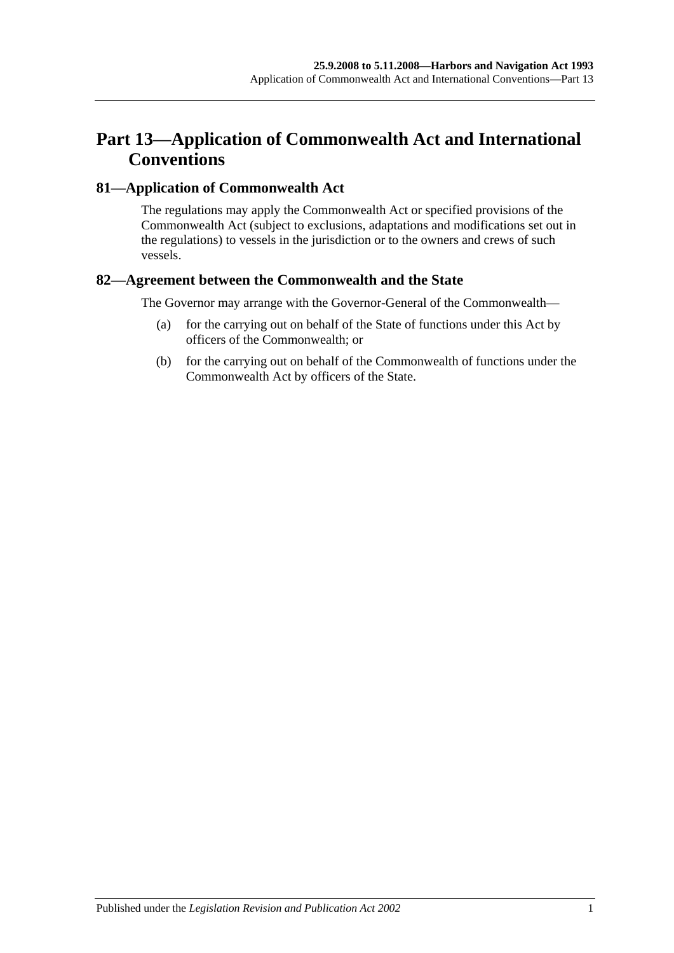# **Part 13—Application of Commonwealth Act and International Conventions**

# **81—Application of Commonwealth Act**

The regulations may apply the Commonwealth Act or specified provisions of the Commonwealth Act (subject to exclusions, adaptations and modifications set out in the regulations) to vessels in the jurisdiction or to the owners and crews of such vessels.

# **82—Agreement between the Commonwealth and the State**

The Governor may arrange with the Governor-General of the Commonwealth—

- (a) for the carrying out on behalf of the State of functions under this Act by officers of the Commonwealth; or
- (b) for the carrying out on behalf of the Commonwealth of functions under the Commonwealth Act by officers of the State.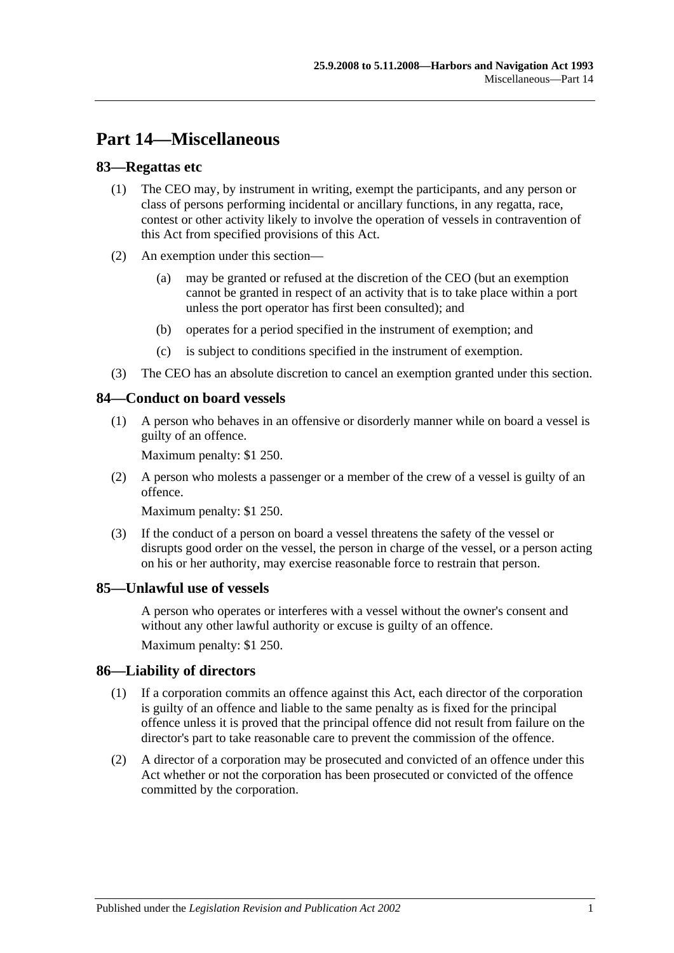# **Part 14—Miscellaneous**

# **83—Regattas etc**

- (1) The CEO may, by instrument in writing, exempt the participants, and any person or class of persons performing incidental or ancillary functions, in any regatta, race, contest or other activity likely to involve the operation of vessels in contravention of this Act from specified provisions of this Act.
- (2) An exemption under this section—
	- (a) may be granted or refused at the discretion of the CEO (but an exemption cannot be granted in respect of an activity that is to take place within a port unless the port operator has first been consulted); and
	- (b) operates for a period specified in the instrument of exemption; and
	- (c) is subject to conditions specified in the instrument of exemption.
- (3) The CEO has an absolute discretion to cancel an exemption granted under this section.

# **84—Conduct on board vessels**

(1) A person who behaves in an offensive or disorderly manner while on board a vessel is guilty of an offence.

Maximum penalty: \$1 250.

(2) A person who molests a passenger or a member of the crew of a vessel is guilty of an offence.

Maximum penalty: \$1 250.

(3) If the conduct of a person on board a vessel threatens the safety of the vessel or disrupts good order on the vessel, the person in charge of the vessel, or a person acting on his or her authority, may exercise reasonable force to restrain that person.

# **85—Unlawful use of vessels**

A person who operates or interferes with a vessel without the owner's consent and without any other lawful authority or excuse is guilty of an offence.

Maximum penalty: \$1 250.

# **86—Liability of directors**

- (1) If a corporation commits an offence against this Act, each director of the corporation is guilty of an offence and liable to the same penalty as is fixed for the principal offence unless it is proved that the principal offence did not result from failure on the director's part to take reasonable care to prevent the commission of the offence.
- (2) A director of a corporation may be prosecuted and convicted of an offence under this Act whether or not the corporation has been prosecuted or convicted of the offence committed by the corporation.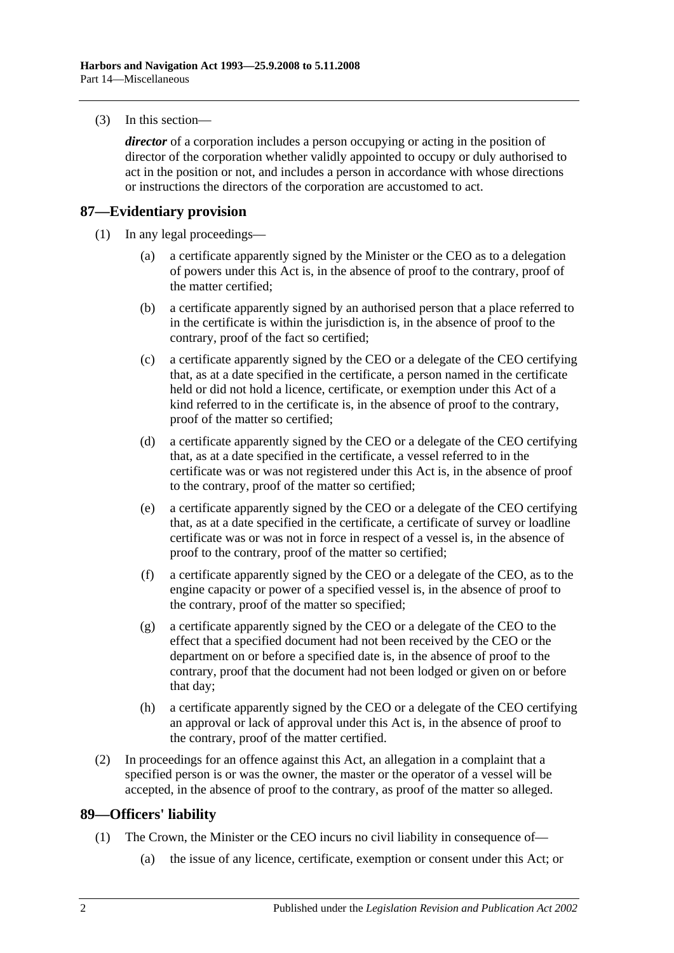(3) In this section—

*director* of a corporation includes a person occupying or acting in the position of director of the corporation whether validly appointed to occupy or duly authorised to act in the position or not, and includes a person in accordance with whose directions or instructions the directors of the corporation are accustomed to act.

#### **87—Evidentiary provision**

- (1) In any legal proceedings—
	- (a) a certificate apparently signed by the Minister or the CEO as to a delegation of powers under this Act is, in the absence of proof to the contrary, proof of the matter certified;
	- (b) a certificate apparently signed by an authorised person that a place referred to in the certificate is within the jurisdiction is, in the absence of proof to the contrary, proof of the fact so certified;
	- (c) a certificate apparently signed by the CEO or a delegate of the CEO certifying that, as at a date specified in the certificate, a person named in the certificate held or did not hold a licence, certificate, or exemption under this Act of a kind referred to in the certificate is, in the absence of proof to the contrary, proof of the matter so certified;
	- (d) a certificate apparently signed by the CEO or a delegate of the CEO certifying that, as at a date specified in the certificate, a vessel referred to in the certificate was or was not registered under this Act is, in the absence of proof to the contrary, proof of the matter so certified;
	- (e) a certificate apparently signed by the CEO or a delegate of the CEO certifying that, as at a date specified in the certificate, a certificate of survey or loadline certificate was or was not in force in respect of a vessel is, in the absence of proof to the contrary, proof of the matter so certified;
	- (f) a certificate apparently signed by the CEO or a delegate of the CEO, as to the engine capacity or power of a specified vessel is, in the absence of proof to the contrary, proof of the matter so specified;
	- (g) a certificate apparently signed by the CEO or a delegate of the CEO to the effect that a specified document had not been received by the CEO or the department on or before a specified date is, in the absence of proof to the contrary, proof that the document had not been lodged or given on or before that day;
	- (h) a certificate apparently signed by the CEO or a delegate of the CEO certifying an approval or lack of approval under this Act is, in the absence of proof to the contrary, proof of the matter certified.
- (2) In proceedings for an offence against this Act, an allegation in a complaint that a specified person is or was the owner, the master or the operator of a vessel will be accepted, in the absence of proof to the contrary, as proof of the matter so alleged.

#### **89—Officers' liability**

- (1) The Crown, the Minister or the CEO incurs no civil liability in consequence of—
	- (a) the issue of any licence, certificate, exemption or consent under this Act; or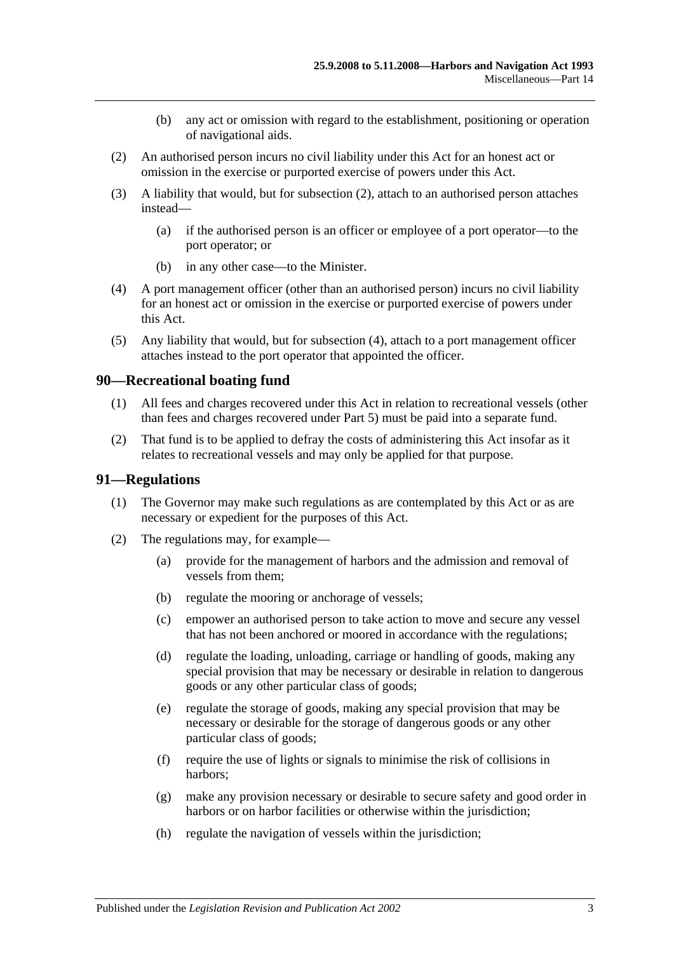- (b) any act or omission with regard to the establishment, positioning or operation of navigational aids.
- <span id="page-70-0"></span>(2) An authorised person incurs no civil liability under this Act for an honest act or omission in the exercise or purported exercise of powers under this Act.
- (3) A liability that would, but for [subsection](#page-70-0) (2), attach to an authorised person attaches instead—
	- (a) if the authorised person is an officer or employee of a port operator—to the port operator; or
	- (b) in any other case—to the Minister.
- <span id="page-70-1"></span>(4) A port management officer (other than an authorised person) incurs no civil liability for an honest act or omission in the exercise or purported exercise of powers under this Act.
- (5) Any liability that would, but for [subsection](#page-70-1) (4), attach to a port management officer attaches instead to the port operator that appointed the officer.

## **90—Recreational boating fund**

- (1) All fees and charges recovered under this Act in relation to recreational vessels (other than fees and charges recovered under [Part 5\)](#page-22-0) must be paid into a separate fund.
- (2) That fund is to be applied to defray the costs of administering this Act insofar as it relates to recreational vessels and may only be applied for that purpose.

#### **91—Regulations**

- (1) The Governor may make such regulations as are contemplated by this Act or as are necessary or expedient for the purposes of this Act.
- (2) The regulations may, for example—
	- (a) provide for the management of harbors and the admission and removal of vessels from them;
	- (b) regulate the mooring or anchorage of vessels;
	- (c) empower an authorised person to take action to move and secure any vessel that has not been anchored or moored in accordance with the regulations;
	- (d) regulate the loading, unloading, carriage or handling of goods, making any special provision that may be necessary or desirable in relation to dangerous goods or any other particular class of goods;
	- (e) regulate the storage of goods, making any special provision that may be necessary or desirable for the storage of dangerous goods or any other particular class of goods;
	- (f) require the use of lights or signals to minimise the risk of collisions in harbors;
	- (g) make any provision necessary or desirable to secure safety and good order in harbors or on harbor facilities or otherwise within the jurisdiction;
	- (h) regulate the navigation of vessels within the jurisdiction;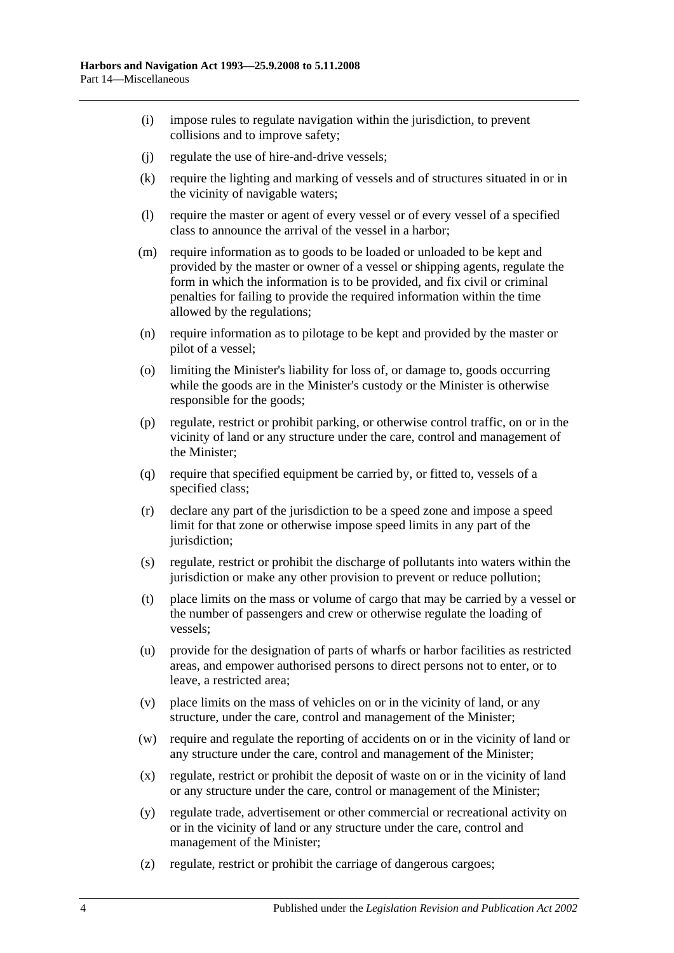- (i) impose rules to regulate navigation within the jurisdiction, to prevent collisions and to improve safety;
- (j) regulate the use of hire-and-drive vessels;
- (k) require the lighting and marking of vessels and of structures situated in or in the vicinity of navigable waters;
- (l) require the master or agent of every vessel or of every vessel of a specified class to announce the arrival of the vessel in a harbor;
- (m) require information as to goods to be loaded or unloaded to be kept and provided by the master or owner of a vessel or shipping agents, regulate the form in which the information is to be provided, and fix civil or criminal penalties for failing to provide the required information within the time allowed by the regulations;
- (n) require information as to pilotage to be kept and provided by the master or pilot of a vessel;
- (o) limiting the Minister's liability for loss of, or damage to, goods occurring while the goods are in the Minister's custody or the Minister is otherwise responsible for the goods;
- (p) regulate, restrict or prohibit parking, or otherwise control traffic, on or in the vicinity of land or any structure under the care, control and management of the Minister;
- (q) require that specified equipment be carried by, or fitted to, vessels of a specified class;
- (r) declare any part of the jurisdiction to be a speed zone and impose a speed limit for that zone or otherwise impose speed limits in any part of the jurisdiction:
- (s) regulate, restrict or prohibit the discharge of pollutants into waters within the jurisdiction or make any other provision to prevent or reduce pollution;
- (t) place limits on the mass or volume of cargo that may be carried by a vessel or the number of passengers and crew or otherwise regulate the loading of vessels;
- (u) provide for the designation of parts of wharfs or harbor facilities as restricted areas, and empower authorised persons to direct persons not to enter, or to leave, a restricted area;
- (v) place limits on the mass of vehicles on or in the vicinity of land, or any structure, under the care, control and management of the Minister;
- (w) require and regulate the reporting of accidents on or in the vicinity of land or any structure under the care, control and management of the Minister;
- (x) regulate, restrict or prohibit the deposit of waste on or in the vicinity of land or any structure under the care, control or management of the Minister;
- (y) regulate trade, advertisement or other commercial or recreational activity on or in the vicinity of land or any structure under the care, control and management of the Minister;
- (z) regulate, restrict or prohibit the carriage of dangerous cargoes;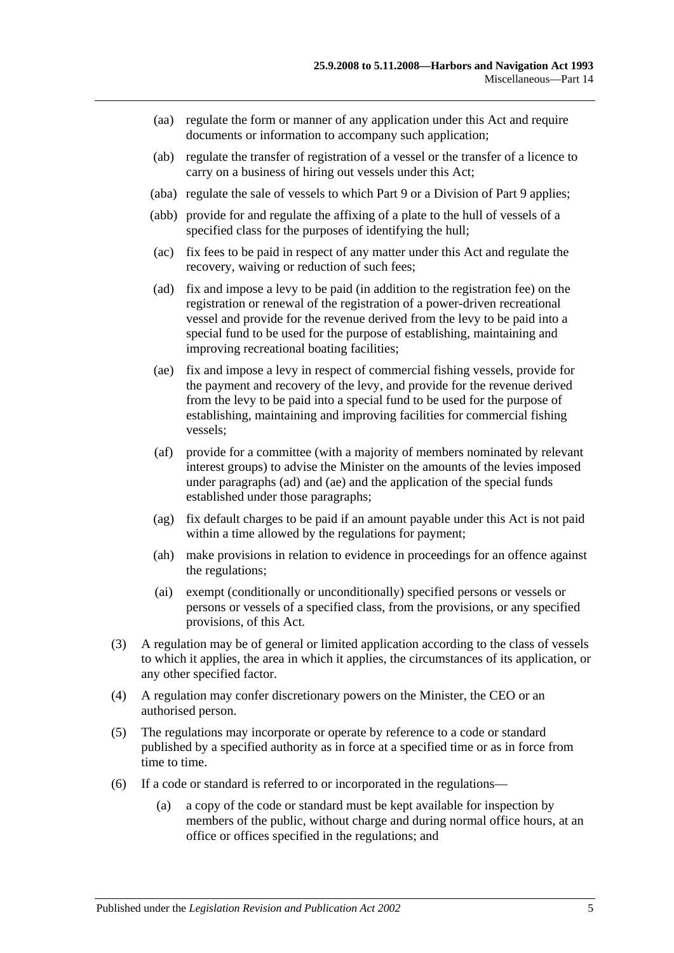- (aa) regulate the form or manner of any application under this Act and require documents or information to accompany such application;
- (ab) regulate the transfer of registration of a vessel or the transfer of a licence to carry on a business of hiring out vessels under this Act;
- (aba) regulate the sale of vessels to which [Part 9](#page-42-0) or a Division of [Part 9](#page-42-0) applies;
- (abb) provide for and regulate the affixing of a plate to the hull of vessels of a specified class for the purposes of identifying the hull;
- (ac) fix fees to be paid in respect of any matter under this Act and regulate the recovery, waiving or reduction of such fees;
- <span id="page-72-0"></span>(ad) fix and impose a levy to be paid (in addition to the registration fee) on the registration or renewal of the registration of a power-driven recreational vessel and provide for the revenue derived from the levy to be paid into a special fund to be used for the purpose of establishing, maintaining and improving recreational boating facilities;
- <span id="page-72-1"></span>(ae) fix and impose a levy in respect of commercial fishing vessels, provide for the payment and recovery of the levy, and provide for the revenue derived from the levy to be paid into a special fund to be used for the purpose of establishing, maintaining and improving facilities for commercial fishing vessels;
- (af) provide for a committee (with a majority of members nominated by relevant interest groups) to advise the Minister on the amounts of the levies imposed under [paragraphs](#page-72-0) (ad) and [\(ae\)](#page-72-1) and the application of the special funds established under those paragraphs;
- (ag) fix default charges to be paid if an amount payable under this Act is not paid within a time allowed by the regulations for payment;
- (ah) make provisions in relation to evidence in proceedings for an offence against the regulations;
- (ai) exempt (conditionally or unconditionally) specified persons or vessels or persons or vessels of a specified class, from the provisions, or any specified provisions, of this Act.
- (3) A regulation may be of general or limited application according to the class of vessels to which it applies, the area in which it applies, the circumstances of its application, or any other specified factor.
- (4) A regulation may confer discretionary powers on the Minister, the CEO or an authorised person.
- (5) The regulations may incorporate or operate by reference to a code or standard published by a specified authority as in force at a specified time or as in force from time to time.
- (6) If a code or standard is referred to or incorporated in the regulations—
	- (a) a copy of the code or standard must be kept available for inspection by members of the public, without charge and during normal office hours, at an office or offices specified in the regulations; and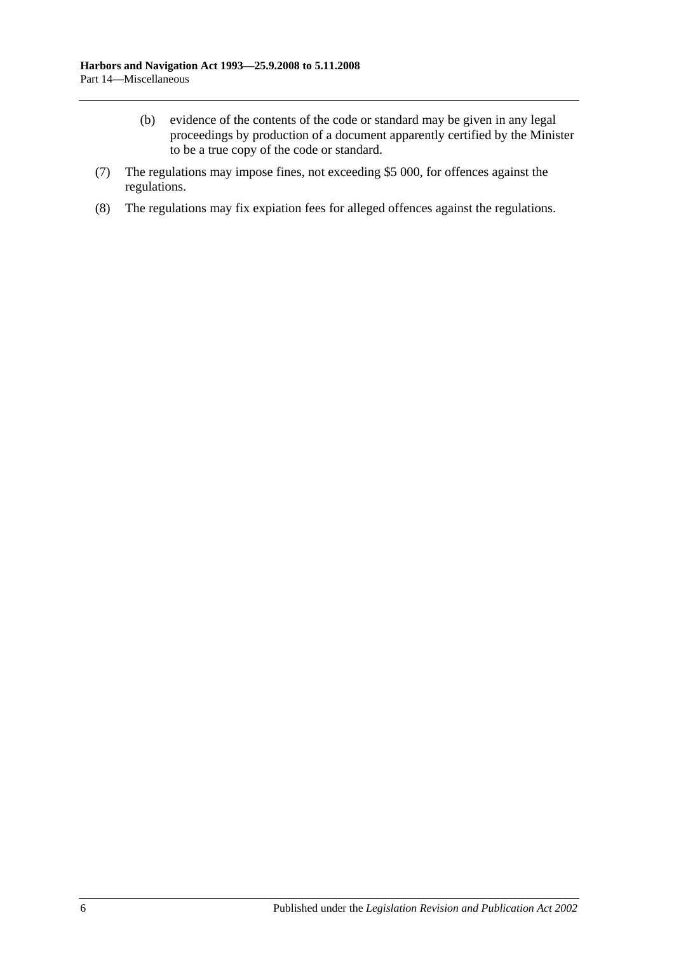- (b) evidence of the contents of the code or standard may be given in any legal proceedings by production of a document apparently certified by the Minister to be a true copy of the code or standard.
- (7) The regulations may impose fines, not exceeding \$5 000, for offences against the regulations.
- (8) The regulations may fix expiation fees for alleged offences against the regulations.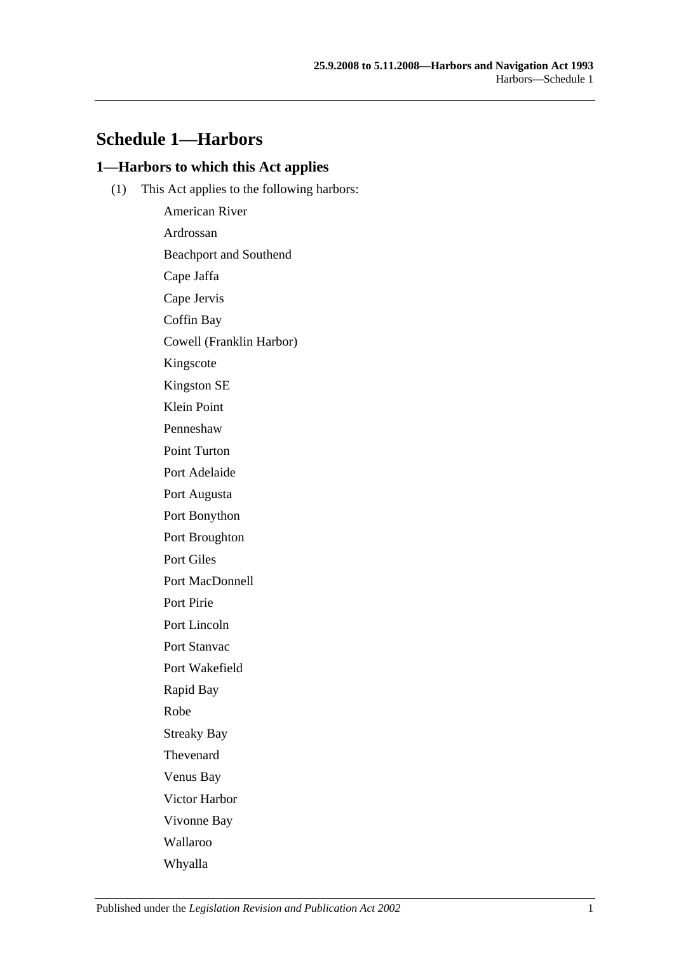# **Schedule 1—Harbors**

## **1—Harbors to which this Act applies**

(1) This Act applies to the following harbors:

American River Ardrossan Beachport and Southend Cape Jaffa Cape Jervis Coffin Bay Cowell (Franklin Harbor) Kingscote Kingston SE Klein Point Penneshaw Point Turton Port Adelaide Port Augusta Port Bonython Port Broughton Port Giles Port MacDonnell Port Pirie Port Lincoln Port Stanvac Port Wakefield Rapid Bay Robe Streaky Bay Thevenard Venus Bay Victor Harbor Vivonne Bay Wallaroo Whyalla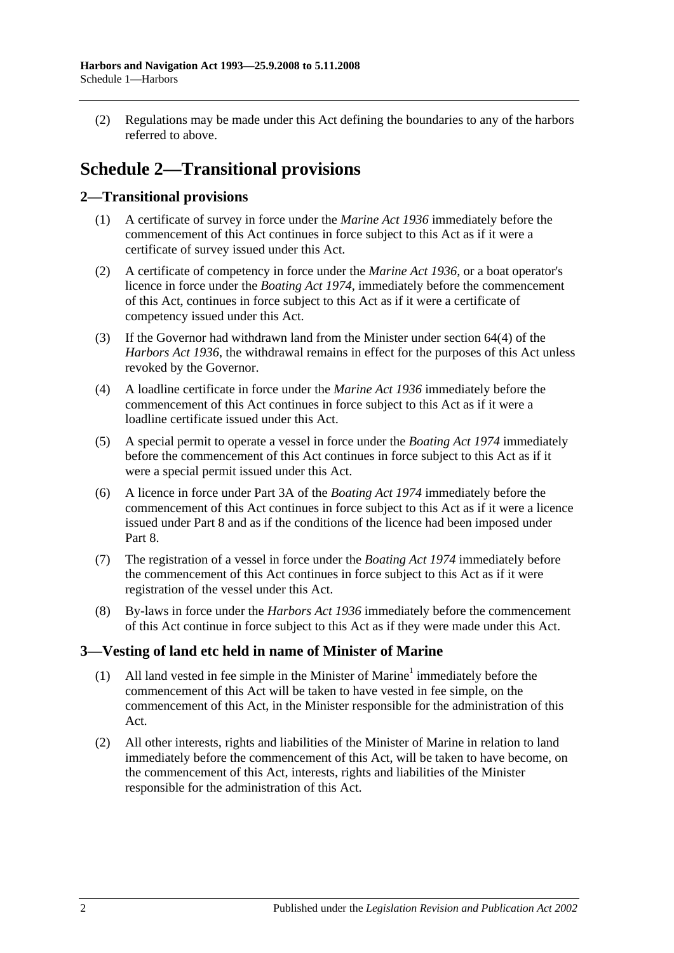(2) Regulations may be made under this Act defining the boundaries to any of the harbors referred to above.

# **Schedule 2—Transitional provisions**

# **2—Transitional provisions**

- (1) A certificate of survey in force under the *[Marine Act](http://www.legislation.sa.gov.au/index.aspx?action=legref&type=act&legtitle=Marine%20Act%201936) 1936* immediately before the commencement of this Act continues in force subject to this Act as if it were a certificate of survey issued under this Act.
- (2) A certificate of competency in force under the *[Marine Act](http://www.legislation.sa.gov.au/index.aspx?action=legref&type=act&legtitle=Marine%20Act%201936) 1936*, or a boat operator's licence in force under the *[Boating Act](http://www.legislation.sa.gov.au/index.aspx?action=legref&type=act&legtitle=Boating%20Act%201974) 1974*, immediately before the commencement of this Act, continues in force subject to this Act as if it were a certificate of competency issued under this Act.
- (3) If the Governor had withdrawn land from the Minister under section 64(4) of the *[Harbors Act](http://www.legislation.sa.gov.au/index.aspx?action=legref&type=act&legtitle=Harbors%20Act%201936) 1936*, the withdrawal remains in effect for the purposes of this Act unless revoked by the Governor.
- (4) A loadline certificate in force under the *[Marine Act](http://www.legislation.sa.gov.au/index.aspx?action=legref&type=act&legtitle=Marine%20Act%201936) 1936* immediately before the commencement of this Act continues in force subject to this Act as if it were a loadline certificate issued under this Act.
- (5) A special permit to operate a vessel in force under the *[Boating Act](http://www.legislation.sa.gov.au/index.aspx?action=legref&type=act&legtitle=Boating%20Act%201974) 1974* immediately before the commencement of this Act continues in force subject to this Act as if it were a special permit issued under this Act.
- (6) A licence in force under Part 3A of the *[Boating Act](http://www.legislation.sa.gov.au/index.aspx?action=legref&type=act&legtitle=Boating%20Act%201974) 1974* immediately before the commencement of this Act continues in force subject to this Act as if it were a licence issued under [Part 8](#page-40-0) and as if the conditions of the licence had been imposed under [Part](#page-40-0) 8.
- (7) The registration of a vessel in force under the *[Boating Act](http://www.legislation.sa.gov.au/index.aspx?action=legref&type=act&legtitle=Boating%20Act%201974) 1974* immediately before the commencement of this Act continues in force subject to this Act as if it were registration of the vessel under this Act.
- (8) By-laws in force under the *[Harbors Act](http://www.legislation.sa.gov.au/index.aspx?action=legref&type=act&legtitle=Harbors%20Act%201936) 1936* immediately before the commencement of this Act continue in force subject to this Act as if they were made under this Act.

# **3—Vesting of land etc held in name of Minister of Marine**

- (1) All land vested in fee simple in the Minister of Marine<sup>1</sup> immediately before the commencement of this Act will be taken to have vested in fee simple, on the commencement of this Act, in the Minister responsible for the administration of this Act.
- (2) All other interests, rights and liabilities of the Minister of Marine in relation to land immediately before the commencement of this Act, will be taken to have become, on the commencement of this Act, interests, rights and liabilities of the Minister responsible for the administration of this Act.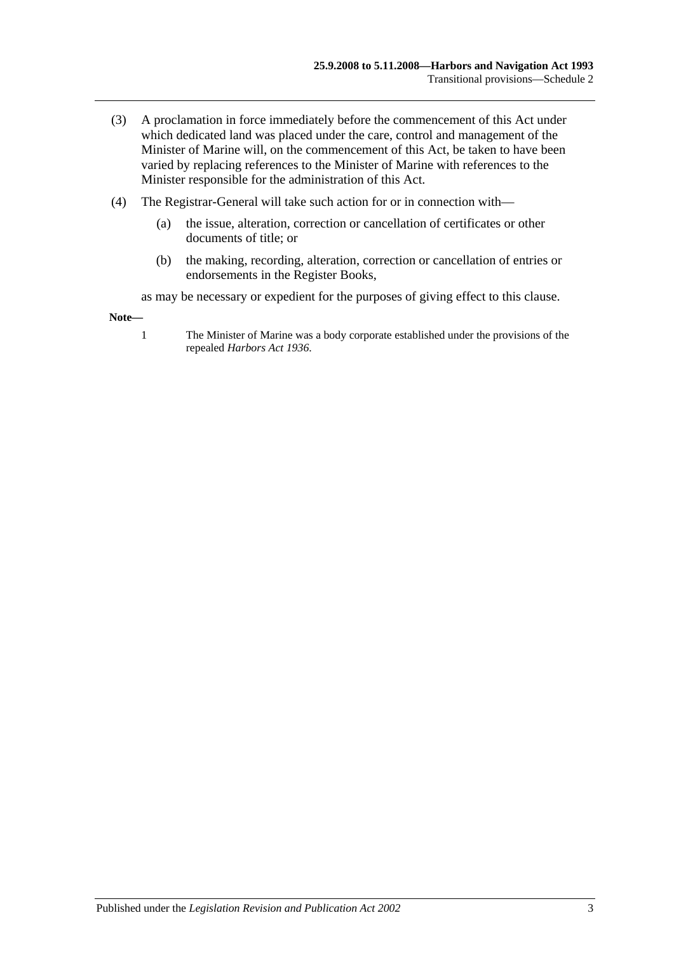- (3) A proclamation in force immediately before the commencement of this Act under which dedicated land was placed under the care, control and management of the Minister of Marine will, on the commencement of this Act, be taken to have been varied by replacing references to the Minister of Marine with references to the Minister responsible for the administration of this Act.
- (4) The Registrar-General will take such action for or in connection with—
	- (a) the issue, alteration, correction or cancellation of certificates or other documents of title; or
	- (b) the making, recording, alteration, correction or cancellation of entries or endorsements in the Register Books,

as may be necessary or expedient for the purposes of giving effect to this clause.

**Note—**

1 The Minister of Marine was a body corporate established under the provisions of the repealed *[Harbors Act](http://www.legislation.sa.gov.au/index.aspx?action=legref&type=act&legtitle=Harbors%20Act%201936) 1936*.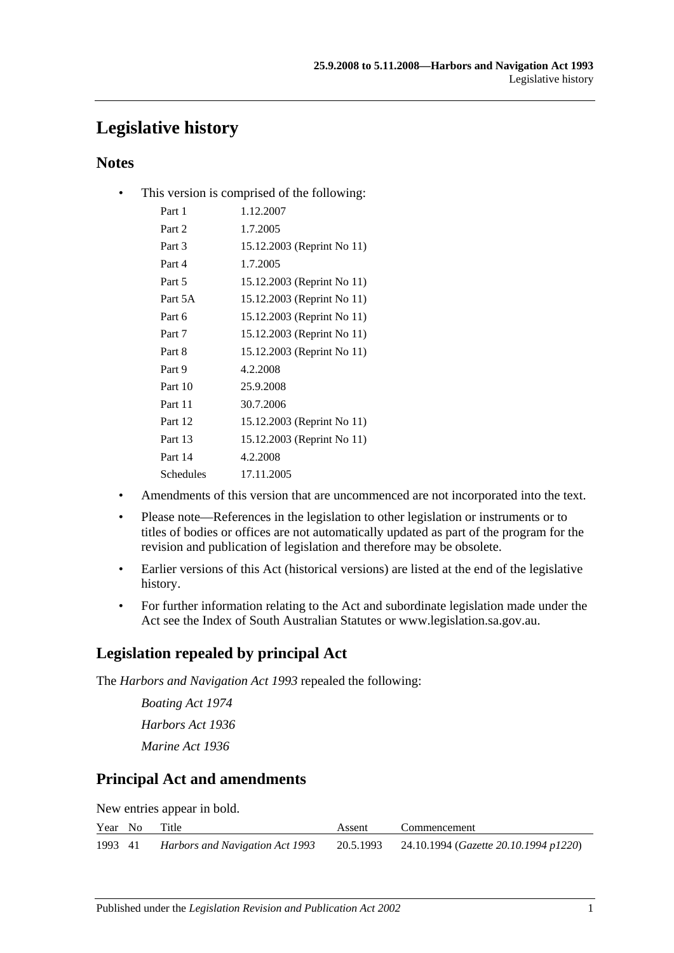# **Legislative history**

# **Notes**

• This version is comprised of the following:

| Part 1    | 1.12.2007                  |
|-----------|----------------------------|
| Part 2    | 1.7.2005                   |
| Part 3    | 15.12.2003 (Reprint No 11) |
| Part 4    | 1.7.2005                   |
| Part 5    | 15.12.2003 (Reprint No 11) |
| Part 5A   | 15.12.2003 (Reprint No 11) |
| Part 6    | 15.12.2003 (Reprint No 11) |
| Part 7    | 15.12.2003 (Reprint No 11) |
| Part 8    | 15.12.2003 (Reprint No 11) |
| Part 9    | 4.2.2008                   |
| Part 10   | 25.9.2008                  |
| Part 11   | 30.7.2006                  |
| Part 12   | 15.12.2003 (Reprint No 11) |
| Part 13   | 15.12.2003 (Reprint No 11) |
| Part 14   | 4.2.2008                   |
| Schedules | 17.11.2005                 |
|           |                            |

- Amendments of this version that are uncommenced are not incorporated into the text.
- Please note—References in the legislation to other legislation or instruments or to titles of bodies or offices are not automatically updated as part of the program for the revision and publication of legislation and therefore may be obsolete.
- Earlier versions of this Act (historical versions) are listed at the end of the legislative history.
- For further information relating to the Act and subordinate legislation made under the Act see the Index of South Australian Statutes or www.legislation.sa.gov.au.

# **Legislation repealed by principal Act**

The *Harbors and Navigation Act 1993* repealed the following:

*Boating Act 1974 Harbors Act 1936 Marine Act 1936*

# **Principal Act and amendments**

New entries appear in bold.

|         | Year No | Title                           | Assent | Commencement                                    |
|---------|---------|---------------------------------|--------|-------------------------------------------------|
| 1993 41 |         | Harbors and Navigation Act 1993 |        | 20.5.1993 24.10.1994 (Gazette 20.10.1994 p1220) |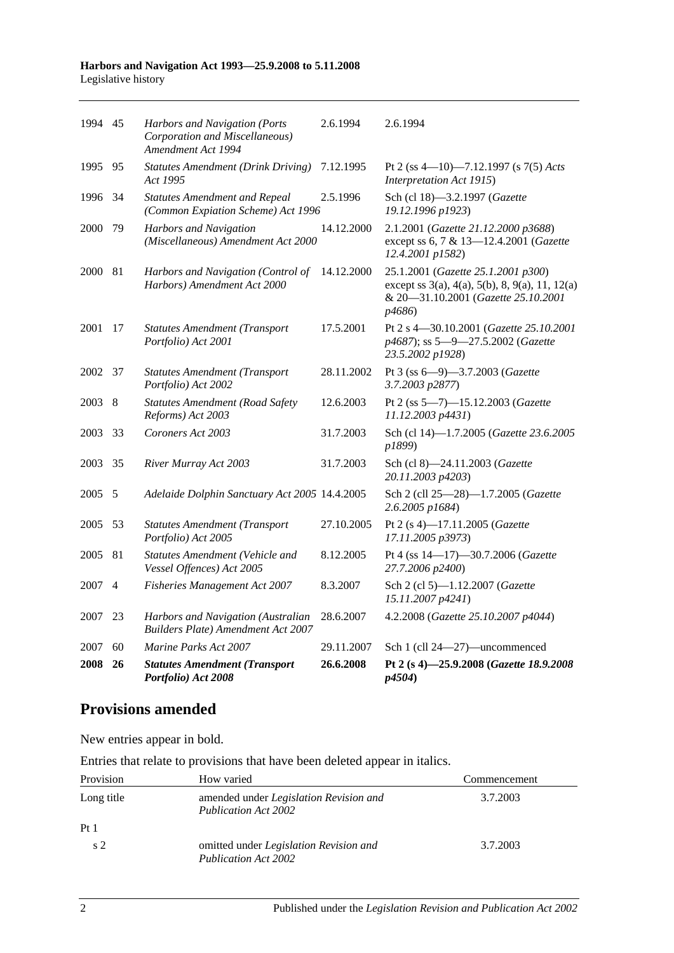#### **Harbors and Navigation Act 1993—25.9.2008 to 5.11.2008** Legislative history

| 1994 45 |                | Harbors and Navigation (Ports<br>Corporation and Miscellaneous)<br>Amendment Act 1994 | 2.6.1994   | 2.6.1994                                                                                                                                                  |
|---------|----------------|---------------------------------------------------------------------------------------|------------|-----------------------------------------------------------------------------------------------------------------------------------------------------------|
| 1995    | 95             | <b>Statutes Amendment (Drink Driving)</b><br>Act 1995                                 | 7.12.1995  | Pt 2 (ss 4-10)-7.12.1997 (s 7(5) Acts<br>Interpretation Act 1915)                                                                                         |
| 1996    | 34             | <b>Statutes Amendment and Repeal</b><br>(Common Expiation Scheme) Act 1996            | 2.5.1996   | Sch (cl 18)-3.2.1997 (Gazette<br>19.12.1996 p1923)                                                                                                        |
| 2000    | 79             | <b>Harbors and Navigation</b><br>(Miscellaneous) Amendment Act 2000                   | 14.12.2000 | 2.1.2001 (Gazette 21.12.2000 p3688)<br>except ss 6, 7 & 13-12.4.2001 (Gazette<br>12.4.2001 p1582)                                                         |
| 2000    | 81             | Harbors and Navigation (Control of<br>Harbors) Amendment Act 2000                     | 14.12.2000 | 25.1.2001 (Gazette 25.1.2001 p300)<br>except ss $3(a)$ , $4(a)$ , $5(b)$ , $8$ , $9(a)$ , $11$ , $12(a)$<br>& 20-31.10.2001 (Gazette 25.10.2001<br>p4686) |
| 2001    | 17             | <b>Statutes Amendment (Transport</b><br>Portfolio) Act 2001                           | 17.5.2001  | Pt 2 s 4-30.10.2001 (Gazette 25.10.2001<br>p4687); ss 5-9-27.5.2002 (Gazette<br>23.5.2002 p1928)                                                          |
| 2002    | 37             | <b>Statutes Amendment (Transport</b><br>Portfolio) Act 2002                           | 28.11.2002 | Pt 3 (ss 6-9)-3.7.2003 (Gazette<br>3.7.2003 p2877)                                                                                                        |
| 2003    | 8              | <b>Statutes Amendment (Road Safety</b><br>Reforms) Act 2003                           | 12.6.2003  | Pt 2 (ss 5-7)-15.12.2003 (Gazette<br>11.12.2003 p4431)                                                                                                    |
| 2003    | 33             | Coroners Act 2003                                                                     | 31.7.2003  | Sch (cl 14)-1.7.2005 (Gazette 23.6.2005<br>p1899)                                                                                                         |
| 2003    | 35             | River Murray Act 2003                                                                 | 31.7.2003  | Sch (cl 8)-24.11.2003 (Gazette<br>20.11.2003 p4203)                                                                                                       |
| 2005    | 5              | Adelaide Dolphin Sanctuary Act 2005 14.4.2005                                         |            | Sch 2 (cll 25-28)-1.7.2005 (Gazette<br>2.6.2005 p1684)                                                                                                    |
| 2005    | 53             | <b>Statutes Amendment (Transport</b><br>Portfolio) Act 2005                           | 27.10.2005 | Pt 2 (s 4)-17.11.2005 (Gazette<br>17.11.2005 p3973)                                                                                                       |
| 2005    | 81             | Statutes Amendment (Vehicle and<br>Vessel Offences) Act 2005                          | 8.12.2005  | Pt 4 (ss 14-17)-30.7.2006 (Gazette<br>27.7.2006 p2400)                                                                                                    |
| 2007    | $\overline{4}$ | Fisheries Management Act 2007                                                         | 8.3.2007   | Sch 2 (cl 5)-1.12.2007 (Gazette<br>15.11.2007 p4241)                                                                                                      |
| 2007    | 23             | Harbors and Navigation (Australian<br>Builders Plate) Amendment Act 2007              | 28.6.2007  | 4.2.2008 (Gazette 25.10.2007 p4044)                                                                                                                       |
| 2007    | 60             | Marine Parks Act 2007                                                                 | 29.11.2007 | Sch 1 (cll 24-27)-uncommenced                                                                                                                             |
| 2008    | 26             | <b>Statutes Amendment (Transport</b><br>Portfolio) Act 2008                           | 26.6.2008  | Pt 2 (s 4)-25.9.2008 (Gazette 18.9.2008<br>p4504)                                                                                                         |

# **Provisions amended**

New entries appear in bold.

Entries that relate to provisions that have been deleted appear in italics.

| Provision       | How varied                                                     | Commencement |
|-----------------|----------------------------------------------------------------|--------------|
| Long title      | amended under Legislation Revision and<br>Publication Act 2002 | 3.7.2003     |
| Pt <sub>1</sub> |                                                                |              |
| s <sub>2</sub>  | omitted under Legislation Revision and<br>Publication Act 2002 | 3.7.2003     |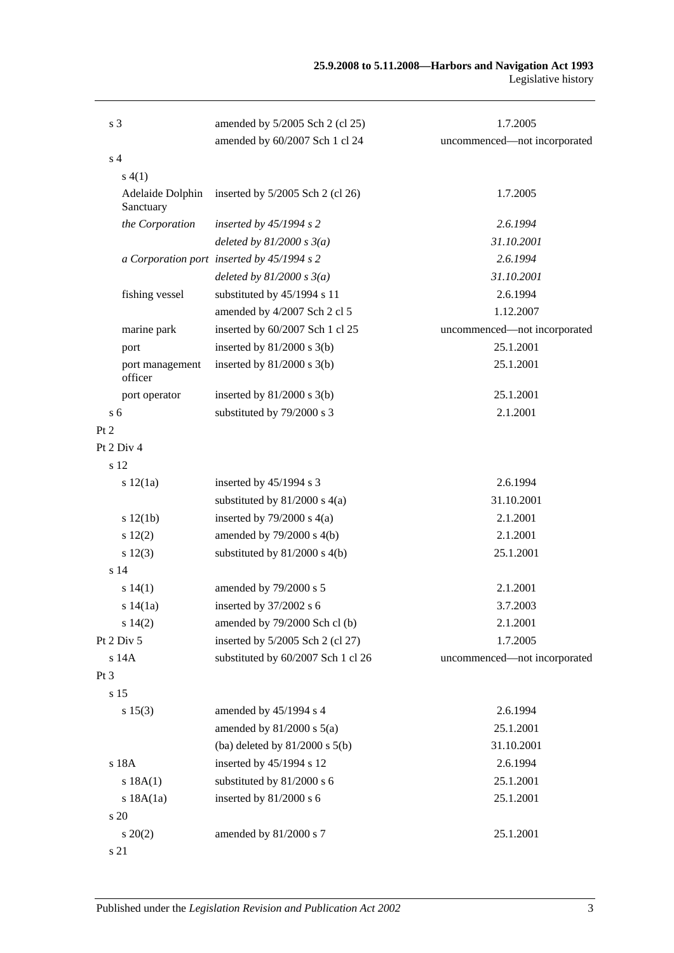| s <sub>3</sub>                | amended by 5/2005 Sch 2 (cl 25)            | 1.7.2005                     |
|-------------------------------|--------------------------------------------|------------------------------|
|                               | amended by 60/2007 Sch 1 cl 24             | uncommenced-not incorporated |
| s <sub>4</sub>                |                                            |                              |
| s(4(1))                       |                                            |                              |
| Adelaide Dolphin<br>Sanctuary | inserted by $5/2005$ Sch 2 (cl 26)         | 1.7.2005                     |
| the Corporation               | inserted by $45/1994 s 2$                  | 2.6.1994                     |
|                               | deleted by $81/2000 s 3(a)$                | 31.10.2001                   |
|                               | a Corporation port inserted by 45/1994 s 2 | 2.6.1994                     |
|                               | deleted by $81/2000 s 3(a)$                | 31.10.2001                   |
| fishing vessel                | substituted by 45/1994 s 11                | 2.6.1994                     |
|                               | amended by 4/2007 Sch 2 cl 5               | 1.12.2007                    |
| marine park                   | inserted by 60/2007 Sch 1 cl 25            | uncommenced-not incorporated |
| port                          | inserted by $81/2000$ s $3(b)$             | 25.1.2001                    |
| port management<br>officer    | inserted by $81/2000$ s $3(b)$             | 25.1.2001                    |
| port operator                 | inserted by $81/2000$ s $3(b)$             | 25.1.2001                    |
| s <sub>6</sub>                | substituted by 79/2000 s 3                 | 2.1.2001                     |
| Pt 2                          |                                            |                              |
| Pt 2 Div 4                    |                                            |                              |
| s 12                          |                                            |                              |
| s 12(1a)                      | inserted by $45/1994$ s 3                  | 2.6.1994                     |
|                               | substituted by $81/2000$ s $4(a)$          | 31.10.2001                   |
| s 12(1b)                      | inserted by $79/2000$ s $4(a)$             | 2.1.2001                     |
| s 12(2)                       | amended by $79/2000$ s $4(b)$              | 2.1.2001                     |
| s 12(3)                       | substituted by $81/2000$ s $4(b)$          | 25.1.2001                    |
| s <sub>14</sub>               |                                            |                              |
| s 14(1)                       | amended by 79/2000 s 5                     | 2.1.2001                     |
| s 14(1a)                      | inserted by 37/2002 s 6                    | 3.7.2003                     |
| s 14(2)                       | amended by 79/2000 Sch cl (b)              | 2.1.2001                     |
| Pt 2 Div 5                    | inserted by 5/2005 Sch 2 (cl 27)           | 1.7.2005                     |
| s 14A                         | substituted by 60/2007 Sch 1 cl 26         | uncommenced-not incorporated |
| Pt <sub>3</sub>               |                                            |                              |
| s 15                          |                                            |                              |
| s 15(3)                       | amended by 45/1994 s 4                     | 2.6.1994                     |
|                               | amended by $81/2000$ s $5(a)$              | 25.1.2001                    |
|                               | (ba) deleted by $81/2000$ s $5(b)$         | 31.10.2001                   |
| s 18A                         | inserted by 45/1994 s 12                   | 2.6.1994                     |
| s 18A(1)                      | substituted by 81/2000 s 6                 | 25.1.2001                    |
| s 18A(1a)                     | inserted by 81/2000 s 6                    | 25.1.2001                    |
| s 20                          |                                            |                              |
| $s\,20(2)$                    | amended by 81/2000 s 7                     | 25.1.2001                    |
| s 21                          |                                            |                              |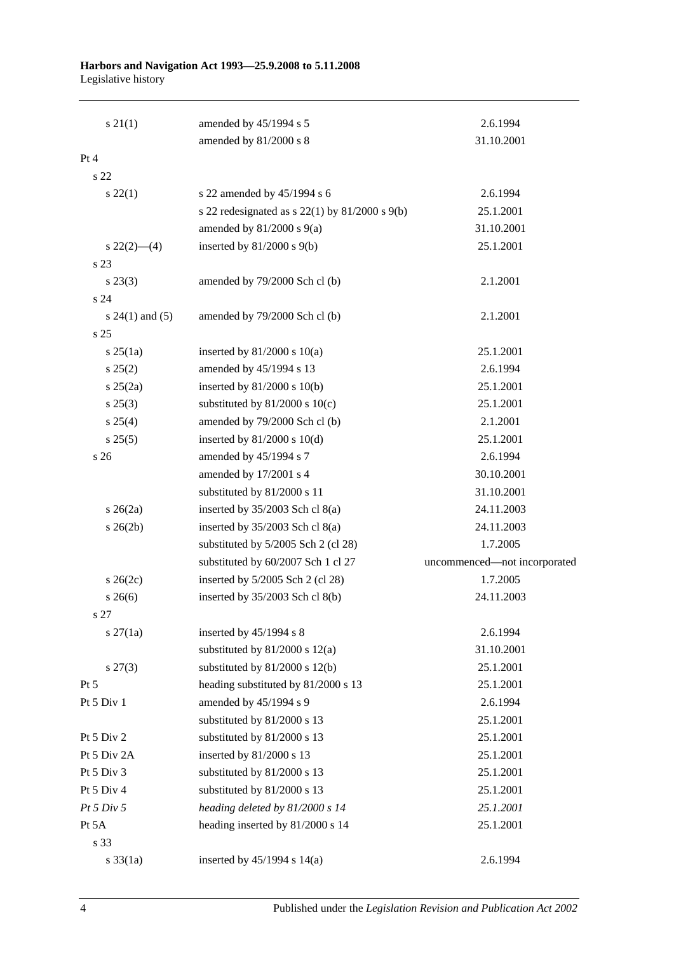#### **Harbors and Navigation Act 1993—25.9.2008 to 5.11.2008** Legislative history

| $s \, 21(1)$        | amended by 45/1994 s 5                               | 2.6.1994                     |
|---------------------|------------------------------------------------------|------------------------------|
|                     | amended by 81/2000 s 8                               | 31.10.2001                   |
| Pt 4                |                                                      |                              |
| s <sub>22</sub>     |                                                      |                              |
| $s\,22(1)$          | s 22 amended by 45/1994 s 6                          | 2.6.1994                     |
|                     | s 22 redesignated as s $22(1)$ by $81/2000$ s $9(b)$ | 25.1.2001                    |
|                     | amended by $81/2000$ s $9(a)$                        | 31.10.2001                   |
| $s\,22(2)$ —(4)     | inserted by $81/2000$ s $9(b)$                       | 25.1.2001                    |
| s 23                |                                                      |                              |
| $s\,23(3)$          | amended by 79/2000 Sch cl (b)                        | 2.1.2001                     |
| s 24                |                                                      |                              |
| s $24(1)$ and $(5)$ | amended by 79/2000 Sch cl (b)                        | 2.1.2001                     |
| s <sub>25</sub>     |                                                      |                              |
| $s \, 25(1a)$       | inserted by $81/2000$ s $10(a)$                      | 25.1.2001                    |
| s 25(2)             | amended by 45/1994 s 13                              | 2.6.1994                     |
| $s \; 25(2a)$       | inserted by $81/2000$ s $10(b)$                      | 25.1.2001                    |
| $s\,25(3)$          | substituted by $81/2000$ s $10(c)$                   | 25.1.2001                    |
| s 25(4)             | amended by 79/2000 Sch cl (b)                        | 2.1.2001                     |
| s 25(5)             | inserted by $81/2000$ s $10(d)$                      | 25.1.2001                    |
| s <sub>26</sub>     | amended by 45/1994 s 7                               | 2.6.1994                     |
|                     | amended by 17/2001 s 4                               | 30.10.2001                   |
|                     | substituted by 81/2000 s 11                          | 31.10.2001                   |
| $s\,26(2a)$         | inserted by $35/2003$ Sch cl $8(a)$                  | 24.11.2003                   |
| $s \; 26(2b)$       | inserted by $35/2003$ Sch cl $8(a)$                  | 24.11.2003                   |
|                     | substituted by 5/2005 Sch 2 (cl 28)                  | 1.7.2005                     |
|                     | substituted by 60/2007 Sch 1 cl 27                   | uncommenced-not incorporated |
| $s \; 26(2c)$       | inserted by 5/2005 Sch 2 (cl 28)                     | 1.7.2005                     |
| $s \; 26(6)$        | inserted by $35/2003$ Sch cl $8(b)$                  | 24.11.2003                   |
| s 27                |                                                      |                              |
| $s \, 27(1a)$       | inserted by $45/1994$ s 8                            | 2.6.1994                     |
|                     | substituted by $81/2000$ s $12(a)$                   | 31.10.2001                   |
| $s\,27(3)$          | substituted by $81/2000$ s $12(b)$                   | 25.1.2001                    |
| Pt 5                | heading substituted by 81/2000 s 13                  | 25.1.2001                    |
| Pt 5 Div 1          | amended by 45/1994 s 9                               | 2.6.1994                     |
|                     | substituted by 81/2000 s 13                          | 25.1.2001                    |
| Pt 5 Div 2          | substituted by 81/2000 s 13                          | 25.1.2001                    |
| Pt 5 Div 2A         | inserted by 81/2000 s 13                             | 25.1.2001                    |
| Pt 5 Div 3          | substituted by 81/2000 s 13                          | 25.1.2001                    |
| Pt 5 Div 4          | substituted by 81/2000 s 13                          | 25.1.2001                    |
| Pt 5 Div 5          | heading deleted by 81/2000 s 14                      | 25.1.2001                    |
| Pt 5A               | heading inserted by 81/2000 s 14                     | 25.1.2001                    |
| s 33                |                                                      |                              |
| $s \frac{33}{1a}$   | inserted by $45/1994$ s $14(a)$                      | 2.6.1994                     |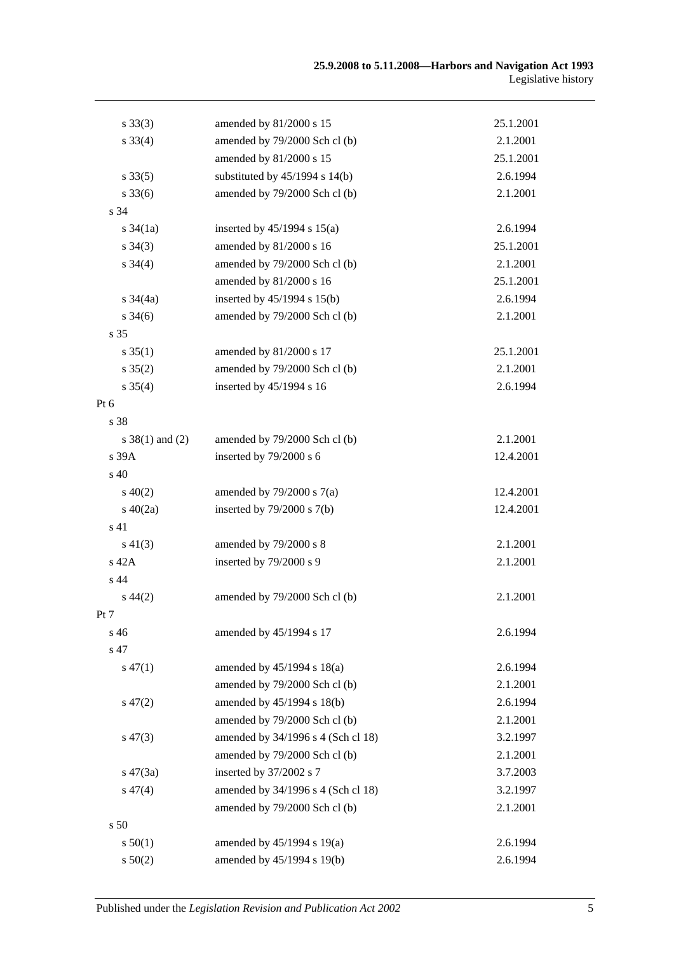| $s \, 33(3)$        | amended by 81/2000 s 15            | 25.1.2001 |
|---------------------|------------------------------------|-----------|
| $s \, 33(4)$        | amended by 79/2000 Sch cl (b)      | 2.1.2001  |
|                     | amended by 81/2000 s 15            | 25.1.2001 |
| $s \, 33(5)$        | substituted by $45/1994$ s $14(b)$ | 2.6.1994  |
| $s \, 33(6)$        | amended by 79/2000 Sch cl (b)      | 2.1.2001  |
| s 34                |                                    |           |
| $s \frac{34}{1a}$   | inserted by $45/1994$ s $15(a)$    | 2.6.1994  |
| $s \; 34(3)$        | amended by 81/2000 s 16            | 25.1.2001 |
| $s \; 34(4)$        | amended by 79/2000 Sch cl (b)      | 2.1.2001  |
|                     | amended by 81/2000 s 16            | 25.1.2001 |
| s $34(4a)$          | inserted by 45/1994 s 15(b)        | 2.6.1994  |
| $s \frac{34(6)}{2}$ | amended by 79/2000 Sch cl (b)      | 2.1.2001  |
| s <sub>35</sub>     |                                    |           |
| $s \, 35(1)$        | amended by 81/2000 s 17            | 25.1.2001 |
| $s \, 35(2)$        | amended by 79/2000 Sch cl (b)      | 2.1.2001  |
| $s \; 35(4)$        | inserted by 45/1994 s 16           | 2.6.1994  |
| $Pt\ 6$             |                                    |           |
| s 38                |                                    |           |
| $s \ 38(1)$ and (2) | amended by 79/2000 Sch cl (b)      | 2.1.2001  |
| s 39A               | inserted by 79/2000 s 6            | 12.4.2001 |
| s 40                |                                    |           |
| $s\ 40(2)$          | amended by $79/2000$ s $7(a)$      | 12.4.2001 |
| $s\ 40(2a)$         | inserted by $79/2000$ s $7(b)$     | 12.4.2001 |
| s 41                |                                    |           |
| $s\ 41(3)$          | amended by 79/2000 s 8             | 2.1.2001  |
| s 42A               | inserted by 79/2000 s 9            | 2.1.2001  |
| s 44                |                                    |           |
| $s\,44(2)$          | amended by 79/2000 Sch cl (b)      | 2.1.2001  |
| Pt 7                |                                    |           |
| s 46                | amended by 45/1994 s 17            | 2.6.1994  |
| s 47                |                                    |           |
| $s\,47(1)$          | amended by $45/1994$ s $18(a)$     | 2.6.1994  |
|                     | amended by 79/2000 Sch cl (b)      | 2.1.2001  |
| $s\,47(2)$          | amended by 45/1994 s 18(b)         | 2.6.1994  |
|                     | amended by 79/2000 Sch cl (b)      | 2.1.2001  |
| $s\,47(3)$          | amended by 34/1996 s 4 (Sch cl 18) | 3.2.1997  |
|                     | amended by 79/2000 Sch cl (b)      | 2.1.2001  |
| $s\,47(3a)$         | inserted by 37/2002 s 7            | 3.7.2003  |
| $s\,47(4)$          | amended by 34/1996 s 4 (Sch cl 18) | 3.2.1997  |
|                     | amended by 79/2000 Sch cl (b)      | 2.1.2001  |
| s <sub>50</sub>     |                                    |           |
| s 50(1)             | amended by 45/1994 s 19(a)         | 2.6.1994  |
| s 50(2)             | amended by 45/1994 s 19(b)         | 2.6.1994  |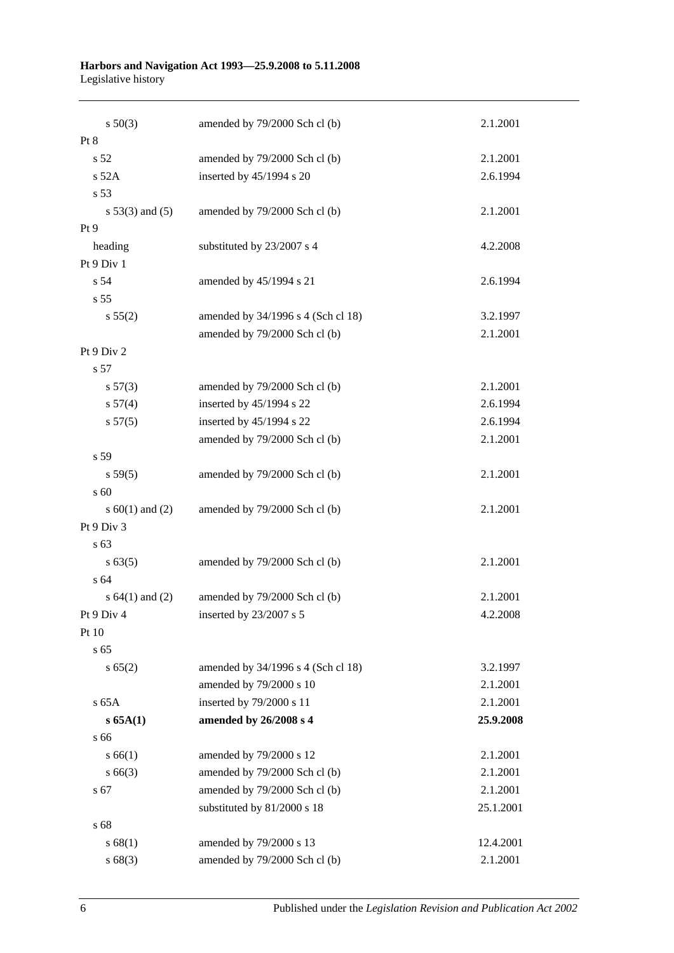#### **Harbors and Navigation Act 1993—25.9.2008 to 5.11.2008** Legislative history

| $s\ 50(3)$          | amended by 79/2000 Sch cl (b)      | 2.1.2001  |
|---------------------|------------------------------------|-----------|
| Pt 8                |                                    |           |
| s <sub>52</sub>     | amended by 79/2000 Sch cl (b)      | 2.1.2001  |
| s 52A               | inserted by 45/1994 s 20           | 2.6.1994  |
| s 53                |                                    |           |
| $s 53(3)$ and $(5)$ | amended by 79/2000 Sch cl (b)      | 2.1.2001  |
| Pt 9                |                                    |           |
| heading             | substituted by 23/2007 s 4         | 4.2.2008  |
| Pt 9 Div 1          |                                    |           |
| s 54                | amended by 45/1994 s 21            | 2.6.1994  |
| s 55                |                                    |           |
| s 55(2)             | amended by 34/1996 s 4 (Sch cl 18) | 3.2.1997  |
|                     | amended by 79/2000 Sch cl (b)      | 2.1.2001  |
| Pt 9 Div 2          |                                    |           |
| s 57                |                                    |           |
| s 57(3)             | amended by 79/2000 Sch cl (b)      | 2.1.2001  |
| s 57(4)             | inserted by 45/1994 s 22           | 2.6.1994  |
| s 57(5)             | inserted by 45/1994 s 22           | 2.6.1994  |
|                     | amended by 79/2000 Sch cl (b)      | 2.1.2001  |
| s 59                |                                    |           |
| s 59(5)             | amended by 79/2000 Sch cl (b)      | 2.1.2001  |
| s 60                |                                    |           |
| s $60(1)$ and $(2)$ | amended by 79/2000 Sch cl (b)      | 2.1.2001  |
| Pt 9 Div 3          |                                    |           |
| s 63                |                                    |           |
| s 63(5)             | amended by 79/2000 Sch cl (b)      | 2.1.2001  |
| s 64                |                                    |           |
| s $64(1)$ and $(2)$ | amended by 79/2000 Sch cl (b)      | 2.1.2001  |
| Pt 9 Div 4          | inserted by $23/2007$ s 5          | 4.2.2008  |
| Pt 10               |                                    |           |
| s 65                |                                    |           |
| s 65(2)             | amended by 34/1996 s 4 (Sch cl 18) | 3.2.1997  |
|                     | amended by 79/2000 s 10            | 2.1.2001  |
| s 65A               | inserted by 79/2000 s 11           | 2.1.2001  |
| $s$ 65A(1)          | amended by 26/2008 s 4             | 25.9.2008 |
| s 66                |                                    |           |
| s 66(1)             | amended by 79/2000 s 12            | 2.1.2001  |
| $s\,66(3)$          | amended by 79/2000 Sch cl (b)      | 2.1.2001  |
| s 67                | amended by 79/2000 Sch cl (b)      | 2.1.2001  |
|                     | substituted by 81/2000 s 18        | 25.1.2001 |
| s 68                |                                    |           |
| s 68(1)             | amended by 79/2000 s 13            | 12.4.2001 |
| s68(3)              | amended by 79/2000 Sch cl (b)      | 2.1.2001  |

6 Published under the *Legislation Revision and Publication Act 2002*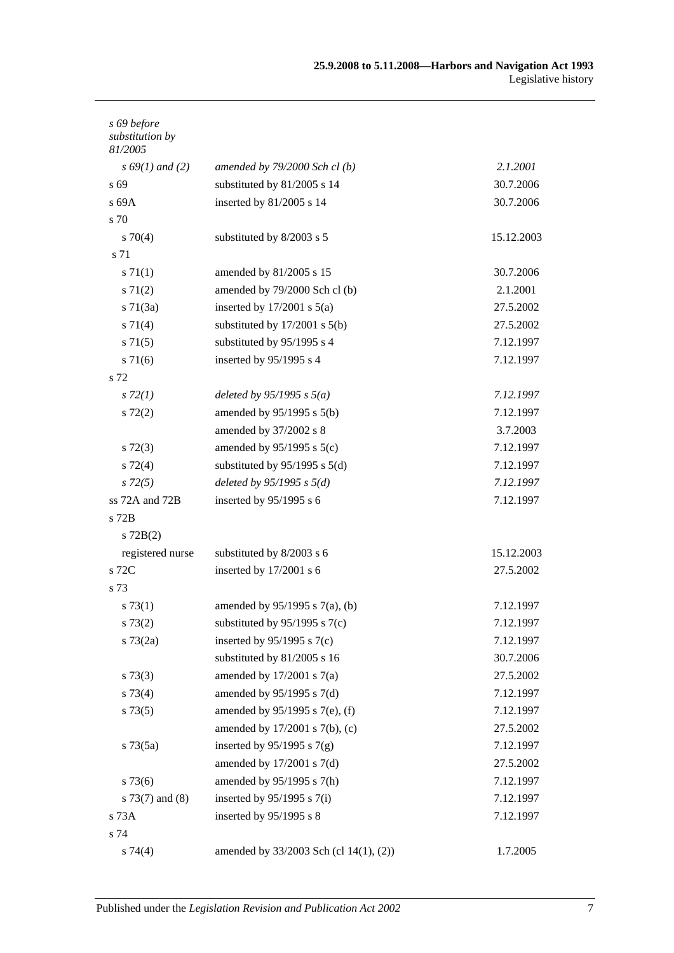| s 69 before<br>substitution by<br>81/2005 |                                        |            |
|-------------------------------------------|----------------------------------------|------------|
| $s\,69(1)$ and (2)                        | amended by $79/2000$ Sch cl(b)         | 2.1.2001   |
| s 69                                      | substituted by 81/2005 s 14            | 30.7.2006  |
| s69A                                      | inserted by 81/2005 s 14               | 30.7.2006  |
| s 70                                      |                                        |            |
| $s \, 70(4)$                              | substituted by 8/2003 s 5              | 15.12.2003 |
| s 71                                      |                                        |            |
| s 71(1)                                   | amended by 81/2005 s 15                | 30.7.2006  |
| s 71(2)                                   | amended by 79/2000 Sch cl (b)          | 2.1.2001   |
| $s \, 71(3a)$                             | inserted by $17/2001$ s $5(a)$         | 27.5.2002  |
| s 71(4)                                   | substituted by $17/2001$ s $5(b)$      | 27.5.2002  |
| $s \, 71(5)$                              | substituted by 95/1995 s 4             | 7.12.1997  |
| s 71(6)                                   | inserted by 95/1995 s 4                | 7.12.1997  |
| s 72                                      |                                        |            |
| s 72(1)                                   | deleted by $95/1995 s 5(a)$            | 7.12.1997  |
| $s\ 72(2)$                                | amended by $95/1995$ s $5(b)$          | 7.12.1997  |
|                                           | amended by 37/2002 s 8                 | 3.7.2003   |
| $s\ 72(3)$                                | amended by $95/1995$ s $5(c)$          | 7.12.1997  |
| $s\ 72(4)$                                | substituted by $95/1995$ s $5(d)$      | 7.12.1997  |
| $s\,72(5)$                                | deleted by $95/1995 s 5(d)$            | 7.12.1997  |
| ss 72A and 72B                            | inserted by $95/1995$ s 6              | 7.12.1997  |
| s 72B                                     |                                        |            |
| $s$ 72 $B(2)$                             |                                        |            |
| registered nurse                          | substituted by 8/2003 s 6              | 15.12.2003 |
| s 72C                                     | inserted by 17/2001 s 6                | 27.5.2002  |
| s 73                                      |                                        |            |
| s 73(1)                                   | amended by $95/1995$ s $7(a)$ , (b)    | 7.12.1997  |
| s 73(2)                                   | substituted by $95/1995$ s $7(c)$      | 7.12.1997  |
| $s \, 73(2a)$                             | inserted by $95/1995$ s $7(c)$         | 7.12.1997  |
|                                           | substituted by 81/2005 s 16            | 30.7.2006  |
| $s \, 73(3)$                              | amended by $17/2001$ s $7(a)$          | 27.5.2002  |
| s 73(4)                                   | amended by 95/1995 s 7(d)              | 7.12.1997  |
| s 73(5)                                   | amended by 95/1995 s 7(e), (f)         | 7.12.1997  |
|                                           | amended by 17/2001 s 7(b), (c)         | 27.5.2002  |
| $s \, 73(5a)$                             | inserted by $95/1995$ s $7(g)$         | 7.12.1997  |
|                                           | amended by $17/2001$ s $7(d)$          | 27.5.2002  |
| $s\,73(6)$                                | amended by 95/1995 s 7(h)              | 7.12.1997  |
| s $73(7)$ and $(8)$                       | inserted by $95/1995$ s $7(i)$         | 7.12.1997  |
| s 73A                                     | inserted by 95/1995 s 8                | 7.12.1997  |
| s 74                                      |                                        |            |
| s 74(4)                                   | amended by 33/2003 Sch (cl 14(1), (2)) | 1.7.2005   |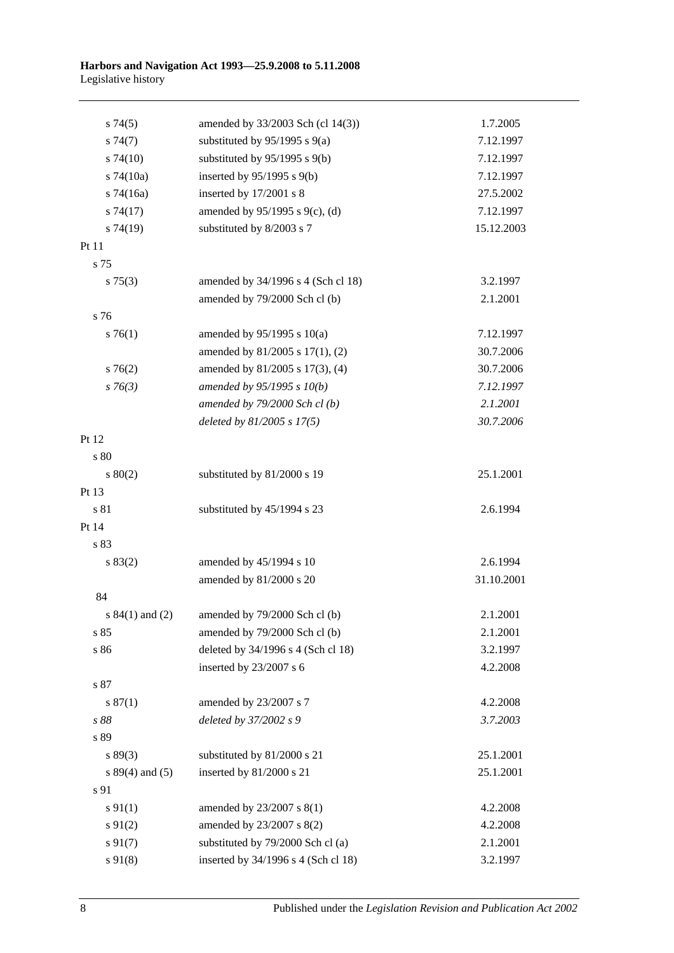| s74(5)              | amended by 33/2003 Sch (cl 14(3))   | 1.7.2005   |
|---------------------|-------------------------------------|------------|
| s74(7)              | substituted by $95/1995$ s $9(a)$   | 7.12.1997  |
| $s\,74(10)$         | substituted by $95/1995$ s $9(b)$   | 7.12.1997  |
| $s$ 74(10a)         | inserted by $95/1995$ s $9(b)$      | 7.12.1997  |
| $s$ 74(16a)         | inserted by 17/2001 s 8             | 27.5.2002  |
| s74(17)             | amended by 95/1995 s 9(c), (d)      | 7.12.1997  |
| s74(19)             | substituted by 8/2003 s 7           | 15.12.2003 |
| Pt 11               |                                     |            |
| s 75                |                                     |            |
| $s \, 75(3)$        | amended by 34/1996 s 4 (Sch cl 18)  | 3.2.1997   |
|                     | amended by 79/2000 Sch cl (b)       | 2.1.2001   |
| s 76                |                                     |            |
| $s \, 76(1)$        | amended by $95/1995$ s $10(a)$      | 7.12.1997  |
|                     | amended by 81/2005 s 17(1), (2)     | 30.7.2006  |
| $s \, 76(2)$        | amended by 81/2005 s 17(3), (4)     | 30.7.2006  |
| $s \, 76(3)$        | amended by $95/1995 s 10(b)$        | 7.12.1997  |
|                     | amended by $79/2000$ Sch cl(b)      | 2.1.2001   |
|                     | deleted by $81/2005$ s $17(5)$      | 30.7.2006  |
| Pt 12               |                                     |            |
| s 80                |                                     |            |
| $s\ 80(2)$          | substituted by 81/2000 s 19         | 25.1.2001  |
| Pt 13               |                                     |            |
| s 81                | substituted by 45/1994 s 23         | 2.6.1994   |
| Pt 14               |                                     |            |
| s 83                |                                     |            |
| s 83(2)             | amended by 45/1994 s 10             | 2.6.1994   |
|                     | amended by 81/2000 s 20             | 31.10.2001 |
| 84                  |                                     |            |
| s $84(1)$ and $(2)$ | amended by 79/2000 Sch cl (b)       | 2.1.2001   |
| s 85                | amended by 79/2000 Sch cl (b)       | 2.1.2001   |
| s 86                | deleted by 34/1996 s 4 (Sch cl 18)  | 3.2.1997   |
|                     | inserted by 23/2007 s 6             | 4.2.2008   |
| s 87                |                                     |            |
| s 87(1)             | amended by 23/2007 s 7              | 4.2.2008   |
| s 88                | deleted by 37/2002 s 9              | 3.7.2003   |
| s 89                |                                     |            |
| s 89(3)             | substituted by 81/2000 s 21         | 25.1.2001  |
| s $89(4)$ and $(5)$ | inserted by 81/2000 s 21            | 25.1.2001  |
| s 91                |                                     |            |
| $s \, 91(1)$        | amended by 23/2007 s 8(1)           | 4.2.2008   |
| $s \, 91(2)$        | amended by 23/2007 s 8(2)           | 4.2.2008   |
| $s\,91(7)$          | substituted by 79/2000 Sch cl (a)   | 2.1.2001   |
| $s\,91(8)$          | inserted by 34/1996 s 4 (Sch cl 18) | 3.2.1997   |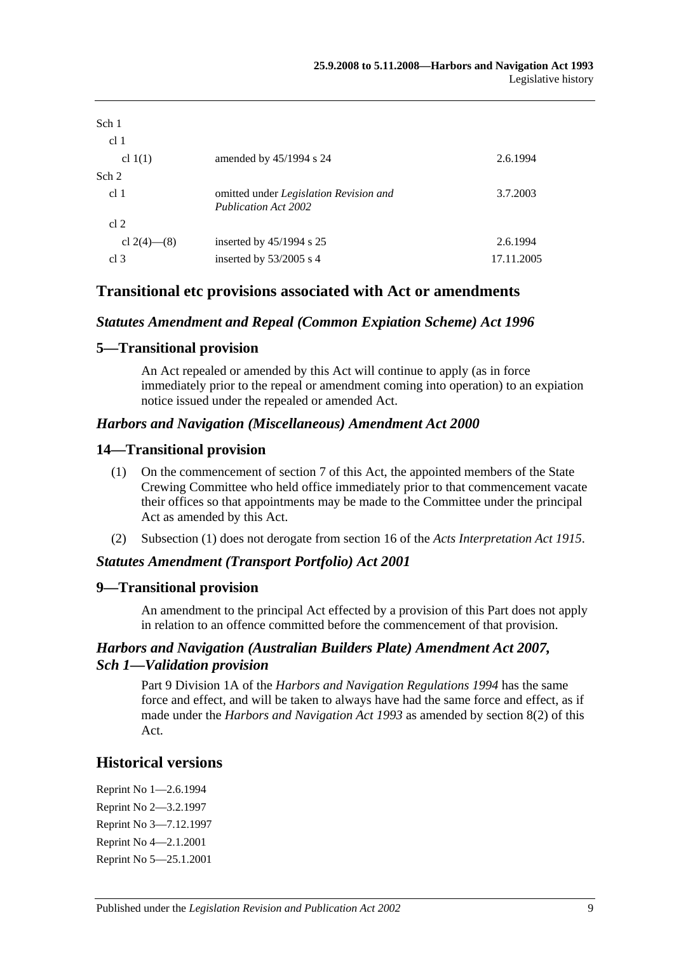| Sch 1<br>cl 1   |                                                                |            |
|-----------------|----------------------------------------------------------------|------------|
| cl $1(1)$       | amended by $45/1994$ s 24                                      | 2.6.1994   |
| Sch 2           |                                                                |            |
| cl <sub>1</sub> | omitted under Legislation Revision and<br>Publication Act 2002 | 3.7.2003   |
| cl 2            |                                                                |            |
| cl 2(4)–(8)     | inserted by $45/1994$ s 25                                     | 2.6.1994   |
| cl <sub>3</sub> | inserted by $53/2005$ s 4                                      | 17.11.2005 |

## **Transitional etc provisions associated with Act or amendments**

### *Statutes Amendment and Repeal (Common Expiation Scheme) Act 1996*

### **5—Transitional provision**

An Act repealed or amended by this Act will continue to apply (as in force immediately prior to the repeal or amendment coming into operation) to an expiation notice issued under the repealed or amended Act.

### *Harbors and Navigation (Miscellaneous) Amendment Act 2000*

### **14—Transitional provision**

- (1) On the commencement of section 7 of this Act, the appointed members of the State Crewing Committee who held office immediately prior to that commencement vacate their offices so that appointments may be made to the Committee under the principal Act as amended by this Act.
- (2) Subsection (1) does not derogate from section 16 of the *[Acts Interpretation Act](http://www.legislation.sa.gov.au/index.aspx?action=legref&type=act&legtitle=Acts%20Interpretation%20Act%201915) 1915*.

### *Statutes Amendment (Transport Portfolio) Act 2001*

### **9—Transitional provision**

An amendment to the principal Act effected by a provision of this Part does not apply in relation to an offence committed before the commencement of that provision.

## *Harbors and Navigation (Australian Builders Plate) Amendment Act 2007, Sch 1—Validation provision*

Part 9 Division 1A of the *[Harbors and Navigation Regulations](http://www.legislation.sa.gov.au/index.aspx?action=legref&type=subordleg&legtitle=Harbors%20and%20Navigation%20Regulations%201994) 1994* has the same force and effect, and will be taken to always have had the same force and effect, as if made under the *[Harbors and Navigation Act](http://www.legislation.sa.gov.au/index.aspx?action=legref&type=act&legtitle=Harbors%20and%20Navigation%20Act%201993) 1993* as amended by section 8(2) of this Act.

# **Historical versions**

Reprint No 1—2.6.1994 Reprint No 2—3.2.1997 Reprint No 3—7.12.1997 Reprint No 4—2.1.2001 Reprint No 5—25.1.2001